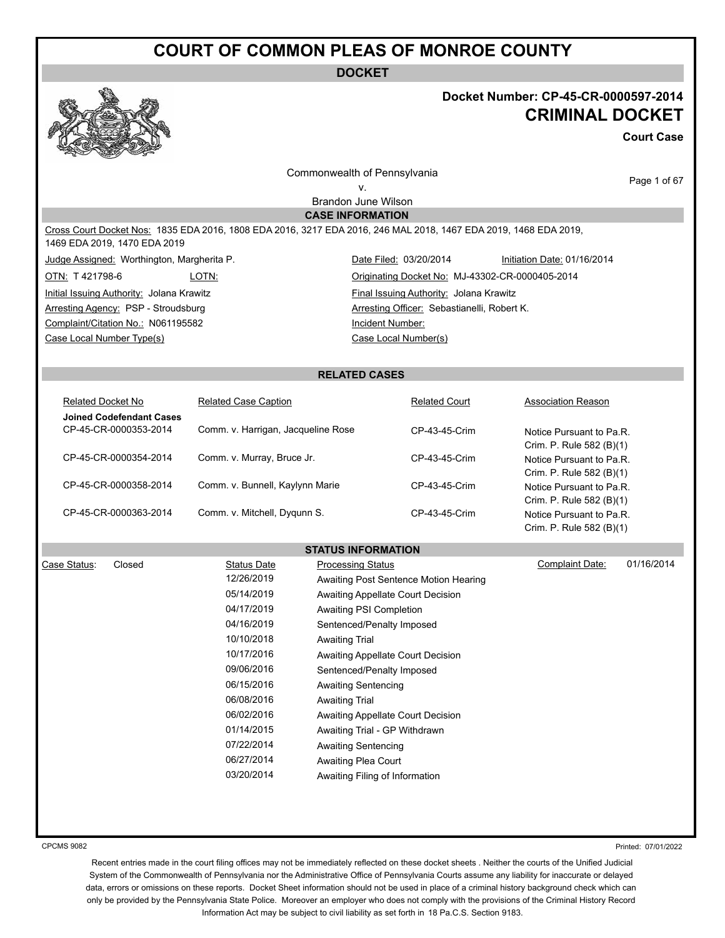**DOCKET**

#### **Docket Number: CP-45-CR-0000597-2014 CRIMINAL DOCKET**

Crim. P. Rule 582 (B)(1)

**Court Case**

Commonwealth of Pennsylvania v.

Page 1 of 67

Brandon June Wilson **CASE INFORMATION**

Cross Court Docket Nos: 1835 EDA 2016, 1808 EDA 2016, 3217 EDA 2016, 246 MAL 2018, 1467 EDA 2019, 1468 EDA 2019, 1469 EDA 2019, 1470 EDA 2019

Judge Assigned: Worthington, Margherita P. Date Filed: 03/20/2014 Initiation Date: 01/16/2014

Complaint/Citation No.: N061195582 Incident Number:

Case Local Number Type(s) Case Local Number(s)

OTN: T 421798-6 LOTN: LOTN: Contact Act Communicating Docket No: MJ-43302-CR-0000405-2014 Initial Issuing Authority: Jolana Krawitz **Final Issuing Authority:** Jolana Krawitz Arresting Agency: PSP - Stroudsburg Arresting Officer: Sebastianelli, Robert K.

#### **RELATED CASES**

| <b>Related Docket No</b>                                 | <b>Related Case Caption</b>        | <b>Related Court</b> | <b>Association Reason</b>                                                        |
|----------------------------------------------------------|------------------------------------|----------------------|----------------------------------------------------------------------------------|
| <b>Joined Codefendant Cases</b><br>CP-45-CR-0000353-2014 | Comm. v. Harrigan, Jacqueline Rose | CP-43-45-Crim        | Notice Pursuant to Pa.R.                                                         |
| CP-45-CR-0000354-2014                                    | Comm. v. Murray, Bruce Jr.         | CP-43-45-Crim        | Crim. P. Rule 582 (B)(1)<br>Notice Pursuant to Pa.R.<br>Crim. P. Rule 582 (B)(1) |
| CP-45-CR-0000358-2014                                    | Comm. v. Bunnell, Kaylynn Marie    | CP-43-45-Crim        | Notice Pursuant to Pa.R.                                                         |
| CP-45-CR-0000363-2014                                    | Comm. v. Mitchell, Dygunn S.       | CP-43-45-Crim        | Crim. P. Rule 582 (B)(1)<br>Notice Pursuant to Pa.R.                             |

#### **STATUS INFORMATION**

| Case Status: | Closed | <b>Status Date</b> | <b>Processing Status</b>              | Complaint Date: | 01/16/2014 |
|--------------|--------|--------------------|---------------------------------------|-----------------|------------|
|              |        | 12/26/2019         | Awaiting Post Sentence Motion Hearing |                 |            |
|              |        | 05/14/2019         | Awaiting Appellate Court Decision     |                 |            |
|              |        | 04/17/2019         | Awaiting PSI Completion               |                 |            |
|              |        | 04/16/2019         | Sentenced/Penalty Imposed             |                 |            |
|              |        | 10/10/2018         | <b>Awaiting Trial</b>                 |                 |            |
|              |        | 10/17/2016         | Awaiting Appellate Court Decision     |                 |            |
|              |        | 09/06/2016         | Sentenced/Penalty Imposed             |                 |            |
|              |        | 06/15/2016         | Awaiting Sentencing                   |                 |            |
|              |        | 06/08/2016         | <b>Awaiting Trial</b>                 |                 |            |
|              |        | 06/02/2016         | Awaiting Appellate Court Decision     |                 |            |
|              |        | 01/14/2015         | Awaiting Trial - GP Withdrawn         |                 |            |
|              |        | 07/22/2014         | <b>Awaiting Sentencing</b>            |                 |            |
|              |        | 06/27/2014         | Awaiting Plea Court                   |                 |            |
|              |        | 03/20/2014         | Awaiting Filing of Information        |                 |            |

CPCMS 9082

Printed: 07/01/2022

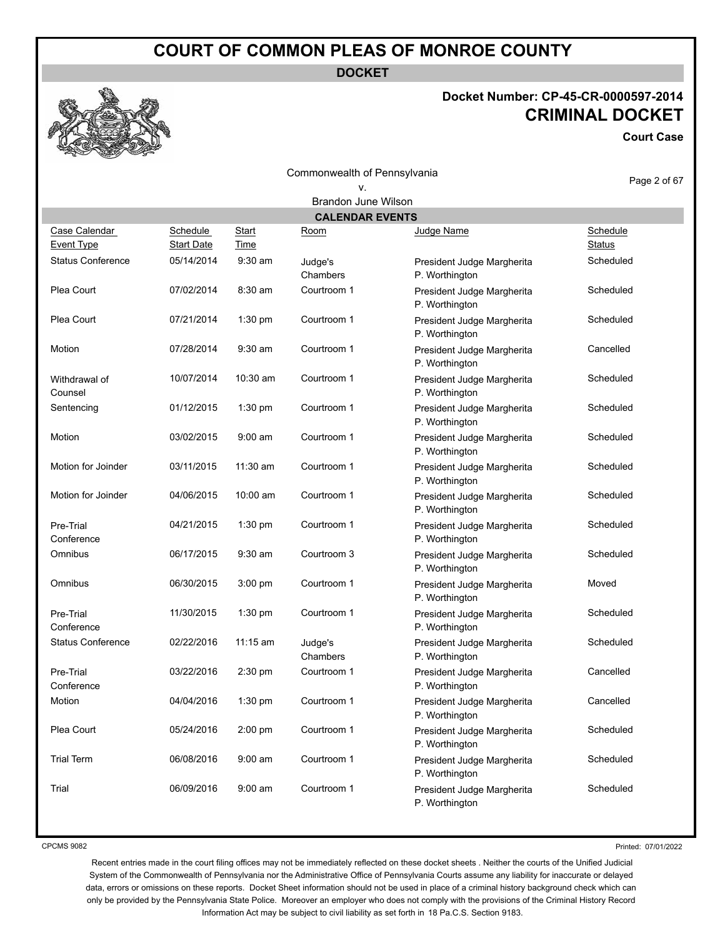**DOCKET**

#### **Docket Number: CP-45-CR-0000597-2014 CRIMINAL DOCKET**

**Court Case**

Commonwealth of Pennsylvania v.

Page 2 of 67

| <b>Brandon June Wilson</b>         |                               |                             |                        |                                              |                           |
|------------------------------------|-------------------------------|-----------------------------|------------------------|----------------------------------------------|---------------------------|
|                                    |                               |                             | <b>CALENDAR EVENTS</b> |                                              |                           |
| Case Calendar<br><b>Event Type</b> | Schedule<br><b>Start Date</b> | <b>Start</b><br><b>Time</b> | Room                   | Judge Name                                   | Schedule<br><b>Status</b> |
| <b>Status Conference</b>           | 05/14/2014                    | 9:30 am                     | Judge's<br>Chambers    | President Judge Margherita<br>P. Worthington | Scheduled                 |
| Plea Court                         | 07/02/2014                    | 8:30 am                     | Courtroom 1            | President Judge Margherita<br>P. Worthington | Scheduled                 |
| Plea Court                         | 07/21/2014                    | 1:30 pm                     | Courtroom 1            | President Judge Margherita<br>P. Worthington | Scheduled                 |
| Motion                             | 07/28/2014                    | $9:30$ am                   | Courtroom 1            | President Judge Margherita<br>P. Worthington | Cancelled                 |
| Withdrawal of<br>Counsel           | 10/07/2014                    | 10:30 am                    | Courtroom 1            | President Judge Margherita<br>P. Worthington | Scheduled                 |
| Sentencing                         | 01/12/2015                    | $1:30$ pm                   | Courtroom 1            | President Judge Margherita<br>P. Worthington | Scheduled                 |
| Motion                             | 03/02/2015                    | $9:00$ am                   | Courtroom 1            | President Judge Margherita<br>P. Worthington | Scheduled                 |
| Motion for Joinder                 | 03/11/2015                    | $11:30$ am                  | Courtroom 1            | President Judge Margherita<br>P. Worthington | Scheduled                 |
| Motion for Joinder                 | 04/06/2015                    | 10:00 am                    | Courtroom 1            | President Judge Margherita<br>P. Worthington | Scheduled                 |
| Pre-Trial<br>Conference            | 04/21/2015                    | 1:30 pm                     | Courtroom 1            | President Judge Margherita<br>P. Worthington | Scheduled                 |
| Omnibus                            | 06/17/2015                    | $9:30$ am                   | Courtroom 3            | President Judge Margherita<br>P. Worthington | Scheduled                 |
| Omnibus                            | 06/30/2015                    | $3:00$ pm                   | Courtroom 1            | President Judge Margherita<br>P. Worthington | Moved                     |
| Pre-Trial<br>Conference            | 11/30/2015                    | $1:30$ pm                   | Courtroom 1            | President Judge Margherita<br>P. Worthington | Scheduled                 |
| <b>Status Conference</b>           | 02/22/2016                    | $11:15$ am                  | Judge's<br>Chambers    | President Judge Margherita<br>P. Worthington | Scheduled                 |
| Pre-Trial<br>Conference            | 03/22/2016                    | $2:30$ pm                   | Courtroom 1            | President Judge Margherita<br>P. Worthington | Cancelled                 |
| Motion                             | 04/04/2016                    | $1:30$ pm                   | Courtroom 1            | President Judge Margherita<br>P. Worthington | Cancelled                 |
| Plea Court                         | 05/24/2016                    | $2:00$ pm                   | Courtroom 1            | President Judge Margherita<br>P. Worthington | Scheduled                 |
| <b>Trial Term</b>                  | 06/08/2016                    | $9:00$ am                   | Courtroom 1            | President Judge Margherita<br>P. Worthington | Scheduled                 |
| Trial                              | 06/09/2016                    | $9:00$ am                   | Courtroom 1            | President Judge Margherita<br>P. Worthington | Scheduled                 |

CPCMS 9082

Printed: 07/01/2022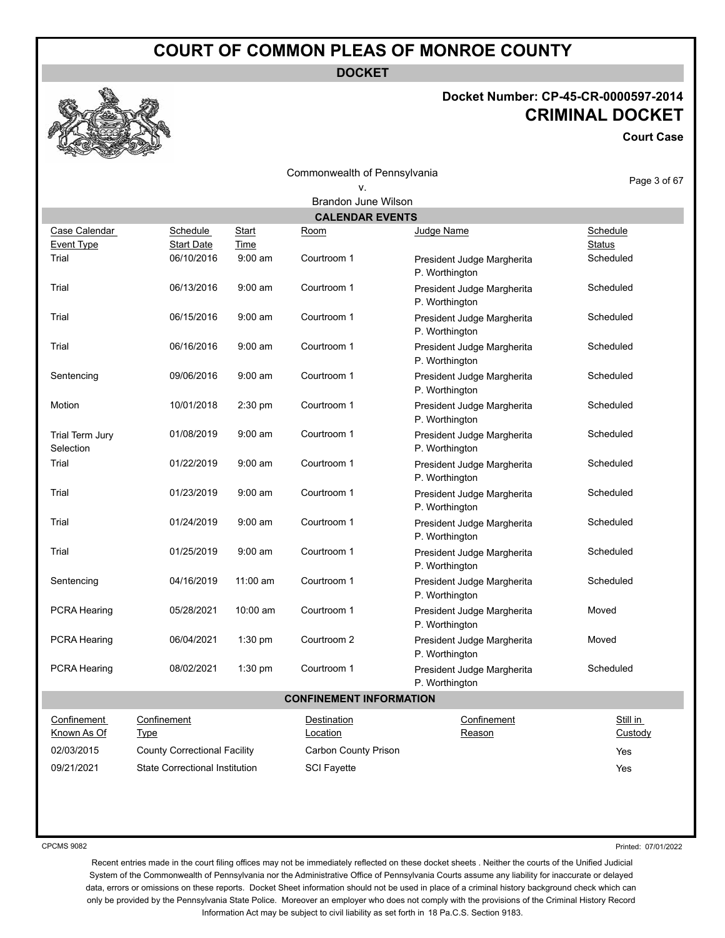**DOCKET**

## **Docket Number: CP-45-CR-0000597-2014 CRIMINAL DOCKET**

**Court Case**

|                                    |                                       | Page 3 of 67         |                                |                                              |                           |
|------------------------------------|---------------------------------------|----------------------|--------------------------------|----------------------------------------------|---------------------------|
|                                    |                                       |                      | <b>Brandon June Wilson</b>     |                                              |                           |
|                                    |                                       |                      | <b>CALENDAR EVENTS</b>         |                                              |                           |
| Case Calendar<br><b>Event Type</b> | Schedule<br><b>Start Date</b>         | <b>Start</b><br>Time | <u>Room</u>                    | Judge Name                                   | Schedule<br><b>Status</b> |
| Trial                              | 06/10/2016                            | $9:00$ am            | Courtroom 1                    | President Judge Margherita<br>P. Worthington | Scheduled                 |
| Trial                              | 06/13/2016                            | $9:00$ am            | Courtroom 1                    | President Judge Margherita<br>P. Worthington | Scheduled                 |
| Trial                              | 06/15/2016                            | $9:00$ am            | Courtroom 1                    | President Judge Margherita<br>P. Worthington | Scheduled                 |
| Trial                              | 06/16/2016                            | $9:00$ am            | Courtroom 1                    | President Judge Margherita<br>P. Worthington | Scheduled                 |
| Sentencing                         | 09/06/2016                            | $9:00$ am            | Courtroom 1                    | President Judge Margherita<br>P. Worthington | Scheduled                 |
| Motion                             | 10/01/2018                            | 2:30 pm              | Courtroom 1                    | President Judge Margherita<br>P. Worthington | Scheduled                 |
| Trial Term Jury<br>Selection       | 01/08/2019                            | $9:00$ am            | Courtroom 1                    | President Judge Margherita<br>P. Worthington | Scheduled                 |
| Trial                              | 01/22/2019                            | $9:00$ am            | Courtroom 1                    | President Judge Margherita<br>P. Worthington | Scheduled                 |
| Trial                              | 01/23/2019                            | $9:00$ am            | Courtroom 1                    | President Judge Margherita<br>P. Worthington | Scheduled                 |
| Trial                              | 01/24/2019                            | $9:00$ am            | Courtroom 1                    | President Judge Margherita<br>P. Worthington | Scheduled                 |
| Trial                              | 01/25/2019                            | $9:00$ am            | Courtroom 1                    | President Judge Margherita<br>P. Worthington | Scheduled                 |
| Sentencing                         | 04/16/2019                            | $11:00$ am           | Courtroom 1                    | President Judge Margherita<br>P. Worthington | Scheduled                 |
| <b>PCRA Hearing</b>                | 05/28/2021                            | 10:00 am             | Courtroom 1                    | President Judge Margherita<br>P. Worthington | Moved                     |
| <b>PCRA Hearing</b>                | 06/04/2021                            | 1:30 pm              | Courtroom 2                    | President Judge Margherita<br>P. Worthington | Moved                     |
| PCRA Hearing                       | 08/02/2021                            | 1:30 pm              | Courtroom 1                    | President Judge Margherita<br>P. Worthington | Scheduled                 |
|                                    |                                       |                      | <b>CONFINEMENT INFORMATION</b> |                                              |                           |
| Confinement<br>Known As Of         | Confinement<br><b>Type</b>            |                      | Destination<br>Location        | Confinement<br>Reason                        | Still in<br>Custody       |
| 02/03/2015                         | <b>County Correctional Facility</b>   |                      | Carbon County Prison           |                                              | Yes                       |
| 09/21/2021                         | <b>State Correctional Institution</b> |                      | <b>SCI Fayette</b>             |                                              | Yes                       |

CPCMS 9082

Printed: 07/01/2022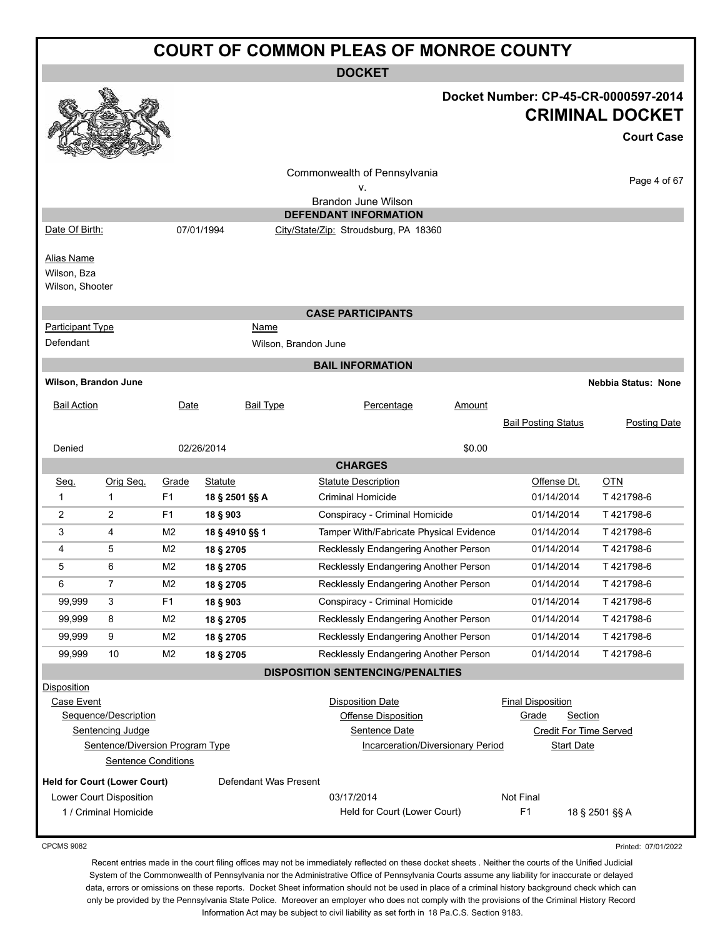|                                              | <b>COURT OF COMMON PLEAS OF MONROE COUNTY</b> |                |                       |                                                       |        |                                                     |                                                                                     |
|----------------------------------------------|-----------------------------------------------|----------------|-----------------------|-------------------------------------------------------|--------|-----------------------------------------------------|-------------------------------------------------------------------------------------|
|                                              |                                               |                |                       | <b>DOCKET</b>                                         |        |                                                     |                                                                                     |
|                                              |                                               |                |                       |                                                       |        |                                                     | Docket Number: CP-45-CR-0000597-2014<br><b>CRIMINAL DOCKET</b><br><b>Court Case</b> |
|                                              |                                               |                |                       | Commonwealth of Pennsylvania<br>٧.                    |        |                                                     | Page 4 of 67                                                                        |
|                                              |                                               |                |                       | Brandon June Wilson                                   |        |                                                     |                                                                                     |
|                                              |                                               |                |                       | <b>DEFENDANT INFORMATION</b>                          |        |                                                     |                                                                                     |
| Date Of Birth:                               |                                               |                | 07/01/1994            | City/State/Zip: Stroudsburg, PA 18360                 |        |                                                     |                                                                                     |
| Alias Name<br>Wilson, Bza<br>Wilson, Shooter |                                               |                |                       |                                                       |        |                                                     |                                                                                     |
|                                              |                                               |                |                       | <b>CASE PARTICIPANTS</b>                              |        |                                                     |                                                                                     |
| <b>Participant Type</b>                      |                                               |                | Name                  |                                                       |        |                                                     |                                                                                     |
| Defendant                                    |                                               |                | Wilson, Brandon June  |                                                       |        |                                                     |                                                                                     |
|                                              |                                               |                |                       | <b>BAIL INFORMATION</b>                               |        |                                                     |                                                                                     |
| Wilson, Brandon June                         |                                               |                |                       |                                                       |        |                                                     | <b>Nebbia Status: None</b>                                                          |
| <b>Bail Action</b>                           |                                               | Date           | <b>Bail Type</b>      | Percentage                                            | Amount |                                                     |                                                                                     |
|                                              |                                               |                |                       |                                                       |        | <b>Bail Posting Status</b>                          | Posting Date                                                                        |
| Denied                                       |                                               |                | 02/26/2014            |                                                       | \$0.00 |                                                     |                                                                                     |
|                                              |                                               |                |                       | <b>CHARGES</b>                                        |        |                                                     |                                                                                     |
| Seq.                                         | Orig Seq.                                     | Grade          | <b>Statute</b>        | <b>Statute Description</b>                            |        | Offense Dt.                                         | <b>OTN</b>                                                                          |
| $\mathbf{1}$                                 | $\mathbf{1}$                                  | F <sub>1</sub> | 18 § 2501 §§ A        | Criminal Homicide                                     |        | 01/14/2014                                          | T421798-6                                                                           |
| 2                                            | 2                                             | F1             | 18 § 903              | Conspiracy - Criminal Homicide                        |        | 01/14/2014                                          | T421798-6                                                                           |
| 3                                            | 4                                             | M <sub>2</sub> | 18 § 4910 §§ 1        | Tamper With/Fabricate Physical Evidence               |        | 01/14/2014                                          | T421798-6                                                                           |
| 4                                            | 5                                             | M2             | 18 § 2705             | Recklessly Endangering Another Person                 |        | 01/14/2014                                          | T421798-6                                                                           |
| 5                                            | 6                                             | M <sub>2</sub> | 18 § 2705             | Recklessly Endangering Another Person                 |        | 01/14/2014                                          | T421798-6                                                                           |
| 6                                            | $\overline{7}$                                | M2             | 18 § 2705             | Recklessly Endangering Another Person                 |        | 01/14/2014                                          | T421798-6                                                                           |
| 99,999                                       | 3                                             | F <sub>1</sub> | 18 § 903              | Conspiracy - Criminal Homicide                        |        | 01/14/2014                                          | T421798-6                                                                           |
| 99,999                                       | 8                                             | M <sub>2</sub> | 18 § 2705             | Recklessly Endangering Another Person                 |        | 01/14/2014                                          | T421798-6                                                                           |
| 99,999                                       | 9                                             | M <sub>2</sub> | 18 § 2705             | Recklessly Endangering Another Person                 |        | 01/14/2014                                          | T421798-6                                                                           |
| 99,999                                       | 10                                            | M <sub>2</sub> | 18 § 2705             | Recklessly Endangering Another Person                 |        | 01/14/2014                                          | T421798-6                                                                           |
|                                              |                                               |                |                       | <b>DISPOSITION SENTENCING/PENALTIES</b>               |        |                                                     |                                                                                     |
| Disposition                                  |                                               |                |                       |                                                       |        |                                                     |                                                                                     |
| Case Event                                   | Sequence/Description                          |                |                       | <b>Disposition Date</b><br><b>Offense Disposition</b> |        | <b>Final Disposition</b><br>Grade<br><b>Section</b> |                                                                                     |
|                                              | Sentencing Judge                              |                |                       | Sentence Date                                         |        | Credit For Time Served                              |                                                                                     |
|                                              | Sentence/Diversion Program Type               |                |                       | Incarceration/Diversionary Period                     |        | <b>Start Date</b>                                   |                                                                                     |
|                                              | <b>Sentence Conditions</b>                    |                |                       |                                                       |        |                                                     |                                                                                     |
|                                              | <b>Held for Court (Lower Court)</b>           |                | Defendant Was Present |                                                       |        |                                                     |                                                                                     |
|                                              | Lower Court Disposition                       |                |                       | 03/17/2014                                            |        | Not Final                                           |                                                                                     |
|                                              | 1 / Criminal Homicide                         |                |                       | Held for Court (Lower Court)                          |        | F <sub>1</sub>                                      | 18 § 2501 §§ A                                                                      |
| <b>CPCMS 9082</b>                            |                                               |                |                       |                                                       |        |                                                     | Printed: 07/01/2022                                                                 |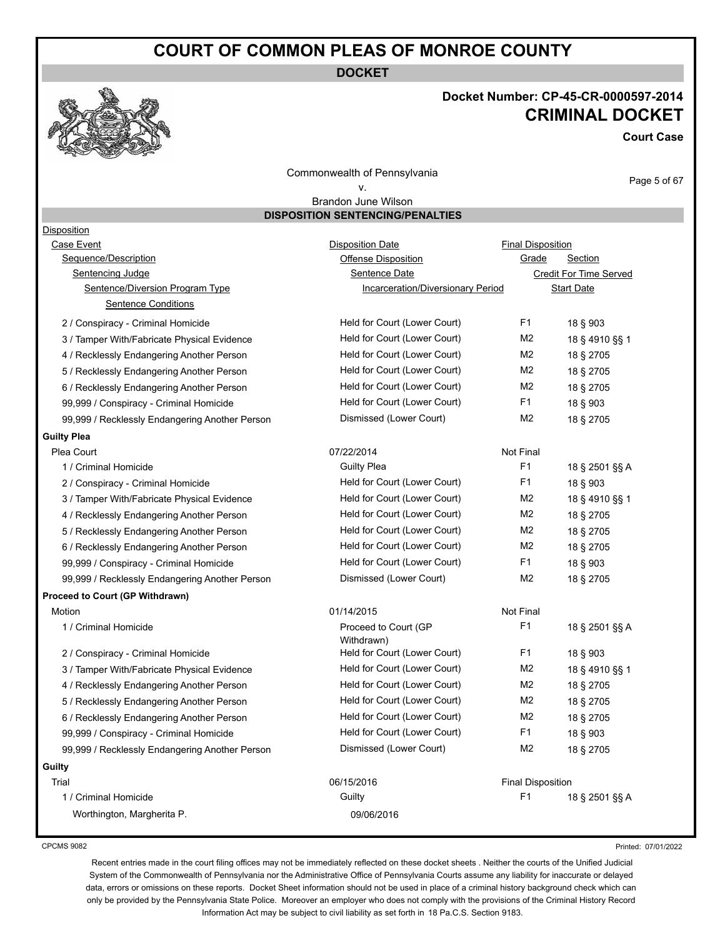**DOCKET**

#### **Docket Number: CP-45-CR-0000597-2014 CRIMINAL DOCKET**

**Court Case**

Commonwealth of Pennsylvania v.

Page 5 of 67

#### Brandon June Wilson **DISPOSITION SENTENCING/PENALTIES**

| <b>Disposition</b>                             |                                    |                          |                        |
|------------------------------------------------|------------------------------------|--------------------------|------------------------|
| Case Event                                     | <b>Disposition Date</b>            | <b>Final Disposition</b> |                        |
| Sequence/Description                           | <b>Offense Disposition</b>         | Grade                    | Section                |
| Sentencing Judge                               | Sentence Date                      |                          | Credit For Time Served |
| Sentence/Diversion Program Type                | Incarceration/Diversionary Period  |                          | <b>Start Date</b>      |
| <b>Sentence Conditions</b>                     |                                    |                          |                        |
| 2 / Conspiracy - Criminal Homicide             | Held for Court (Lower Court)       | F <sub>1</sub>           | 18 § 903               |
| 3 / Tamper With/Fabricate Physical Evidence    | Held for Court (Lower Court)       | M <sub>2</sub>           | 18 § 4910 §§ 1         |
| 4 / Recklessly Endangering Another Person      | Held for Court (Lower Court)       | M <sub>2</sub>           | 18 § 2705              |
| 5 / Recklessly Endangering Another Person      | Held for Court (Lower Court)       | M <sub>2</sub>           | 18 § 2705              |
| 6 / Recklessly Endangering Another Person      | Held for Court (Lower Court)       | M <sub>2</sub>           | 18 § 2705              |
| 99,999 / Conspiracy - Criminal Homicide        | Held for Court (Lower Court)       | F1                       | 18 § 903               |
| 99,999 / Recklessly Endangering Another Person | Dismissed (Lower Court)            | M <sub>2</sub>           | 18 § 2705              |
| <b>Guilty Plea</b>                             |                                    |                          |                        |
| Plea Court                                     | 07/22/2014                         | Not Final                |                        |
| 1 / Criminal Homicide                          | <b>Guilty Plea</b>                 | F <sub>1</sub>           | 18 § 2501 §§ A         |
| 2 / Conspiracy - Criminal Homicide             | Held for Court (Lower Court)       | F <sub>1</sub>           | 18 § 903               |
| 3 / Tamper With/Fabricate Physical Evidence    | Held for Court (Lower Court)       | M <sub>2</sub>           | 18 § 4910 §§ 1         |
| 4 / Recklessly Endangering Another Person      | Held for Court (Lower Court)       | M <sub>2</sub>           | 18 § 2705              |
| 5 / Recklessly Endangering Another Person      | Held for Court (Lower Court)       | M <sub>2</sub>           | 18 § 2705              |
| 6 / Recklessly Endangering Another Person      | Held for Court (Lower Court)       | M <sub>2</sub>           | 18 § 2705              |
| 99,999 / Conspiracy - Criminal Homicide        | Held for Court (Lower Court)       | F <sub>1</sub>           | 18 § 903               |
| 99,999 / Recklessly Endangering Another Person | Dismissed (Lower Court)            | M <sub>2</sub>           | 18 § 2705              |
| Proceed to Court (GP Withdrawn)                |                                    |                          |                        |
| Motion                                         | 01/14/2015                         | Not Final                |                        |
| 1 / Criminal Homicide                          | Proceed to Court (GP<br>Withdrawn) | F <sub>1</sub>           | 18 § 2501 §§ A         |
| 2 / Conspiracy - Criminal Homicide             | Held for Court (Lower Court)       | F <sub>1</sub>           | 18 § 903               |
| 3 / Tamper With/Fabricate Physical Evidence    | Held for Court (Lower Court)       | M <sub>2</sub>           | 18 § 4910 §§ 1         |
| 4 / Recklessly Endangering Another Person      | Held for Court (Lower Court)       | M2                       | 18 § 2705              |
| 5 / Recklessly Endangering Another Person      | Held for Court (Lower Court)       | M2                       | 18 § 2705              |
| 6 / Recklessly Endangering Another Person      | Held for Court (Lower Court)       | M <sub>2</sub>           | 18 § 2705              |
| 99,999 / Conspiracy - Criminal Homicide        | Held for Court (Lower Court)       | F <sub>1</sub>           | 18 § 903               |
| 99,999 / Recklessly Endangering Another Person | Dismissed (Lower Court)            | M <sub>2</sub>           | 18 § 2705              |
| Guilty                                         |                                    |                          |                        |
| Trial                                          | 06/15/2016                         | <b>Final Disposition</b> |                        |
| 1 / Criminal Homicide                          | Guilty                             | F <sub>1</sub>           | 18 § 2501 §§ A         |
| Worthington, Margherita P.                     | 09/06/2016                         |                          |                        |
|                                                |                                    |                          |                        |

CPCMS 9082

Printed: 07/01/2022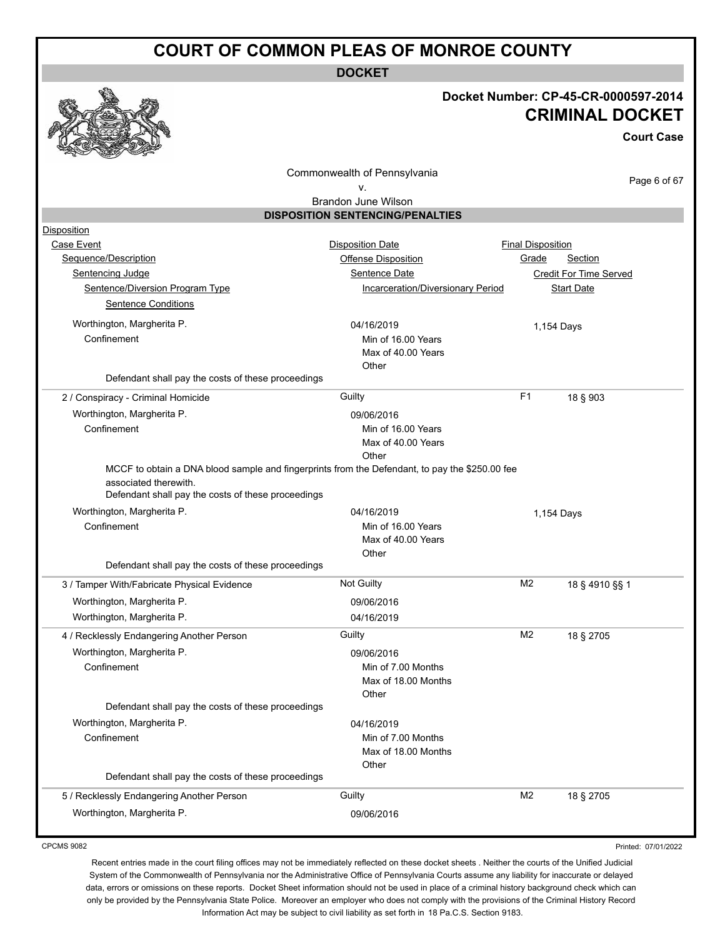**DOCKET**

#### **Docket Number: CP-45-CR-0000597-2014 CRIMINAL DOCKET**

**Court Case**

Commonwealth of Pennsylvania

Page 6 of 67

#### v. Brandon June Wilson

**DISPOSITION SENTENCING/PENALTIES**

| Disposition                                                                                    |                                   |                          |                        |
|------------------------------------------------------------------------------------------------|-----------------------------------|--------------------------|------------------------|
| Case Event                                                                                     | <b>Disposition Date</b>           | <b>Final Disposition</b> |                        |
| Sequence/Description                                                                           | Offense Disposition               | Grade                    | Section                |
| Sentencing Judge                                                                               | Sentence Date                     |                          | Credit For Time Served |
| Sentence/Diversion Program Type                                                                | Incarceration/Diversionary Period |                          | <b>Start Date</b>      |
| <b>Sentence Conditions</b>                                                                     |                                   |                          |                        |
| Worthington, Margherita P.                                                                     | 04/16/2019                        |                          | 1,154 Days             |
| Confinement                                                                                    | Min of 16.00 Years                |                          |                        |
|                                                                                                | Max of 40.00 Years                |                          |                        |
| Defendant shall pay the costs of these proceedings                                             | Other                             |                          |                        |
|                                                                                                |                                   | F <sub>1</sub>           |                        |
| 2 / Conspiracy - Criminal Homicide                                                             | Guilty                            |                          | 18 § 903               |
| Worthington, Margherita P.                                                                     | 09/06/2016                        |                          |                        |
| Confinement                                                                                    | Min of 16.00 Years                |                          |                        |
|                                                                                                | Max of 40.00 Years<br>Other       |                          |                        |
| MCCF to obtain a DNA blood sample and fingerprints from the Defendant, to pay the \$250.00 fee |                                   |                          |                        |
| associated therewith.                                                                          |                                   |                          |                        |
| Defendant shall pay the costs of these proceedings                                             |                                   |                          |                        |
| Worthington, Margherita P.                                                                     | 04/16/2019                        |                          | 1,154 Days             |
| Confinement                                                                                    | Min of 16.00 Years                |                          |                        |
|                                                                                                |                                   |                          |                        |
|                                                                                                | Max of 40.00 Years                |                          |                        |
|                                                                                                | Other                             |                          |                        |
| Defendant shall pay the costs of these proceedings                                             |                                   |                          |                        |
| 3 / Tamper With/Fabricate Physical Evidence                                                    | <b>Not Guilty</b>                 | M <sub>2</sub>           | 18 § 4910 §§ 1         |
| Worthington, Margherita P.                                                                     | 09/06/2016                        |                          |                        |
| Worthington, Margherita P.                                                                     | 04/16/2019                        |                          |                        |
| 4 / Recklessly Endangering Another Person                                                      | Guilty                            | M <sub>2</sub>           | 18 § 2705              |
| Worthington, Margherita P.                                                                     | 09/06/2016                        |                          |                        |
| Confinement                                                                                    | Min of 7.00 Months                |                          |                        |
|                                                                                                | Max of 18.00 Months               |                          |                        |
|                                                                                                | Other                             |                          |                        |
| Defendant shall pay the costs of these proceedings                                             |                                   |                          |                        |
| Worthington, Margherita P.                                                                     | 04/16/2019                        |                          |                        |
| Confinement                                                                                    | Min of 7.00 Months                |                          |                        |
|                                                                                                | Max of 18.00 Months<br>Other      |                          |                        |
| Defendant shall pay the costs of these proceedings                                             |                                   |                          |                        |
| 5 / Recklessly Endangering Another Person                                                      | Guilty                            | M <sub>2</sub>           | 18 § 2705              |

CPCMS 9082

Printed: 07/01/2022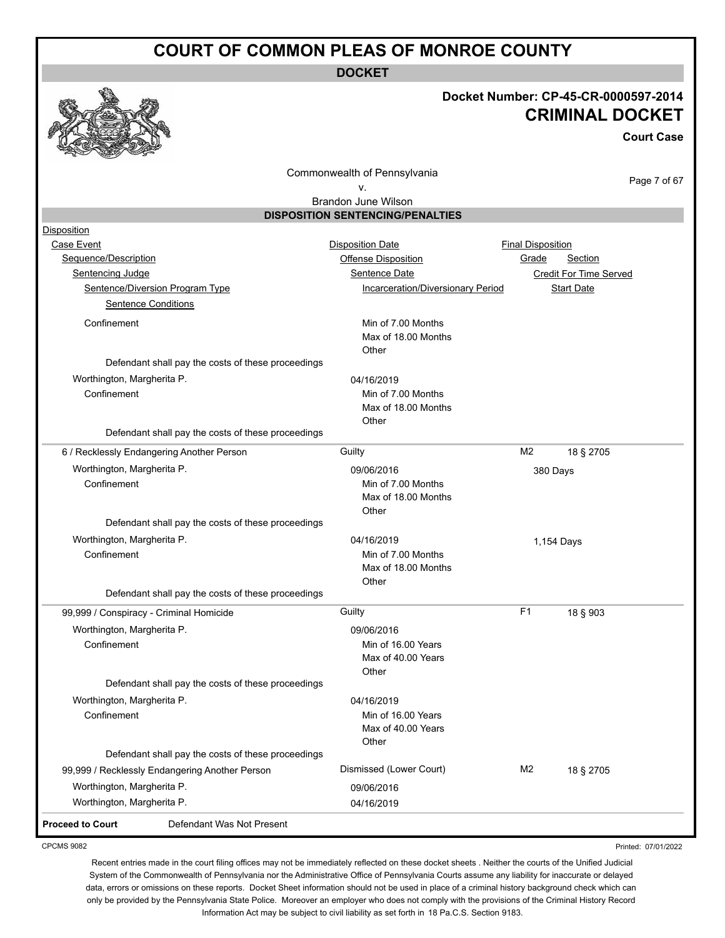**DOCKET**



#### **Docket Number: CP-45-CR-0000597-2014 CRIMINAL DOCKET**

**Court Case**

Commonwealth of Pennsylvania

Page 7 of 67

Printed: 07/01/2022

#### v. Brandon June Wilson

| <b>DISPOSITION SENTENCING/PENALTIES</b> |
|-----------------------------------------|
|                                         |
|                                         |

| Disposition                               |                                                    |                                          |                          |                        |
|-------------------------------------------|----------------------------------------------------|------------------------------------------|--------------------------|------------------------|
| Case Event                                |                                                    | <b>Disposition Date</b>                  | <b>Final Disposition</b> |                        |
| Sequence/Description                      |                                                    | <b>Offense Disposition</b>               | Grade                    | Section                |
| Sentencing Judge                          |                                                    | Sentence Date                            |                          | Credit For Time Served |
|                                           | <b>Sentence/Diversion Program Type</b>             | <b>Incarceration/Diversionary Period</b> |                          | <b>Start Date</b>      |
| <b>Sentence Conditions</b>                |                                                    |                                          |                          |                        |
| Confinement                               |                                                    | Min of 7.00 Months                       |                          |                        |
|                                           |                                                    | Max of 18.00 Months                      |                          |                        |
|                                           |                                                    | Other                                    |                          |                        |
|                                           | Defendant shall pay the costs of these proceedings |                                          |                          |                        |
| Worthington, Margherita P.                |                                                    | 04/16/2019                               |                          |                        |
| Confinement                               |                                                    | Min of 7.00 Months                       |                          |                        |
|                                           |                                                    | Max of 18.00 Months<br>Other             |                          |                        |
|                                           | Defendant shall pay the costs of these proceedings |                                          |                          |                        |
| 6 / Recklessly Endangering Another Person |                                                    | Guilty                                   | M <sub>2</sub>           | 18 § 2705              |
| Worthington, Margherita P.                |                                                    | 09/06/2016                               |                          |                        |
| Confinement                               |                                                    | Min of 7.00 Months                       |                          | 380 Days               |
|                                           |                                                    | Max of 18.00 Months                      |                          |                        |
|                                           |                                                    | Other                                    |                          |                        |
|                                           | Defendant shall pay the costs of these proceedings |                                          |                          |                        |
| Worthington, Margherita P.                |                                                    | 04/16/2019                               |                          | 1,154 Days             |
| Confinement                               |                                                    | Min of 7.00 Months                       |                          |                        |
|                                           |                                                    | Max of 18.00 Months                      |                          |                        |
|                                           |                                                    | Other                                    |                          |                        |
|                                           | Defendant shall pay the costs of these proceedings |                                          |                          |                        |
| 99,999 / Conspiracy - Criminal Homicide   |                                                    | Guilty                                   | F <sub>1</sub>           | 18 § 903               |
| Worthington, Margherita P.                |                                                    | 09/06/2016                               |                          |                        |
| Confinement                               |                                                    | Min of 16.00 Years                       |                          |                        |
|                                           |                                                    | Max of 40.00 Years                       |                          |                        |
|                                           | Defendant shall pay the costs of these proceedings | Other                                    |                          |                        |
| Worthington, Margherita P.                |                                                    | 04/16/2019                               |                          |                        |
| Confinement                               |                                                    | Min of 16.00 Years                       |                          |                        |
|                                           |                                                    | Max of 40.00 Years                       |                          |                        |
|                                           |                                                    | Other                                    |                          |                        |
|                                           | Defendant shall pay the costs of these proceedings |                                          |                          |                        |
|                                           | 99,999 / Recklessly Endangering Another Person     | Dismissed (Lower Court)                  | M <sub>2</sub>           | 18 § 2705              |
| Worthington, Margherita P.                |                                                    | 09/06/2016                               |                          |                        |
| Worthington, Margherita P.                |                                                    | 04/16/2019                               |                          |                        |
| <b>Proceed to Court</b>                   | Defendant Was Not Present                          |                                          |                          |                        |

CPCMS 9082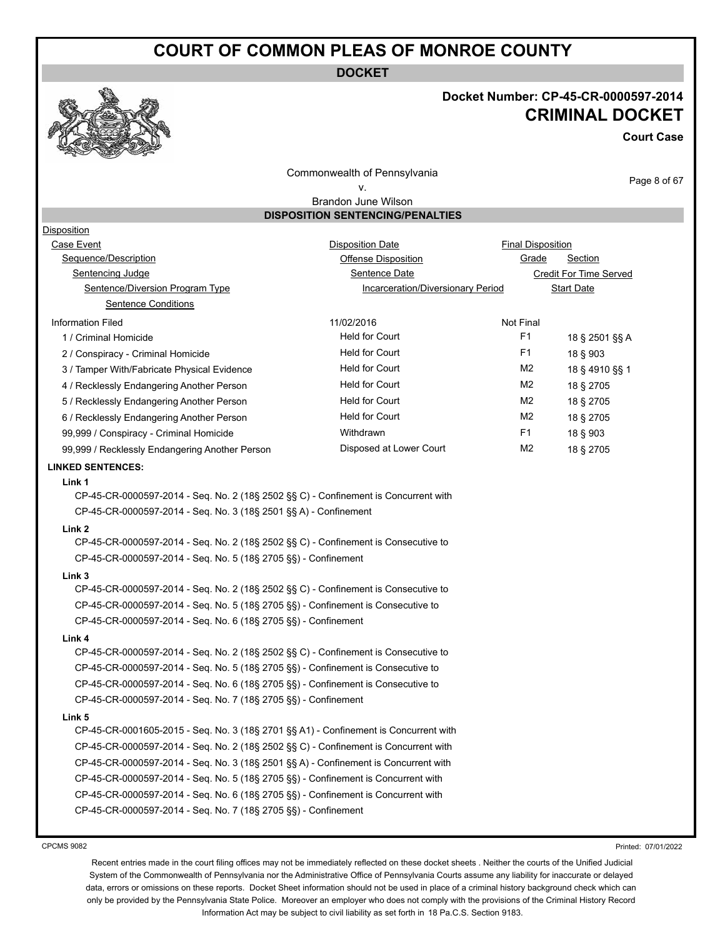**DOCKET**

#### **Docket Number: CP-45-CR-0000597-2014 CRIMINAL DOCKET**

**Court Case**

Commonwealth of Pennsylvania v.

Page 8 of 67

#### Brandon June Wilson **DISPOSITION SENTENCING/PENALTIES**

| <b>Disposition</b>                                                                   |                                   |                          |                        |
|--------------------------------------------------------------------------------------|-----------------------------------|--------------------------|------------------------|
| <b>Case Event</b>                                                                    | <b>Disposition Date</b>           | <b>Final Disposition</b> |                        |
| Sequence/Description                                                                 | Offense Disposition               | Grade                    | <b>Section</b>         |
| <b>Sentencing Judge</b>                                                              | Sentence Date                     |                          | Credit For Time Served |
| Sentence/Diversion Program Type                                                      | Incarceration/Diversionary Period |                          | <b>Start Date</b>      |
| <b>Sentence Conditions</b>                                                           |                                   |                          |                        |
| <b>Information Filed</b>                                                             | 11/02/2016                        | Not Final                |                        |
| 1 / Criminal Homicide                                                                | <b>Held for Court</b>             | F <sub>1</sub>           | 18 § 2501 §§ A         |
| 2 / Conspiracy - Criminal Homicide                                                   | <b>Held for Court</b>             | F <sub>1</sub>           | 18 § 903               |
| 3 / Tamper With/Fabricate Physical Evidence                                          | <b>Held for Court</b>             | M <sub>2</sub>           | 18 § 4910 §§ 1         |
| 4 / Recklessly Endangering Another Person                                            | <b>Held for Court</b>             | M <sub>2</sub>           | 18 § 2705              |
| 5 / Recklessly Endangering Another Person                                            | <b>Held for Court</b>             | M <sub>2</sub>           | 18 § 2705              |
| 6 / Recklessly Endangering Another Person                                            | <b>Held for Court</b>             | M <sub>2</sub>           | 18 § 2705              |
| 99,999 / Conspiracy - Criminal Homicide                                              | Withdrawn                         | F <sub>1</sub>           | 18 § 903               |
| 99,999 / Recklessly Endangering Another Person                                       | Disposed at Lower Court           | M <sub>2</sub>           | 18 § 2705              |
| <b>LINKED SENTENCES:</b>                                                             |                                   |                          |                        |
| Link 1                                                                               |                                   |                          |                        |
| CP-45-CR-0000597-2014 - Seq. No. 2 (18§ 2502 §§ C) - Confinement is Concurrent with  |                                   |                          |                        |
| CP-45-CR-0000597-2014 - Seq. No. 3 (18§ 2501 §§ A) - Confinement                     |                                   |                          |                        |
| Link 2                                                                               |                                   |                          |                        |
| CP-45-CR-0000597-2014 - Seq. No. 2 (18§ 2502 §§ C) - Confinement is Consecutive to   |                                   |                          |                        |
| CP-45-CR-0000597-2014 - Seq. No. 5 (18§ 2705 §§) - Confinement                       |                                   |                          |                        |
| Link 3                                                                               |                                   |                          |                        |
| CP-45-CR-0000597-2014 - Seq. No. 2 (18§ 2502 §§ C) - Confinement is Consecutive to   |                                   |                          |                        |
| CP-45-CR-0000597-2014 - Seq. No. 5 (18§ 2705 §§) - Confinement is Consecutive to     |                                   |                          |                        |
| CP-45-CR-0000597-2014 - Seq. No. 6 (18§ 2705 §§) - Confinement                       |                                   |                          |                        |
| Link 4                                                                               |                                   |                          |                        |
| CP-45-CR-0000597-2014 - Seq. No. 2 (18§ 2502 §§ C) - Confinement is Consecutive to   |                                   |                          |                        |
| CP-45-CR-0000597-2014 - Seq. No. 5 (18§ 2705 §§) - Confinement is Consecutive to     |                                   |                          |                        |
| CP-45-CR-0000597-2014 - Seq. No. 6 (18§ 2705 §§) - Confinement is Consecutive to     |                                   |                          |                        |
| CP-45-CR-0000597-2014 - Seq. No. 7 (18§ 2705 §§) - Confinement                       |                                   |                          |                        |
| Link 5                                                                               |                                   |                          |                        |
| CP-45-CR-0001605-2015 - Seq. No. 3 (18§ 2701 §§ A1) - Confinement is Concurrent with |                                   |                          |                        |
| CP-45-CR-0000597-2014 - Seq. No. 2 (18§ 2502 §§ C) - Confinement is Concurrent with  |                                   |                          |                        |
| CP-45-CR-0000597-2014 - Seq. No. 3 (18§ 2501 §§ A) - Confinement is Concurrent with  |                                   |                          |                        |
| CP-45-CR-0000597-2014 - Seq. No. 5 (18§ 2705 §§) - Confinement is Concurrent with    |                                   |                          |                        |
| CP-45-CR-0000597-2014 - Seq. No. 6 (18§ 2705 §§) - Confinement is Concurrent with    |                                   |                          |                        |
| CP-45-CR-0000597-2014 - Seq. No. 7 (18§ 2705 §§) - Confinement                       |                                   |                          |                        |
|                                                                                      |                                   |                          |                        |

CPCMS 9082

Printed: 07/01/2022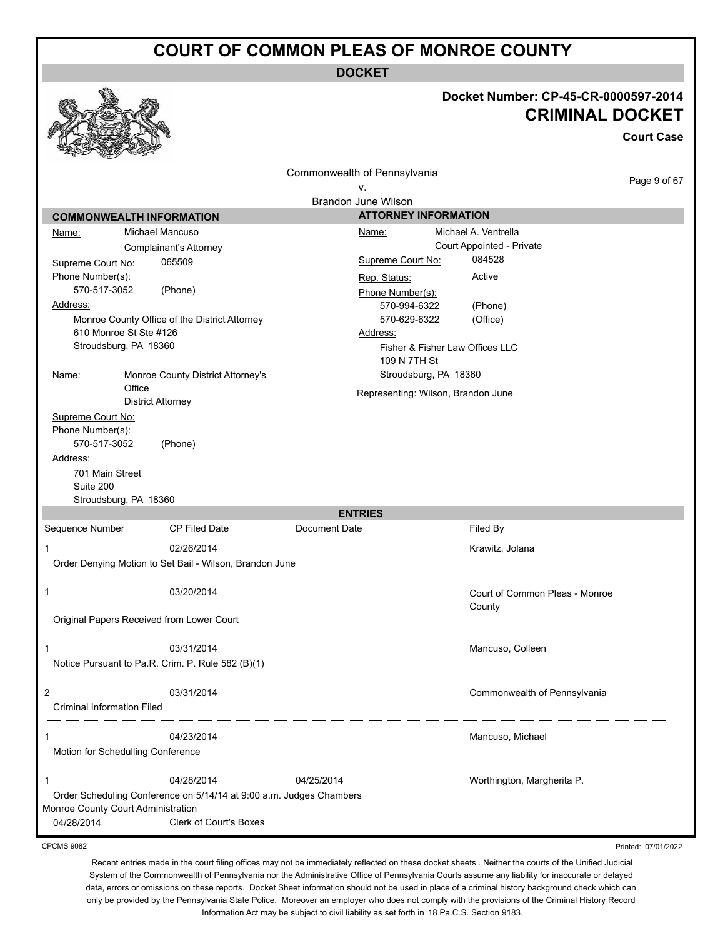**DOCKET**

|                                                                              |                                                                         |                                    |                       | Docket Number: CP-45-CR-0000597-2014<br><b>CRIMINAL DOCKET</b> | <b>Court Case</b>   |
|------------------------------------------------------------------------------|-------------------------------------------------------------------------|------------------------------------|-----------------------|----------------------------------------------------------------|---------------------|
|                                                                              |                                                                         | Commonwealth of Pennsylvania       |                       |                                                                |                     |
|                                                                              |                                                                         | v.                                 |                       |                                                                | Page 9 of 67        |
|                                                                              |                                                                         | Brandon June Wilson                |                       |                                                                |                     |
|                                                                              | <b>COMMONWEALTH INFORMATION</b>                                         | <b>ATTORNEY INFORMATION</b>        |                       |                                                                |                     |
| Name:                                                                        | Michael Mancuso                                                         | Name:                              |                       | Michael A. Ventrella                                           |                     |
|                                                                              | Complainant's Attorney                                                  |                                    |                       | Court Appointed - Private                                      |                     |
| Supreme Court No:                                                            | 065509                                                                  | Supreme Court No:                  |                       | 084528                                                         |                     |
| Phone Number(s):                                                             |                                                                         | Rep. Status:                       |                       | Active                                                         |                     |
| 570-517-3052                                                                 | (Phone)                                                                 | Phone Number(s):                   |                       |                                                                |                     |
| Address:                                                                     |                                                                         | 570-994-6322                       |                       | (Phone)                                                        |                     |
|                                                                              | Monroe County Office of the District Attorney<br>610 Monroe St Ste #126 | 570-629-6322                       |                       | (Office)                                                       |                     |
|                                                                              | Stroudsburg, PA 18360                                                   | Address:                           |                       | Fisher & Fisher Law Offices LLC                                |                     |
|                                                                              |                                                                         | 109 N 7TH St                       |                       |                                                                |                     |
| Name:                                                                        | Monroe County District Attorney's                                       |                                    | Stroudsburg, PA 18360 |                                                                |                     |
|                                                                              | Office                                                                  | Representing: Wilson, Brandon June |                       |                                                                |                     |
|                                                                              | <b>District Attorney</b>                                                |                                    |                       |                                                                |                     |
| Phone Number(s):<br>570-517-3052<br>Address:<br>701 Main Street<br>Suite 200 | (Phone)<br>Stroudsburg, PA 18360                                        |                                    |                       |                                                                |                     |
|                                                                              |                                                                         | <b>ENTRIES</b>                     |                       |                                                                |                     |
| Sequence Number                                                              | <b>CP Filed Date</b>                                                    | Document Date                      |                       | Filed By                                                       |                     |
| 1                                                                            | 02/26/2014                                                              |                                    |                       | Krawitz, Jolana                                                |                     |
|                                                                              | Order Denying Motion to Set Bail - Wilson, Brandon June                 |                                    |                       |                                                                |                     |
| 1                                                                            | 03/20/2014<br>Original Papers Received from Lower Court                 |                                    |                       | Court of Common Pleas - Monroe<br>County                       |                     |
|                                                                              |                                                                         |                                    |                       |                                                                |                     |
| 1                                                                            | 03/31/2014                                                              |                                    |                       | Mancuso, Colleen                                               |                     |
|                                                                              | Notice Pursuant to Pa.R. Crim. P. Rule 582 (B)(1)                       |                                    |                       |                                                                |                     |
|                                                                              |                                                                         |                                    |                       |                                                                |                     |
| $\overline{c}$                                                               | 03/31/2014                                                              |                                    |                       | Commonwealth of Pennsylvania                                   |                     |
| Criminal Information Filed                                                   |                                                                         |                                    |                       |                                                                |                     |
|                                                                              |                                                                         |                                    |                       |                                                                |                     |
|                                                                              | 04/23/2014<br>Motion for Schedulling Conference                         |                                    |                       | Mancuso, Michael                                               |                     |
|                                                                              | 04/28/2014                                                              | 04/25/2014                         |                       | Worthington, Margherita P.                                     |                     |
|                                                                              | Order Scheduling Conference on 5/14/14 at 9:00 a.m. Judges Chambers     |                                    |                       |                                                                |                     |
|                                                                              | Monroe County Court Administration                                      |                                    |                       |                                                                |                     |
| 04/28/2014                                                                   | Clerk of Court's Boxes                                                  |                                    |                       |                                                                |                     |
| <b>CPCMS 9082</b>                                                            |                                                                         |                                    |                       |                                                                | Printed: 07/01/2022 |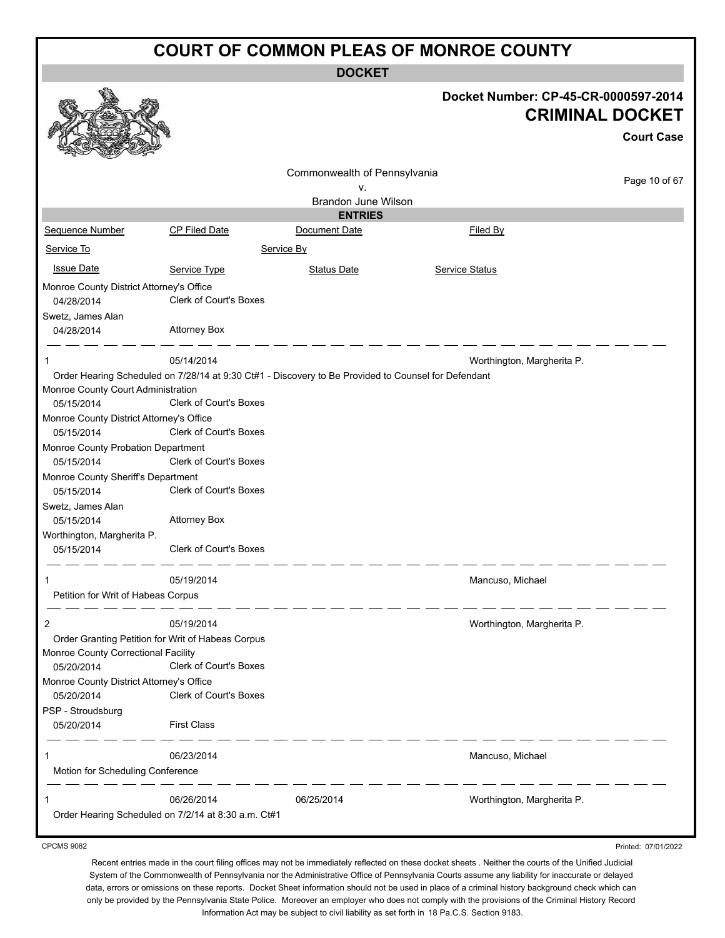**DOCKET**

|                                                                                          |                               | <b>DOCKET</b>                                                                                       |                                                                |                     |
|------------------------------------------------------------------------------------------|-------------------------------|-----------------------------------------------------------------------------------------------------|----------------------------------------------------------------|---------------------|
|                                                                                          |                               |                                                                                                     | Docket Number: CP-45-CR-0000597-2014<br><b>CRIMINAL DOCKET</b> | <b>Court Case</b>   |
|                                                                                          |                               | Commonwealth of Pennsylvania                                                                        |                                                                |                     |
|                                                                                          |                               | ۷.                                                                                                  |                                                                | Page 10 of 67       |
|                                                                                          |                               | <b>Brandon June Wilson</b>                                                                          |                                                                |                     |
| Sequence Number                                                                          | CP Filed Date                 | <b>ENTRIES</b><br>Document Date                                                                     | <b>Filed By</b>                                                |                     |
| Service To                                                                               |                               | Service By                                                                                          |                                                                |                     |
|                                                                                          |                               |                                                                                                     |                                                                |                     |
| <b>Issue Date</b>                                                                        | Service Type                  | <b>Status Date</b>                                                                                  | Service Status                                                 |                     |
| Monroe County District Attorney's Office<br>04/28/2014                                   | <b>Clerk of Court's Boxes</b> |                                                                                                     |                                                                |                     |
| Swetz, James Alan<br>04/28/2014                                                          | <b>Attorney Box</b>           |                                                                                                     |                                                                |                     |
| 1                                                                                        | 05/14/2014                    |                                                                                                     | Worthington, Margherita P.                                     |                     |
|                                                                                          |                               | Order Hearing Scheduled on 7/28/14 at 9:30 Ct#1 - Discovery to Be Provided to Counsel for Defendant |                                                                |                     |
| Monroe County Court Administration                                                       |                               |                                                                                                     |                                                                |                     |
| 05/15/2014                                                                               | Clerk of Court's Boxes        |                                                                                                     |                                                                |                     |
| Monroe County District Attorney's Office                                                 | <b>Clerk of Court's Boxes</b> |                                                                                                     |                                                                |                     |
| 05/15/2014<br>Monroe County Probation Department                                         |                               |                                                                                                     |                                                                |                     |
| 05/15/2014                                                                               | Clerk of Court's Boxes        |                                                                                                     |                                                                |                     |
| Monroe County Sheriff's Department                                                       |                               |                                                                                                     |                                                                |                     |
| 05/15/2014                                                                               | <b>Clerk of Court's Boxes</b> |                                                                                                     |                                                                |                     |
| Swetz, James Alan<br>05/15/2014                                                          | <b>Attorney Box</b>           |                                                                                                     |                                                                |                     |
| Worthington, Margherita P.                                                               |                               |                                                                                                     |                                                                |                     |
| 05/15/2014                                                                               | <b>Clerk of Court's Boxes</b> |                                                                                                     |                                                                |                     |
|                                                                                          | 05/19/2014                    |                                                                                                     | Mancuso, Michael                                               |                     |
| Petition for Writ of Habeas Corpus                                                       |                               |                                                                                                     |                                                                |                     |
| 2                                                                                        | 05/19/2014                    |                                                                                                     | Worthington, Margherita P.                                     |                     |
| Order Granting Petition for Writ of Habeas Corpus<br>Monroe County Correctional Facility |                               |                                                                                                     |                                                                |                     |
| 05/20/2014                                                                               | Clerk of Court's Boxes        |                                                                                                     |                                                                |                     |
| Monroe County District Attorney's Office<br>05/20/2014                                   | <b>Clerk of Court's Boxes</b> |                                                                                                     |                                                                |                     |
| PSP - Stroudsburg                                                                        |                               |                                                                                                     |                                                                |                     |
| 05/20/2014                                                                               | <b>First Class</b>            |                                                                                                     |                                                                |                     |
|                                                                                          | 06/23/2014                    |                                                                                                     | Mancuso, Michael                                               |                     |
| Motion for Scheduling Conference                                                         |                               |                                                                                                     |                                                                |                     |
|                                                                                          | 06/26/2014                    | 06/25/2014                                                                                          | Worthington, Margherita P.                                     |                     |
| Order Hearing Scheduled on 7/2/14 at 8:30 a.m. Ct#1                                      |                               |                                                                                                     |                                                                |                     |
| <b>CPCMS 9082</b>                                                                        |                               |                                                                                                     |                                                                | Printed: 07/01/2022 |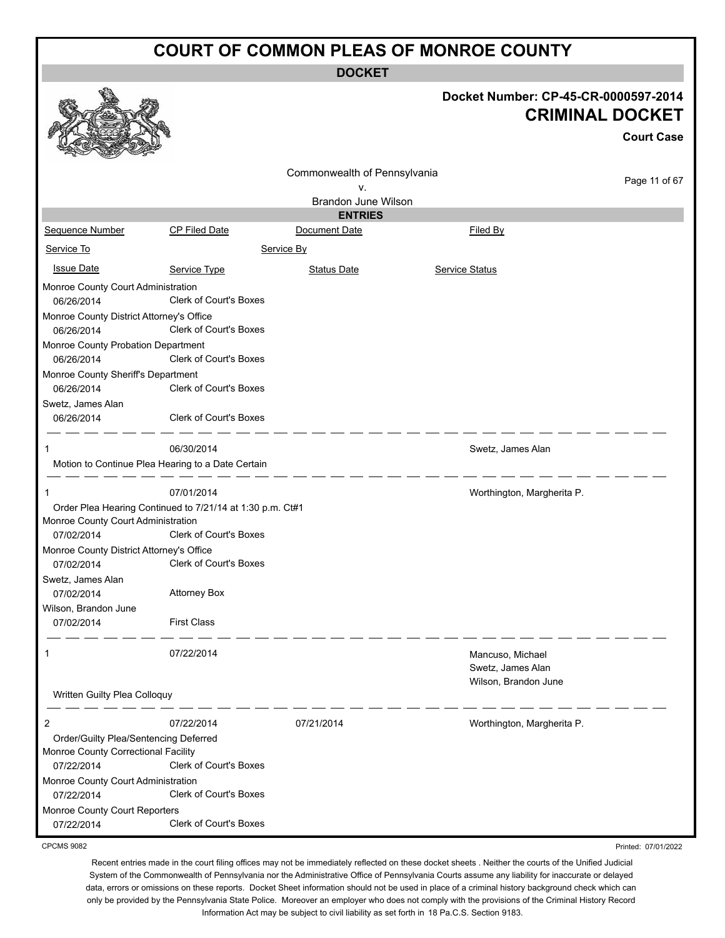**DOCKET**

|                                                                              |                                                           | DUUNE I                      |                                                                |                     |
|------------------------------------------------------------------------------|-----------------------------------------------------------|------------------------------|----------------------------------------------------------------|---------------------|
|                                                                              |                                                           |                              | Docket Number: CP-45-CR-0000597-2014<br><b>CRIMINAL DOCKET</b> |                     |
|                                                                              |                                                           |                              |                                                                | <b>Court Case</b>   |
|                                                                              |                                                           | Commonwealth of Pennsylvania |                                                                |                     |
|                                                                              |                                                           | v.                           |                                                                | Page 11 of 67       |
|                                                                              |                                                           | Brandon June Wilson          |                                                                |                     |
|                                                                              |                                                           | <b>ENTRIES</b>               |                                                                |                     |
| Sequence Number                                                              | <b>CP Filed Date</b>                                      | Document Date                | Filed By                                                       |                     |
| Service To                                                                   |                                                           | Service By                   |                                                                |                     |
| <b>Issue Date</b>                                                            | Service Type                                              | <b>Status Date</b>           | Service Status                                                 |                     |
| Monroe County Court Administration<br>06/26/2014                             | Clerk of Court's Boxes                                    |                              |                                                                |                     |
| Monroe County District Attorney's Office                                     |                                                           |                              |                                                                |                     |
| 06/26/2014                                                                   | <b>Clerk of Court's Boxes</b>                             |                              |                                                                |                     |
| Monroe County Probation Department                                           |                                                           |                              |                                                                |                     |
| 06/26/2014                                                                   | Clerk of Court's Boxes                                    |                              |                                                                |                     |
| Monroe County Sheriff's Department                                           | Clerk of Court's Boxes                                    |                              |                                                                |                     |
| 06/26/2014                                                                   |                                                           |                              |                                                                |                     |
| Swetz, James Alan<br>06/26/2014                                              | Clerk of Court's Boxes                                    |                              |                                                                |                     |
|                                                                              |                                                           |                              |                                                                |                     |
| 1                                                                            | 06/30/2014                                                |                              | Swetz, James Alan                                              |                     |
|                                                                              | Motion to Continue Plea Hearing to a Date Certain         |                              |                                                                |                     |
| 1                                                                            | 07/01/2014                                                |                              | Worthington, Margherita P.                                     |                     |
|                                                                              | Order Plea Hearing Continued to 7/21/14 at 1:30 p.m. Ct#1 |                              |                                                                |                     |
| Monroe County Court Administration                                           |                                                           |                              |                                                                |                     |
| 07/02/2014                                                                   | Clerk of Court's Boxes                                    |                              |                                                                |                     |
| Monroe County District Attorney's Office                                     |                                                           |                              |                                                                |                     |
| 07/02/2014                                                                   | Clerk of Court's Boxes                                    |                              |                                                                |                     |
| Swetz, James Alan                                                            |                                                           |                              |                                                                |                     |
| 07/02/2014                                                                   | <b>Attorney Box</b>                                       |                              |                                                                |                     |
| Wilson, Brandon June                                                         |                                                           |                              |                                                                |                     |
| 07/02/2014                                                                   | <b>First Class</b>                                        |                              |                                                                |                     |
|                                                                              |                                                           |                              |                                                                |                     |
| 1                                                                            | 07/22/2014                                                |                              | Mancuso, Michael<br>Swetz, James Alan                          |                     |
|                                                                              |                                                           |                              | Wilson, Brandon June                                           |                     |
| Written Guilty Plea Colloquy                                                 |                                                           |                              |                                                                |                     |
|                                                                              |                                                           |                              |                                                                |                     |
| $\overline{c}$                                                               | 07/22/2014                                                | 07/21/2014                   | Worthington, Margherita P.                                     |                     |
| Order/Guilty Plea/Sentencing Deferred<br>Monroe County Correctional Facility |                                                           |                              |                                                                |                     |
| 07/22/2014                                                                   | Clerk of Court's Boxes                                    |                              |                                                                |                     |
| Monroe County Court Administration                                           |                                                           |                              |                                                                |                     |
| 07/22/2014                                                                   | Clerk of Court's Boxes                                    |                              |                                                                |                     |
| Monroe County Court Reporters                                                |                                                           |                              |                                                                |                     |
| 07/22/2014                                                                   | Clerk of Court's Boxes                                    |                              |                                                                |                     |
| <b>CPCMS 9082</b>                                                            |                                                           |                              |                                                                | Printed: 07/01/2022 |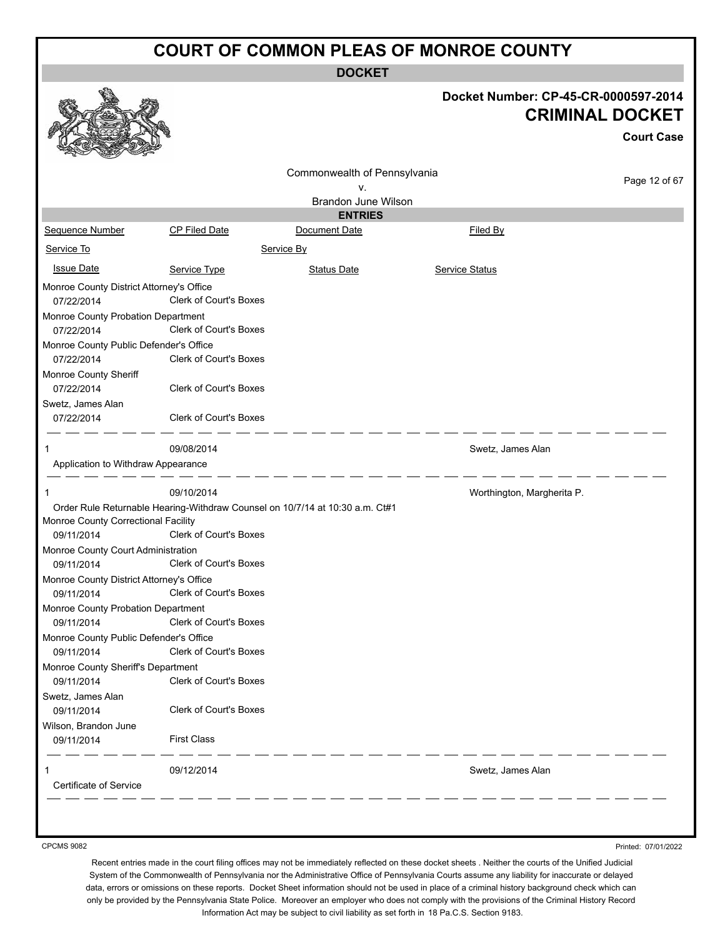**DOCKET**

|                                                                               |                               | DUUNE I                                                                      |                                                                |                   |
|-------------------------------------------------------------------------------|-------------------------------|------------------------------------------------------------------------------|----------------------------------------------------------------|-------------------|
|                                                                               |                               |                                                                              | Docket Number: CP-45-CR-0000597-2014<br><b>CRIMINAL DOCKET</b> | <b>Court Case</b> |
|                                                                               |                               | Commonwealth of Pennsylvania                                                 |                                                                | Page 12 of 67     |
|                                                                               |                               | ۷.                                                                           |                                                                |                   |
|                                                                               |                               | <b>Brandon June Wilson</b>                                                   |                                                                |                   |
| Sequence Number                                                               | <b>CP Filed Date</b>          | <b>ENTRIES</b><br>Document Date                                              | Filed By                                                       |                   |
|                                                                               |                               |                                                                              |                                                                |                   |
| Service To                                                                    |                               | Service By                                                                   |                                                                |                   |
| <b>Issue Date</b>                                                             | Service Type                  | <b>Status Date</b>                                                           | <b>Service Status</b>                                          |                   |
| Monroe County District Attorney's Office<br>07/22/2014                        | <b>Clerk of Court's Boxes</b> |                                                                              |                                                                |                   |
| Monroe County Probation Department<br>07/22/2014                              | <b>Clerk of Court's Boxes</b> |                                                                              |                                                                |                   |
| Monroe County Public Defender's Office<br>07/22/2014<br>Monroe County Sheriff | <b>Clerk of Court's Boxes</b> |                                                                              |                                                                |                   |
| 07/22/2014                                                                    | Clerk of Court's Boxes        |                                                                              |                                                                |                   |
| Swetz, James Alan                                                             |                               |                                                                              |                                                                |                   |
| 07/22/2014                                                                    | <b>Clerk of Court's Boxes</b> |                                                                              |                                                                |                   |
| 1                                                                             | 09/08/2014                    |                                                                              | Swetz, James Alan                                              |                   |
| Application to Withdraw Appearance                                            |                               |                                                                              |                                                                |                   |
| -1                                                                            | 09/10/2014                    |                                                                              | Worthington, Margherita P.                                     |                   |
|                                                                               |                               | Order Rule Returnable Hearing-Withdraw Counsel on 10/7/14 at 10:30 a.m. Ct#1 |                                                                |                   |
| Monroe County Correctional Facility                                           |                               |                                                                              |                                                                |                   |
| 09/11/2014                                                                    | Clerk of Court's Boxes        |                                                                              |                                                                |                   |
| Monroe County Court Administration<br>09/11/2014                              | <b>Clerk of Court's Boxes</b> |                                                                              |                                                                |                   |
| Monroe County District Attorney's Office                                      | <b>Clerk of Court's Boxes</b> |                                                                              |                                                                |                   |
| 09/11/2014<br>Monroe County Probation Department                              |                               |                                                                              |                                                                |                   |
| 09/11/2014                                                                    | <b>Clerk of Court's Boxes</b> |                                                                              |                                                                |                   |
| Monroe County Public Defender's Office<br>09/11/2014                          | <b>Clerk of Court's Boxes</b> |                                                                              |                                                                |                   |
| Monroe County Sheriff's Department                                            |                               |                                                                              |                                                                |                   |
| 09/11/2014                                                                    | <b>Clerk of Court's Boxes</b> |                                                                              |                                                                |                   |
| Swetz, James Alan                                                             |                               |                                                                              |                                                                |                   |
| 09/11/2014                                                                    | Clerk of Court's Boxes        |                                                                              |                                                                |                   |
| Wilson, Brandon June                                                          |                               |                                                                              |                                                                |                   |
| 09/11/2014                                                                    | <b>First Class</b>            |                                                                              |                                                                |                   |
| 1                                                                             | 09/12/2014                    |                                                                              | Swetz, James Alan                                              |                   |
| Certificate of Service                                                        |                               |                                                                              |                                                                |                   |
|                                                                               |                               |                                                                              |                                                                |                   |

CPCMS 9082

Printed: 07/01/2022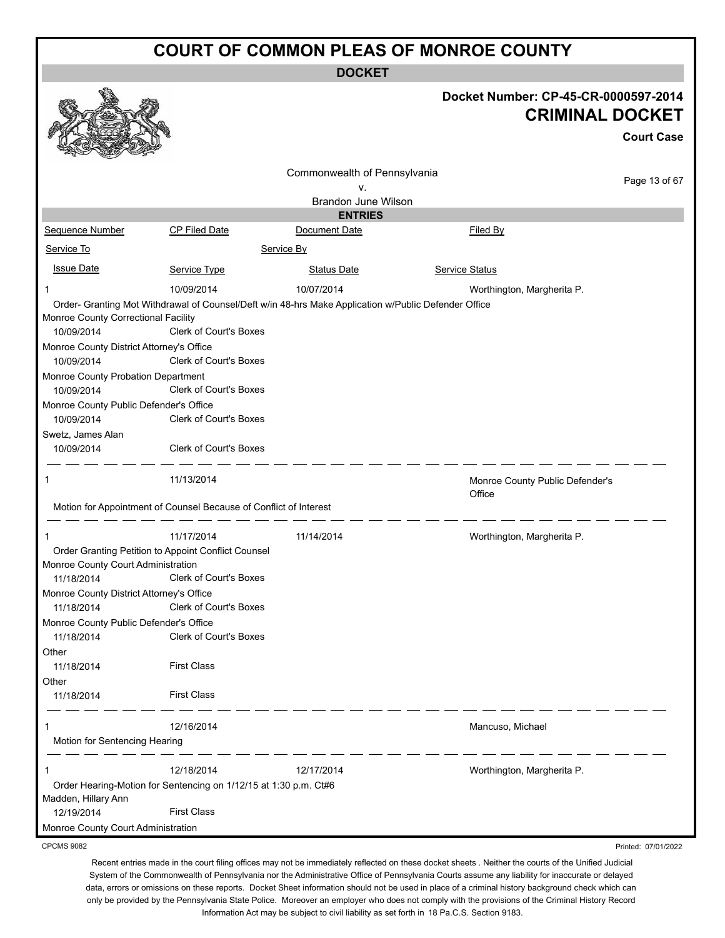**DOCKET**

|                                                                                           |                                                                   |                                                                                                      | Docket Number: CP-45-CR-0000597-2014      |                     |
|-------------------------------------------------------------------------------------------|-------------------------------------------------------------------|------------------------------------------------------------------------------------------------------|-------------------------------------------|---------------------|
|                                                                                           |                                                                   |                                                                                                      | <b>CRIMINAL DOCKET</b>                    |                     |
|                                                                                           |                                                                   |                                                                                                      |                                           | <b>Court Case</b>   |
|                                                                                           |                                                                   | Commonwealth of Pennsylvania                                                                         |                                           | Page 13 of 67       |
|                                                                                           |                                                                   | ٧.<br>Brandon June Wilson                                                                            |                                           |                     |
|                                                                                           |                                                                   | <b>ENTRIES</b>                                                                                       |                                           |                     |
| Sequence Number                                                                           | CP Filed Date                                                     | Document Date                                                                                        | <b>Filed By</b>                           |                     |
| Service To                                                                                |                                                                   | Service By                                                                                           |                                           |                     |
| <b>Issue Date</b>                                                                         | Service Type                                                      | <b>Status Date</b>                                                                                   | <b>Service Status</b>                     |                     |
| 1                                                                                         | 10/09/2014                                                        | 10/07/2014                                                                                           | Worthington, Margherita P.                |                     |
| Monroe County Correctional Facility<br>10/09/2014                                         | <b>Clerk of Court's Boxes</b>                                     | Order- Granting Mot Withdrawal of Counsel/Deft w/in 48-hrs Make Application w/Public Defender Office |                                           |                     |
| Monroe County District Attorney's Office<br>10/09/2014                                    | <b>Clerk of Court's Boxes</b>                                     |                                                                                                      |                                           |                     |
| Monroe County Probation Department                                                        |                                                                   |                                                                                                      |                                           |                     |
| 10/09/2014                                                                                | <b>Clerk of Court's Boxes</b>                                     |                                                                                                      |                                           |                     |
| Monroe County Public Defender's Office<br>10/09/2014                                      | <b>Clerk of Court's Boxes</b>                                     |                                                                                                      |                                           |                     |
| Swetz, James Alan                                                                         |                                                                   |                                                                                                      |                                           |                     |
| 10/09/2014                                                                                | Clerk of Court's Boxes                                            |                                                                                                      |                                           |                     |
| $\mathbf 1$                                                                               | 11/13/2014                                                        |                                                                                                      | Monroe County Public Defender's<br>Office |                     |
|                                                                                           | Motion for Appointment of Counsel Because of Conflict of Interest |                                                                                                      |                                           |                     |
| $\mathbf 1$                                                                               | 11/17/2014                                                        | 11/14/2014                                                                                           | Worthington, Margherita P.                |                     |
| Order Granting Petition to Appoint Conflict Counsel<br>Monroe County Court Administration |                                                                   |                                                                                                      |                                           |                     |
| 11/18/2014                                                                                | Clerk of Court's Boxes                                            |                                                                                                      |                                           |                     |
| Monroe County District Attorney's Office<br>11/18/2014 Clerk of Court's Boxes             |                                                                   |                                                                                                      |                                           |                     |
| Monroe County Public Defender's Office                                                    |                                                                   |                                                                                                      |                                           |                     |
| 11/18/2014                                                                                | <b>Clerk of Court's Boxes</b>                                     |                                                                                                      |                                           |                     |
| Other                                                                                     |                                                                   |                                                                                                      |                                           |                     |
| 11/18/2014                                                                                | <b>First Class</b>                                                |                                                                                                      |                                           |                     |
| Other                                                                                     |                                                                   |                                                                                                      |                                           |                     |
| 11/18/2014                                                                                | <b>First Class</b>                                                |                                                                                                      |                                           |                     |
| 1                                                                                         | 12/16/2014                                                        |                                                                                                      | Mancuso, Michael                          |                     |
| Motion for Sentencing Hearing                                                             |                                                                   |                                                                                                      |                                           |                     |
| 1                                                                                         | 12/18/2014                                                        | 12/17/2014                                                                                           | Worthington, Margherita P.                |                     |
|                                                                                           | Order Hearing-Motion for Sentencing on 1/12/15 at 1:30 p.m. Ct#6  |                                                                                                      |                                           |                     |
| Madden, Hillary Ann<br>12/19/2014                                                         | <b>First Class</b>                                                |                                                                                                      |                                           |                     |
| Monroe County Court Administration                                                        |                                                                   |                                                                                                      |                                           |                     |
| <b>CPCMS 9082</b>                                                                         |                                                                   |                                                                                                      |                                           | Printed: 07/01/2022 |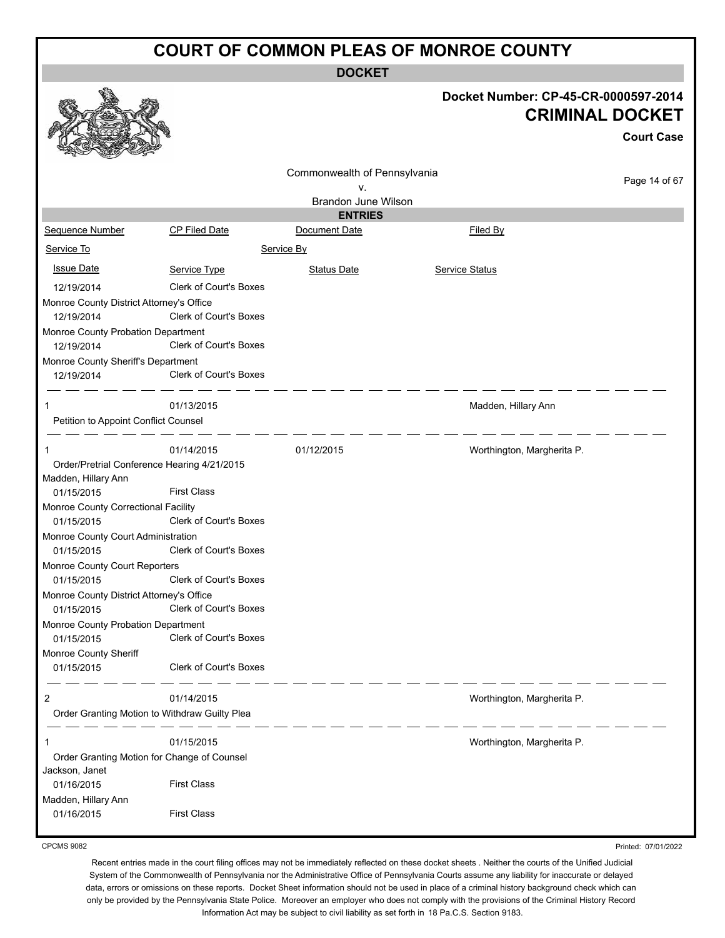**DOCKET**

|                                                  |                                               | ואטשע                        |                                                                |                   |
|--------------------------------------------------|-----------------------------------------------|------------------------------|----------------------------------------------------------------|-------------------|
|                                                  |                                               |                              | Docket Number: CP-45-CR-0000597-2014<br><b>CRIMINAL DOCKET</b> | <b>Court Case</b> |
|                                                  |                                               | Commonwealth of Pennsylvania |                                                                |                   |
|                                                  |                                               | ٧.                           |                                                                | Page 14 of 67     |
|                                                  |                                               | Brandon June Wilson          |                                                                |                   |
|                                                  |                                               | <b>ENTRIES</b>               |                                                                |                   |
| Sequence Number                                  | <b>CP Filed Date</b>                          | Document Date                | Filed By                                                       |                   |
| Service To                                       |                                               | Service By                   |                                                                |                   |
| <b>Issue Date</b>                                | Service Type                                  | <b>Status Date</b>           | <b>Service Status</b>                                          |                   |
| 12/19/2014                                       | <b>Clerk of Court's Boxes</b>                 |                              |                                                                |                   |
| Monroe County District Attorney's Office         |                                               |                              |                                                                |                   |
| 12/19/2014                                       | <b>Clerk of Court's Boxes</b>                 |                              |                                                                |                   |
| Monroe County Probation Department               |                                               |                              |                                                                |                   |
| 12/19/2014                                       | <b>Clerk of Court's Boxes</b>                 |                              |                                                                |                   |
| Monroe County Sheriff's Department               |                                               |                              |                                                                |                   |
| 12/19/2014                                       | Clerk of Court's Boxes                        |                              |                                                                |                   |
| 1                                                | 01/13/2015                                    |                              | Madden, Hillary Ann                                            |                   |
| Petition to Appoint Conflict Counsel             |                                               |                              |                                                                |                   |
|                                                  |                                               |                              |                                                                |                   |
| 1                                                | 01/14/2015                                    | 01/12/2015                   | Worthington, Margherita P.                                     |                   |
| Order/Pretrial Conference Hearing 4/21/2015      |                                               |                              |                                                                |                   |
| Madden, Hillary Ann                              |                                               |                              |                                                                |                   |
| 01/15/2015                                       | <b>First Class</b>                            |                              |                                                                |                   |
| Monroe County Correctional Facility              |                                               |                              |                                                                |                   |
| 01/15/2015                                       | Clerk of Court's Boxes                        |                              |                                                                |                   |
| Monroe County Court Administration               |                                               |                              |                                                                |                   |
| 01/15/2015                                       | <b>Clerk of Court's Boxes</b>                 |                              |                                                                |                   |
| Monroe County Court Reporters<br>01/15/2015      | <b>Clerk of Court's Boxes</b>                 |                              |                                                                |                   |
| Monroe County District Attorney's Office         |                                               |                              |                                                                |                   |
| 01/15/2015                                       | Clerk of Court's Boxes                        |                              |                                                                |                   |
| Monroe County Probation Department               |                                               |                              |                                                                |                   |
| 01/15/2015                                       | Clerk of Court's Boxes                        |                              |                                                                |                   |
| Monroe County Sheriff                            |                                               |                              |                                                                |                   |
| 01/15/2015                                       | Clerk of Court's Boxes                        |                              |                                                                |                   |
|                                                  |                                               |                              |                                                                |                   |
| $\overline{c}$                                   | 01/14/2015                                    |                              | Worthington, Margherita P.                                     |                   |
|                                                  | Order Granting Motion to Withdraw Guilty Plea |                              |                                                                |                   |
| . __ __ __ __ __                                 |                                               |                              |                                                                |                   |
| 1<br>Order Granting Motion for Change of Counsel | 01/15/2015                                    |                              | Worthington, Margherita P.                                     |                   |
| Jackson, Janet                                   |                                               |                              |                                                                |                   |
| 01/16/2015                                       | <b>First Class</b>                            |                              |                                                                |                   |
| Madden, Hillary Ann                              |                                               |                              |                                                                |                   |
| 01/16/2015                                       | <b>First Class</b>                            |                              |                                                                |                   |
|                                                  |                                               |                              |                                                                |                   |

CPCMS 9082

Recent entries made in the court filing offices may not be immediately reflected on these docket sheets . Neither the courts of the Unified Judicial System of the Commonwealth of Pennsylvania nor the Administrative Office of Pennsylvania Courts assume any liability for inaccurate or delayed data, errors or omissions on these reports. Docket Sheet information should not be used in place of a criminal history background check which can only be provided by the Pennsylvania State Police. Moreover an employer who does not comply with the provisions of the Criminal History Record Information Act may be subject to civil liability as set forth in 18 Pa.C.S. Section 9183.

Printed: 07/01/2022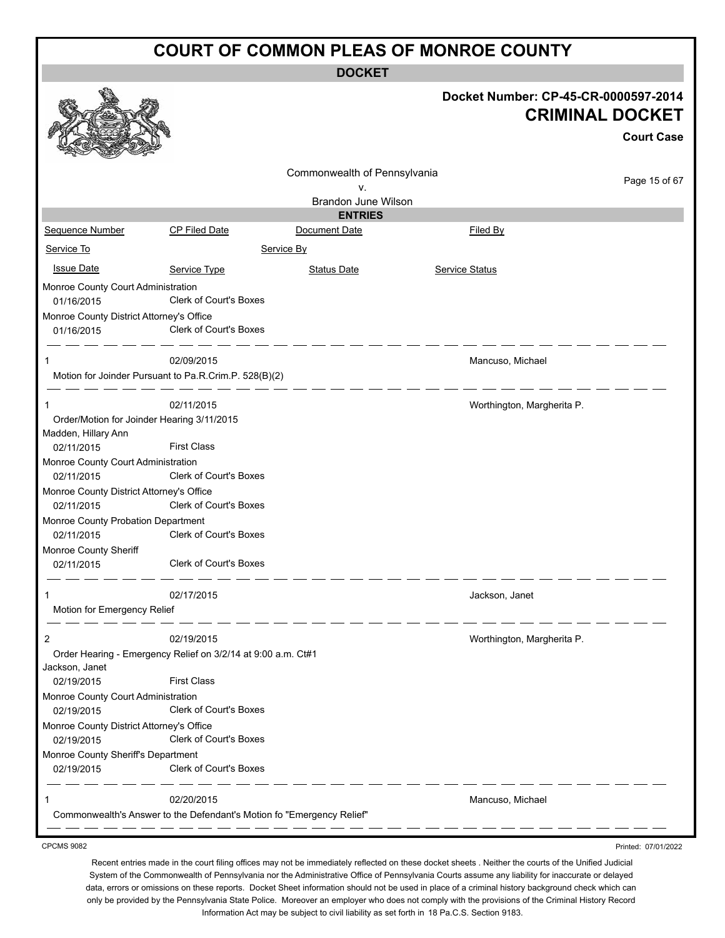**DOCKET**

|                                                        |                                                              |                                                                       | Docket Number: CP-45-CR-0000597-2014 |                   |
|--------------------------------------------------------|--------------------------------------------------------------|-----------------------------------------------------------------------|--------------------------------------|-------------------|
|                                                        |                                                              |                                                                       | <b>CRIMINAL DOCKET</b>               |                   |
|                                                        |                                                              |                                                                       |                                      | <b>Court Case</b> |
|                                                        |                                                              |                                                                       |                                      |                   |
|                                                        |                                                              | Commonwealth of Pennsylvania                                          |                                      | Page 15 of 67     |
|                                                        |                                                              | ν.<br>Brandon June Wilson                                             |                                      |                   |
|                                                        |                                                              | <b>ENTRIES</b>                                                        |                                      |                   |
| Sequence Number                                        | CP Filed Date                                                | Document Date                                                         | Filed By                             |                   |
| Service To                                             |                                                              | Service By                                                            |                                      |                   |
| <b>Issue Date</b>                                      | Service Type                                                 | <b>Status Date</b>                                                    | <b>Service Status</b>                |                   |
| Monroe County Court Administration                     |                                                              |                                                                       |                                      |                   |
| 01/16/2015                                             | <b>Clerk of Court's Boxes</b>                                |                                                                       |                                      |                   |
| Monroe County District Attorney's Office<br>01/16/2015 | <b>Clerk of Court's Boxes</b>                                |                                                                       |                                      |                   |
| 1                                                      | 02/09/2015                                                   |                                                                       | Mancuso, Michael                     |                   |
|                                                        | Motion for Joinder Pursuant to Pa.R.Crim.P. 528(B)(2)        |                                                                       |                                      |                   |
| 1                                                      | 02/11/2015                                                   |                                                                       | Worthington, Margherita P.           |                   |
| Order/Motion for Joinder Hearing 3/11/2015             |                                                              |                                                                       |                                      |                   |
| Madden, Hillary Ann                                    |                                                              |                                                                       |                                      |                   |
| 02/11/2015                                             | <b>First Class</b>                                           |                                                                       |                                      |                   |
| Monroe County Court Administration<br>02/11/2015       | Clerk of Court's Boxes                                       |                                                                       |                                      |                   |
| Monroe County District Attorney's Office               |                                                              |                                                                       |                                      |                   |
| 02/11/2015                                             | Clerk of Court's Boxes                                       |                                                                       |                                      |                   |
| Monroe County Probation Department                     |                                                              |                                                                       |                                      |                   |
| 02/11/2015                                             | Clerk of Court's Boxes                                       |                                                                       |                                      |                   |
| Monroe County Sheriff<br>02/11/2015                    | Clerk of Court's Boxes                                       |                                                                       |                                      |                   |
| 1                                                      | 02/17/2015                                                   |                                                                       | Jackson, Janet                       |                   |
| Motion for Emergency Relief                            |                                                              |                                                                       |                                      |                   |
| 2                                                      | 02/19/2015                                                   |                                                                       | Worthington, Margherita P.           |                   |
|                                                        | Order Hearing - Emergency Relief on 3/2/14 at 9:00 a.m. Ct#1 |                                                                       |                                      |                   |
| Jackson, Janet<br>02/19/2015                           | <b>First Class</b>                                           |                                                                       |                                      |                   |
| Monroe County Court Administration<br>02/19/2015       | Clerk of Court's Boxes                                       |                                                                       |                                      |                   |
| Monroe County District Attorney's Office<br>02/19/2015 | Clerk of Court's Boxes                                       |                                                                       |                                      |                   |
| Monroe County Sheriff's Department                     |                                                              |                                                                       |                                      |                   |
| 02/19/2015                                             | Clerk of Court's Boxes                                       |                                                                       |                                      |                   |
| 1                                                      | 02/20/2015                                                   |                                                                       | Mancuso, Michael                     |                   |
|                                                        |                                                              | Commonwealth's Answer to the Defendant's Motion fo "Emergency Relief" |                                      |                   |
|                                                        |                                                              |                                                                       |                                      |                   |

CPCMS 9082

Printed: 07/01/2022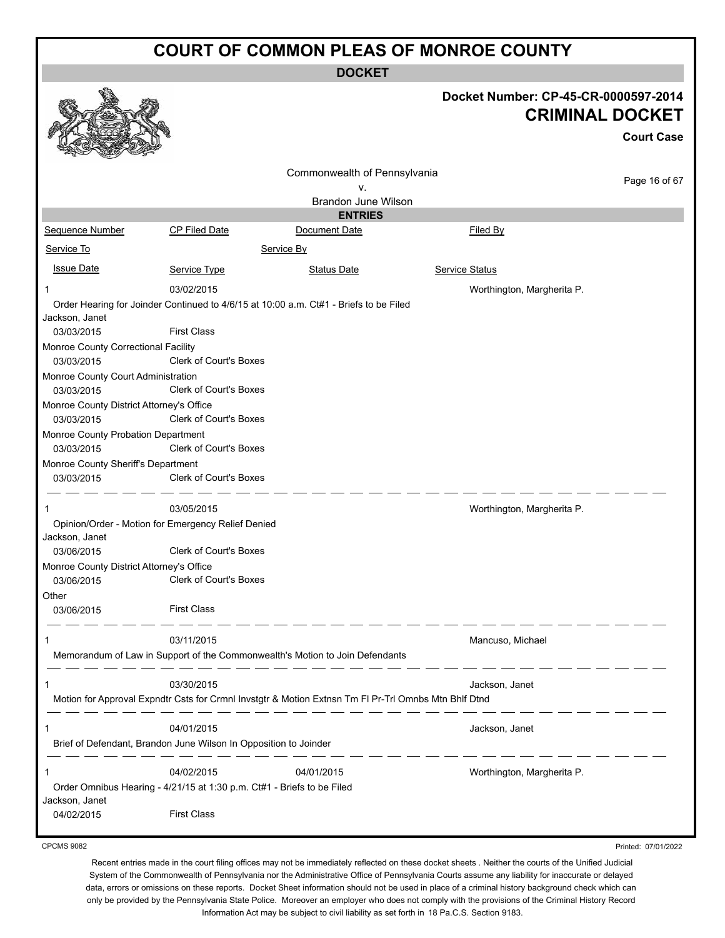**DOCKET**

|                                                                 |                                                                                                             |                              | Docket Number: CP-45-CR-0000597-2014<br><b>CRIMINAL DOCKET</b> |
|-----------------------------------------------------------------|-------------------------------------------------------------------------------------------------------------|------------------------------|----------------------------------------------------------------|
|                                                                 |                                                                                                             |                              | <b>Court Case</b>                                              |
|                                                                 |                                                                                                             | Commonwealth of Pennsylvania |                                                                |
|                                                                 |                                                                                                             | v.                           | Page 16 of 67                                                  |
|                                                                 |                                                                                                             | Brandon June Wilson          |                                                                |
|                                                                 |                                                                                                             | <b>ENTRIES</b>               |                                                                |
| Sequence Number                                                 | CP Filed Date                                                                                               | Document Date                | Filed By                                                       |
| Service To                                                      |                                                                                                             | Service By                   |                                                                |
| <b>Issue Date</b>                                               | Service Type                                                                                                | <b>Status Date</b>           | <b>Service Status</b>                                          |
| 1                                                               | 03/02/2015                                                                                                  |                              | Worthington, Margherita P.                                     |
| Jackson, Janet                                                  | Order Hearing for Joinder Continued to 4/6/15 at 10:00 a.m. Ct#1 - Briefs to be Filed<br><b>First Class</b> |                              |                                                                |
| 03/03/2015<br>Monroe County Correctional Facility<br>03/03/2015 | Clerk of Court's Boxes                                                                                      |                              |                                                                |
| Monroe County Court Administration<br>03/03/2015                | Clerk of Court's Boxes                                                                                      |                              |                                                                |
| Monroe County District Attorney's Office<br>03/03/2015          | <b>Clerk of Court's Boxes</b>                                                                               |                              |                                                                |
| Monroe County Probation Department<br>03/03/2015                | Clerk of Court's Boxes                                                                                      |                              |                                                                |
| Monroe County Sheriff's Department                              |                                                                                                             |                              |                                                                |
| 03/03/2015                                                      | Clerk of Court's Boxes                                                                                      |                              |                                                                |
|                                                                 | 03/05/2015                                                                                                  |                              | Worthington, Margherita P.                                     |
| Jackson, Janet                                                  | Opinion/Order - Motion for Emergency Relief Denied                                                          |                              |                                                                |
| 03/06/2015                                                      | <b>Clerk of Court's Boxes</b>                                                                               |                              |                                                                |
| Monroe County District Attorney's Office<br>03/06/2015          | <b>Clerk of Court's Boxes</b>                                                                               |                              |                                                                |
| Other                                                           |                                                                                                             |                              |                                                                |
| 03/06/2015                                                      | <b>First Class</b>                                                                                          |                              |                                                                |
| 1                                                               | 03/11/2015                                                                                                  |                              | Mancuso, Michael                                               |
|                                                                 | Memorandum of Law in Support of the Commonwealth's Motion to Join Defendants                                |                              |                                                                |
| 1                                                               | 03/30/2015                                                                                                  |                              | Jackson, Janet                                                 |
|                                                                 | Motion for Approval Expndtr Csts for Crmnl Invstgtr & Motion Extnsn Tm FI Pr-Trl Omnbs Mtn Bhlf Dtnd        |                              |                                                                |
| 1                                                               | 04/01/2015                                                                                                  |                              | Jackson, Janet                                                 |
|                                                                 | Brief of Defendant, Brandon June Wilson In Opposition to Joinder                                            |                              |                                                                |
| 1                                                               | 04/02/2015                                                                                                  | 04/01/2015                   | Worthington, Margherita P.                                     |
|                                                                 | Order Omnibus Hearing - 4/21/15 at 1:30 p.m. Ct#1 - Briefs to be Filed                                      |                              |                                                                |
| Jackson, Janet                                                  |                                                                                                             |                              |                                                                |
| 04/02/2015                                                      | <b>First Class</b>                                                                                          |                              |                                                                |

CPCMS 9082

Printed: 07/01/2022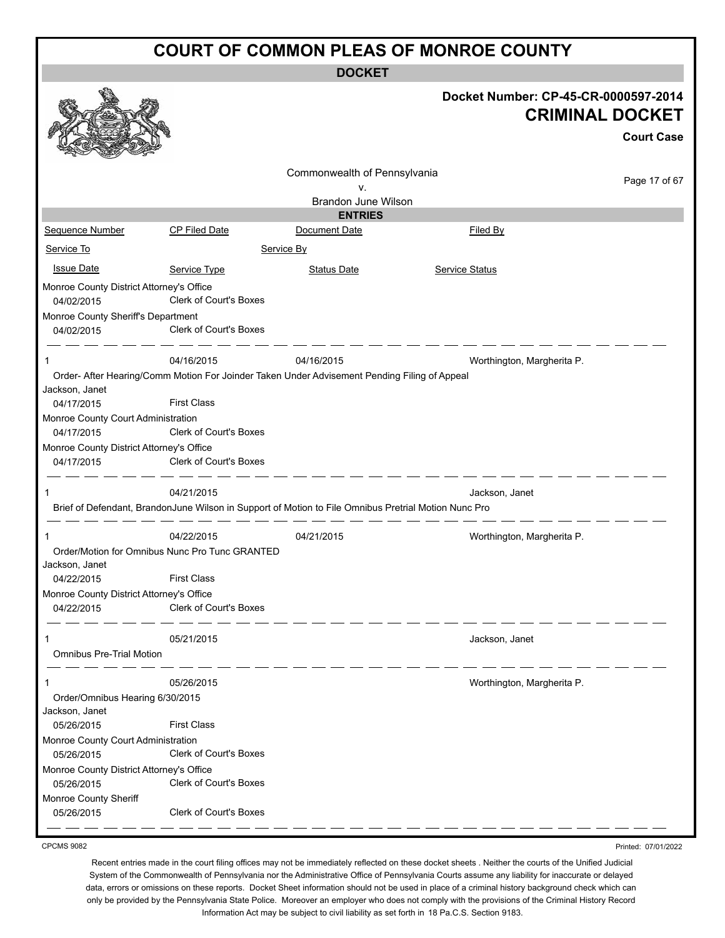**DOCKET**

|                                                        |                                                                                                      | <b>DOCKET</b>                      |                                                                                     |
|--------------------------------------------------------|------------------------------------------------------------------------------------------------------|------------------------------------|-------------------------------------------------------------------------------------|
|                                                        |                                                                                                      |                                    | Docket Number: CP-45-CR-0000597-2014<br><b>CRIMINAL DOCKET</b><br><b>Court Case</b> |
|                                                        |                                                                                                      |                                    |                                                                                     |
|                                                        |                                                                                                      | Commonwealth of Pennsylvania<br>v. | Page 17 of 67                                                                       |
|                                                        |                                                                                                      | <b>Brandon June Wilson</b>         |                                                                                     |
|                                                        |                                                                                                      | <b>ENTRIES</b>                     |                                                                                     |
| <b>Sequence Number</b>                                 | <b>CP Filed Date</b>                                                                                 | Document Date                      | Filed By                                                                            |
| Service To                                             |                                                                                                      | Service By                         |                                                                                     |
| <b>Issue Date</b>                                      | Service Type                                                                                         | <b>Status Date</b>                 | <b>Service Status</b>                                                               |
|                                                        |                                                                                                      |                                    |                                                                                     |
| Monroe County District Attorney's Office<br>04/02/2015 | Clerk of Court's Boxes                                                                               |                                    |                                                                                     |
| Monroe County Sheriff's Department                     |                                                                                                      |                                    |                                                                                     |
| 04/02/2015                                             | <b>Clerk of Court's Boxes</b>                                                                        |                                    |                                                                                     |
| 1                                                      | 04/16/2015                                                                                           | 04/16/2015                         | Worthington, Margherita P.                                                          |
|                                                        | Order- After Hearing/Comm Motion For Joinder Taken Under Advisement Pending Filing of Appeal         |                                    |                                                                                     |
| Jackson, Janet<br>04/17/2015                           | <b>First Class</b>                                                                                   |                                    |                                                                                     |
| Monroe County Court Administration                     |                                                                                                      |                                    |                                                                                     |
| 04/17/2015                                             | Clerk of Court's Boxes                                                                               |                                    |                                                                                     |
| Monroe County District Attorney's Office               |                                                                                                      |                                    |                                                                                     |
| 04/17/2015                                             | Clerk of Court's Boxes                                                                               |                                    |                                                                                     |
|                                                        | 04/21/2015                                                                                           |                                    | Jackson, Janet                                                                      |
|                                                        | Brief of Defendant, BrandonJune Wilson in Support of Motion to File Omnibus Pretrial Motion Nunc Pro |                                    |                                                                                     |
|                                                        | 04/22/2015                                                                                           | 04/21/2015                         | Worthington, Margherita P.                                                          |
|                                                        | Order/Motion for Omnibus Nunc Pro Tunc GRANTED                                                       |                                    |                                                                                     |
| Jackson, Janet                                         |                                                                                                      |                                    |                                                                                     |
| 04/22/2015                                             | <b>First Class</b>                                                                                   |                                    |                                                                                     |
| Monroe County District Attorney's Office               |                                                                                                      |                                    |                                                                                     |
| 04/22/2015                                             | Clerk of Court's Boxes                                                                               |                                    |                                                                                     |
| 1                                                      | 05/21/2015                                                                                           |                                    | Jackson, Janet                                                                      |
| <b>Omnibus Pre-Trial Motion</b>                        |                                                                                                      |                                    |                                                                                     |
| 1                                                      | 05/26/2015                                                                                           |                                    | Worthington, Margherita P.                                                          |
| Order/Omnibus Hearing 6/30/2015                        |                                                                                                      |                                    |                                                                                     |
| Jackson, Janet<br>05/26/2015                           | <b>First Class</b>                                                                                   |                                    |                                                                                     |
| Monroe County Court Administration<br>05/26/2015       | Clerk of Court's Boxes                                                                               |                                    |                                                                                     |
| Monroe County District Attorney's Office               |                                                                                                      |                                    |                                                                                     |
| 05/26/2015                                             | Clerk of Court's Boxes                                                                               |                                    |                                                                                     |
| Monroe County Sheriff                                  |                                                                                                      |                                    |                                                                                     |
| 05/26/2015                                             | Clerk of Court's Boxes                                                                               |                                    |                                                                                     |
|                                                        |                                                                                                      |                                    |                                                                                     |

CPCMS 9082

Printed: 07/01/2022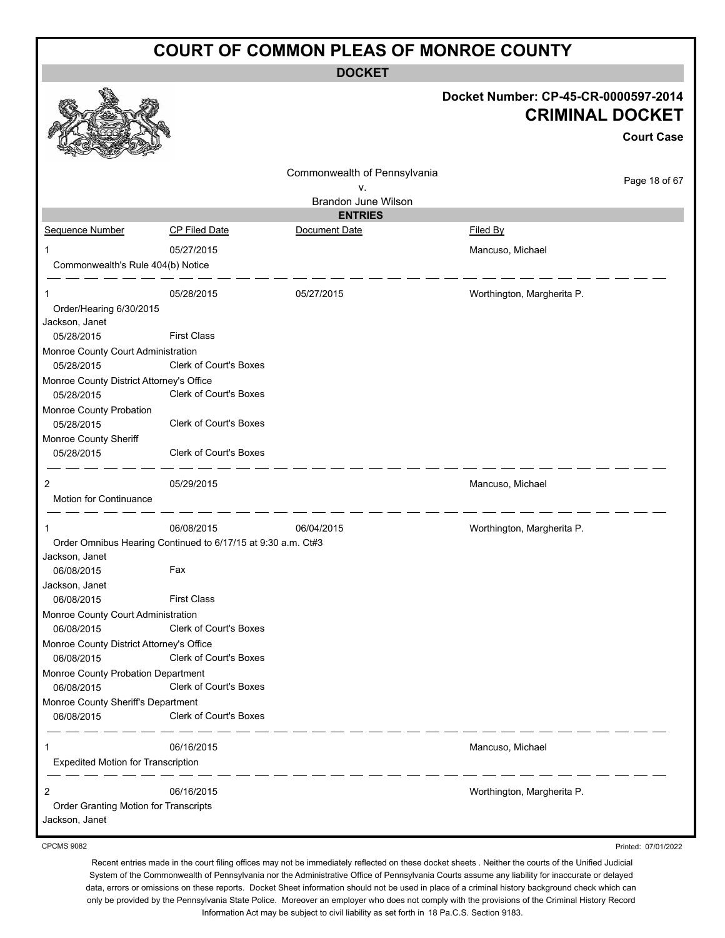**DOCKET**

|                                                         |                                                              |                                    | Docket Number: CP-45-CR-0000597-2014 | <b>CRIMINAL DOCKET</b><br><b>Court Case</b> |
|---------------------------------------------------------|--------------------------------------------------------------|------------------------------------|--------------------------------------|---------------------------------------------|
|                                                         |                                                              |                                    |                                      |                                             |
|                                                         |                                                              | Commonwealth of Pennsylvania<br>۷. |                                      | Page 18 of 67                               |
|                                                         |                                                              | <b>Brandon June Wilson</b>         |                                      |                                             |
|                                                         |                                                              | <b>ENTRIES</b>                     |                                      |                                             |
| Sequence Number                                         | CP Filed Date                                                | Document Date                      | Filed By                             |                                             |
|                                                         | 05/27/2015                                                   |                                    | Mancuso, Michael                     |                                             |
| Commonwealth's Rule 404(b) Notice                       |                                                              |                                    |                                      |                                             |
| 1                                                       | 05/28/2015                                                   | 05/27/2015                         | Worthington, Margherita P.           |                                             |
| Order/Hearing 6/30/2015                                 |                                                              |                                    |                                      |                                             |
| Jackson, Janet                                          |                                                              |                                    |                                      |                                             |
| 05/28/2015                                              | <b>First Class</b>                                           |                                    |                                      |                                             |
| Monroe County Court Administration<br>05/28/2015        | Clerk of Court's Boxes                                       |                                    |                                      |                                             |
| Monroe County District Attorney's Office                |                                                              |                                    |                                      |                                             |
| 05/28/2015                                              | Clerk of Court's Boxes                                       |                                    |                                      |                                             |
| Monroe County Probation                                 |                                                              |                                    |                                      |                                             |
| 05/28/2015                                              | <b>Clerk of Court's Boxes</b>                                |                                    |                                      |                                             |
| Monroe County Sheriff<br>05/28/2015                     | <b>Clerk of Court's Boxes</b>                                |                                    |                                      |                                             |
| 2                                                       | 05/29/2015                                                   |                                    | Mancuso, Michael                     |                                             |
| Motion for Continuance                                  |                                                              |                                    |                                      |                                             |
|                                                         | 06/08/2015                                                   | 06/04/2015                         | Worthington, Margherita P.           |                                             |
|                                                         | Order Omnibus Hearing Continued to 6/17/15 at 9:30 a.m. Ct#3 |                                    |                                      |                                             |
| Jackson, Janet                                          |                                                              |                                    |                                      |                                             |
| 06/08/2015                                              | Fax                                                          |                                    |                                      |                                             |
| Jackson, Janet<br>06/08/2015                            | <b>First Class</b>                                           |                                    |                                      |                                             |
| Monroe County Court Administration                      |                                                              |                                    |                                      |                                             |
| 06/08/2015                                              | Clerk of Court's Boxes                                       |                                    |                                      |                                             |
| Monroe County District Attorney's Office                |                                                              |                                    |                                      |                                             |
| 06/08/2015                                              | Clerk of Court's Boxes                                       |                                    |                                      |                                             |
| Monroe County Probation Department<br>06/08/2015        | Clerk of Court's Boxes                                       |                                    |                                      |                                             |
| Monroe County Sheriff's Department                      |                                                              |                                    |                                      |                                             |
| 06/08/2015                                              | Clerk of Court's Boxes                                       |                                    |                                      |                                             |
|                                                         | 06/16/2015                                                   |                                    | Mancuso, Michael                     |                                             |
| <b>Expedited Motion for Transcription</b>               |                                                              |                                    |                                      |                                             |
| 2                                                       | 06/16/2015                                                   |                                    | Worthington, Margherita P.           |                                             |
| Order Granting Motion for Transcripts<br>Jackson, Janet |                                                              |                                    |                                      |                                             |
| <b>CPCMS 9082</b>                                       |                                                              |                                    |                                      | Printed: 07/01/2022                         |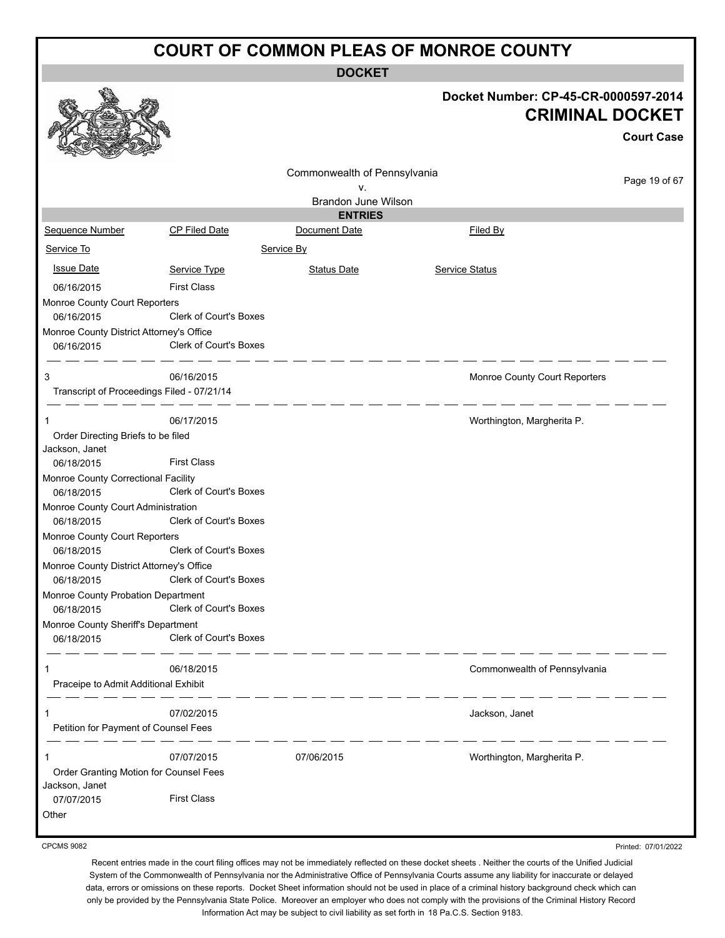**DOCKET**

|                                                          |                               | DUUNE I                      |                                                                |                   |
|----------------------------------------------------------|-------------------------------|------------------------------|----------------------------------------------------------------|-------------------|
|                                                          |                               |                              | Docket Number: CP-45-CR-0000597-2014<br><b>CRIMINAL DOCKET</b> |                   |
|                                                          |                               |                              |                                                                | <b>Court Case</b> |
|                                                          |                               | Commonwealth of Pennsylvania |                                                                | Page 19 of 67     |
|                                                          |                               | ۷.                           |                                                                |                   |
|                                                          |                               | Brandon June Wilson          |                                                                |                   |
|                                                          |                               | <b>ENTRIES</b>               |                                                                |                   |
| Sequence Number                                          | <b>CP Filed Date</b>          | Document Date                | Filed By                                                       |                   |
| Service To                                               |                               | Service By                   |                                                                |                   |
| <b>Issue Date</b>                                        | Service Type                  | <b>Status Date</b>           | Service Status                                                 |                   |
| 06/16/2015                                               | <b>First Class</b>            |                              |                                                                |                   |
| Monroe County Court Reporters                            |                               |                              |                                                                |                   |
| 06/16/2015                                               | Clerk of Court's Boxes        |                              |                                                                |                   |
| Monroe County District Attorney's Office                 |                               |                              |                                                                |                   |
| 06/16/2015                                               | <b>Clerk of Court's Boxes</b> |                              |                                                                |                   |
| 3                                                        | 06/16/2015                    |                              | Monroe County Court Reporters                                  |                   |
| Transcript of Proceedings Filed - 07/21/14               |                               |                              |                                                                |                   |
| 1                                                        | 06/17/2015                    |                              | Worthington, Margherita P.                                     |                   |
| Order Directing Briefs to be filed                       |                               |                              |                                                                |                   |
| Jackson, Janet                                           |                               |                              |                                                                |                   |
| 06/18/2015                                               | <b>First Class</b>            |                              |                                                                |                   |
| Monroe County Correctional Facility                      | Clerk of Court's Boxes        |                              |                                                                |                   |
| 06/18/2015                                               |                               |                              |                                                                |                   |
| Monroe County Court Administration<br>06/18/2015         | <b>Clerk of Court's Boxes</b> |                              |                                                                |                   |
| Monroe County Court Reporters                            |                               |                              |                                                                |                   |
| 06/18/2015                                               | <b>Clerk of Court's Boxes</b> |                              |                                                                |                   |
| Monroe County District Attorney's Office                 |                               |                              |                                                                |                   |
| 06/18/2015                                               | <b>Clerk of Court's Boxes</b> |                              |                                                                |                   |
| Monroe County Probation Department                       |                               |                              |                                                                |                   |
| 06/18/2015                                               | Clerk of Court's Boxes        |                              |                                                                |                   |
| Monroe County Sheriff's Department                       |                               |                              |                                                                |                   |
| 06/18/2015                                               | Clerk of Court's Boxes        |                              |                                                                |                   |
| 1                                                        | 06/18/2015                    |                              | Commonwealth of Pennsylvania                                   |                   |
| Praceipe to Admit Additional Exhibit                     |                               |                              |                                                                |                   |
| 1                                                        | 07/02/2015                    |                              | Jackson, Janet                                                 |                   |
| Petition for Payment of Counsel Fees                     |                               |                              |                                                                |                   |
| 1                                                        | 07/07/2015                    | 07/06/2015                   | Worthington, Margherita P.                                     |                   |
| Order Granting Motion for Counsel Fees<br>Jackson, Janet |                               |                              |                                                                |                   |
| 07/07/2015                                               | <b>First Class</b>            |                              |                                                                |                   |
| Other                                                    |                               |                              |                                                                |                   |
|                                                          |                               |                              |                                                                |                   |

CPCMS 9082

Printed: 07/01/2022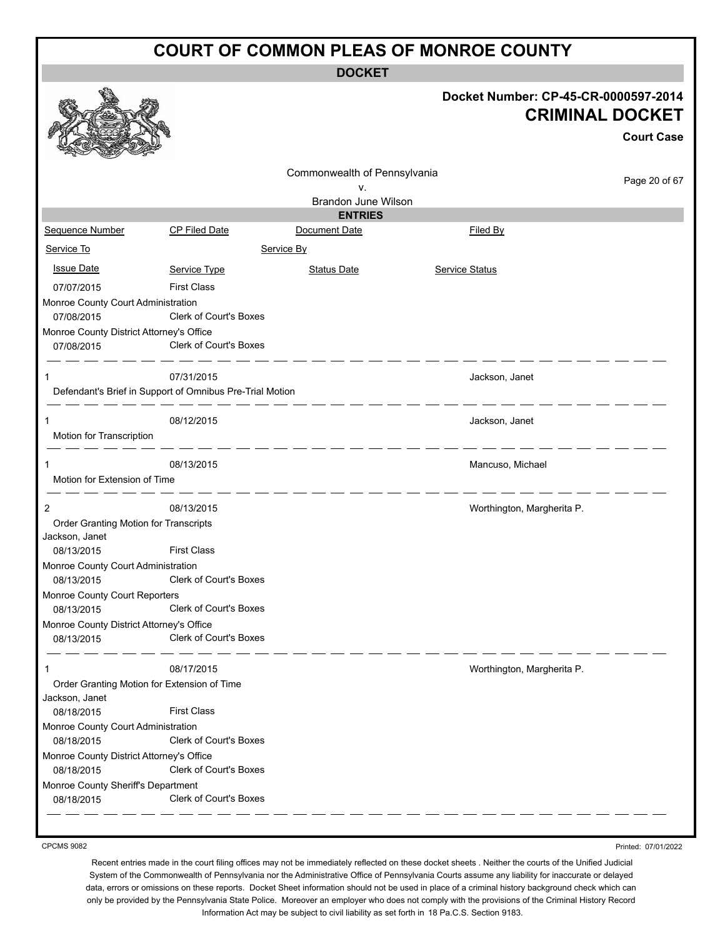**DOCKET**

|                                                               |                               | UUUNE I                      |                                                                                     |
|---------------------------------------------------------------|-------------------------------|------------------------------|-------------------------------------------------------------------------------------|
|                                                               |                               |                              | Docket Number: CP-45-CR-0000597-2014<br><b>CRIMINAL DOCKET</b><br><b>Court Case</b> |
|                                                               |                               | Commonwealth of Pennsylvania |                                                                                     |
|                                                               |                               | v.                           | Page 20 of 67                                                                       |
|                                                               |                               | <b>Brandon June Wilson</b>   |                                                                                     |
|                                                               |                               | <b>ENTRIES</b>               |                                                                                     |
| Sequence Number                                               | <b>CP Filed Date</b>          | Document Date                | Filed By                                                                            |
| Service To                                                    |                               | Service By                   |                                                                                     |
| <b>Issue Date</b>                                             | Service Type                  | <b>Status Date</b>           | Service Status                                                                      |
| 07/07/2015                                                    | <b>First Class</b>            |                              |                                                                                     |
| Monroe County Court Administration                            |                               |                              |                                                                                     |
| 07/08/2015                                                    | Clerk of Court's Boxes        |                              |                                                                                     |
| Monroe County District Attorney's Office                      |                               |                              |                                                                                     |
| 07/08/2015                                                    | <b>Clerk of Court's Boxes</b> |                              |                                                                                     |
| 1                                                             | 07/31/2015                    |                              | Jackson, Janet                                                                      |
| Defendant's Brief in Support of Omnibus Pre-Trial Motion      |                               | - - - - - - - - - - -        |                                                                                     |
| Motion for Transcription                                      | 08/12/2015                    |                              | Jackson, Janet                                                                      |
| Motion for Extension of Time                                  | 08/13/2015                    |                              | Mancuso, Michael                                                                    |
| 2                                                             | 08/13/2015                    |                              | Worthington, Margherita P.                                                          |
| Order Granting Motion for Transcripts<br>Jackson, Janet       |                               |                              |                                                                                     |
| 08/13/2015                                                    | <b>First Class</b>            |                              |                                                                                     |
| Monroe County Court Administration<br>08/13/2015              | <b>Clerk of Court's Boxes</b> |                              |                                                                                     |
| Monroe County Court Reporters<br>08/13/2015                   | Clerk of Court's Boxes        |                              |                                                                                     |
| Monroe County District Attorney's Office<br>08/13/2015        | Clerk of Court's Boxes        |                              |                                                                                     |
| 1                                                             | 08/17/2015                    |                              | Worthington, Margherita P.                                                          |
| Order Granting Motion for Extension of Time<br>Jackson, Janet |                               |                              |                                                                                     |
| 08/18/2015                                                    | <b>First Class</b>            |                              |                                                                                     |
| Monroe County Court Administration                            |                               |                              |                                                                                     |
| 08/18/2015                                                    | <b>Clerk of Court's Boxes</b> |                              |                                                                                     |
| Monroe County District Attorney's Office<br>08/18/2015        | Clerk of Court's Boxes        |                              |                                                                                     |
| Monroe County Sheriff's Department                            |                               |                              |                                                                                     |
| 08/18/2015                                                    | Clerk of Court's Boxes        |                              |                                                                                     |
|                                                               |                               |                              |                                                                                     |

CPCMS 9082

Printed: 07/01/2022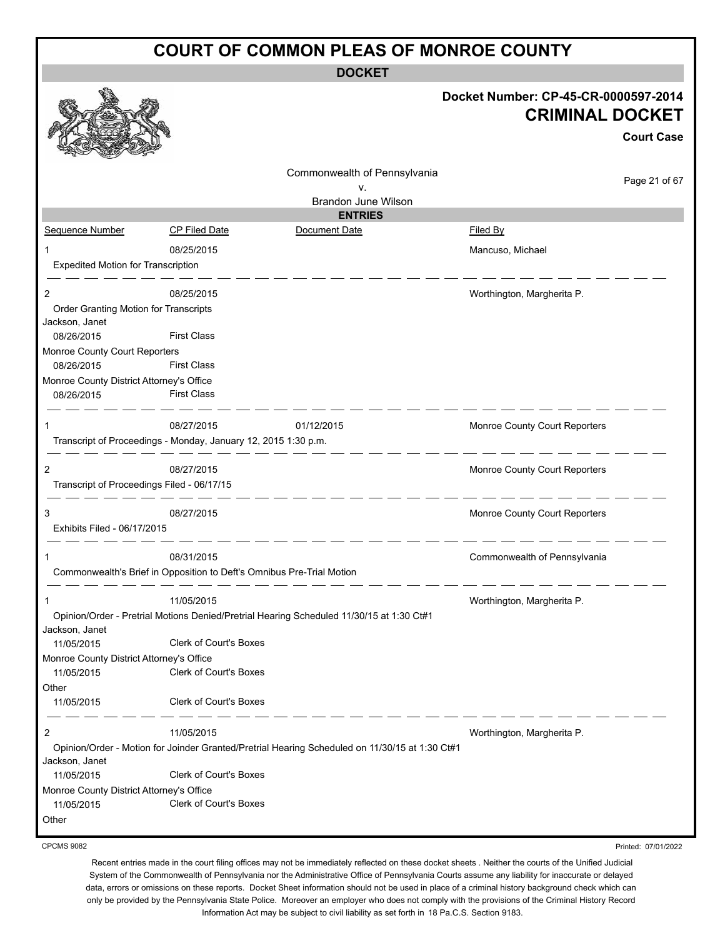**DOCKET**

|                                            | UUINLI                                                                                         |                                                                |
|--------------------------------------------|------------------------------------------------------------------------------------------------|----------------------------------------------------------------|
|                                            |                                                                                                | Docket Number: CP-45-CR-0000597-2014<br><b>CRIMINAL DOCKET</b> |
|                                            |                                                                                                | <b>Court Case</b>                                              |
|                                            | Commonwealth of Pennsylvania                                                                   | Page 21 of 67                                                  |
|                                            | ٧.                                                                                             |                                                                |
|                                            | Brandon June Wilson<br><b>ENTRIES</b>                                                          |                                                                |
| Sequence Number                            | <b>CP Filed Date</b><br>Document Date                                                          | Filed By                                                       |
|                                            |                                                                                                |                                                                |
| 1                                          | 08/25/2015                                                                                     | Mancuso, Michael                                               |
| <b>Expedited Motion for Transcription</b>  |                                                                                                |                                                                |
| $\overline{2}$                             | 08/25/2015                                                                                     | Worthington, Margherita P.                                     |
| Order Granting Motion for Transcripts      |                                                                                                |                                                                |
| Jackson, Janet                             |                                                                                                |                                                                |
| 08/26/2015                                 | <b>First Class</b>                                                                             |                                                                |
| Monroe County Court Reporters              |                                                                                                |                                                                |
| 08/26/2015                                 | <b>First Class</b>                                                                             |                                                                |
| Monroe County District Attorney's Office   |                                                                                                |                                                                |
| 08/26/2015                                 | <b>First Class</b>                                                                             |                                                                |
|                                            | 08/27/2015<br>01/12/2015                                                                       | Monroe County Court Reporters                                  |
|                                            | Transcript of Proceedings - Monday, January 12, 2015 1:30 p.m.                                 |                                                                |
| 2                                          | 08/27/2015                                                                                     | Monroe County Court Reporters                                  |
| Transcript of Proceedings Filed - 06/17/15 |                                                                                                |                                                                |
| 3                                          | 08/27/2015                                                                                     | Monroe County Court Reporters                                  |
| Exhibits Filed - 06/17/2015                |                                                                                                |                                                                |
| 1                                          | 08/31/2015                                                                                     | Commonwealth of Pennsylvania                                   |
|                                            | Commonwealth's Brief in Opposition to Deft's Omnibus Pre-Trial Motion                          |                                                                |
| 1                                          | 11/05/2015                                                                                     | Worthington, Margherita P.                                     |
| Jackson, Janet                             | Opinion/Order - Pretrial Motions Denied/Pretrial Hearing Scheduled 11/30/15 at 1:30 Ct#1       |                                                                |
| 11/05/2015                                 | Clerk of Court's Boxes                                                                         |                                                                |
| Monroe County District Attorney's Office   |                                                                                                |                                                                |
| 11/05/2015                                 | Clerk of Court's Boxes                                                                         |                                                                |
| Other                                      |                                                                                                |                                                                |
| 11/05/2015                                 | Clerk of Court's Boxes                                                                         |                                                                |
| 2                                          | 11/05/2015                                                                                     | Worthington, Margherita P.                                     |
|                                            | Opinion/Order - Motion for Joinder Granted/Pretrial Hearing Scheduled on 11/30/15 at 1:30 Ct#1 |                                                                |
| Jackson, Janet<br>11/05/2015               | Clerk of Court's Boxes                                                                         |                                                                |
| Monroe County District Attorney's Office   |                                                                                                |                                                                |
| 11/05/2015                                 | Clerk of Court's Boxes                                                                         |                                                                |
| Other                                      |                                                                                                |                                                                |
|                                            |                                                                                                |                                                                |

CPCMS 9082

Printed: 07/01/2022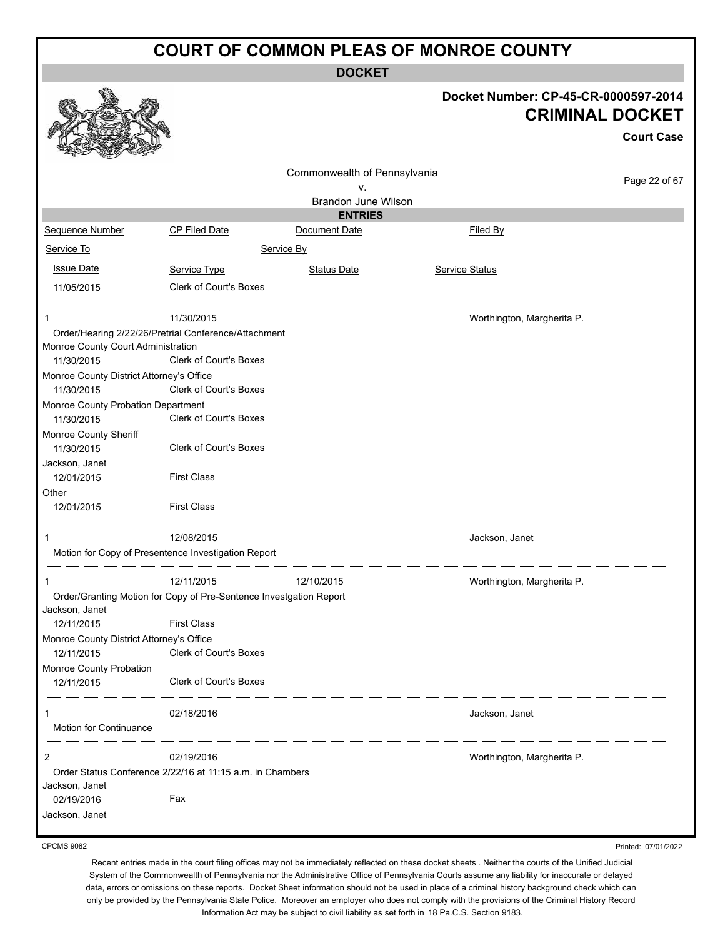**DOCKET**

|                                                                                                                         |                                             |                              | Docket Number: CP-45-CR-0000597-2014<br><b>CRIMINAL DOCKET</b> | <b>Court Case</b> |
|-------------------------------------------------------------------------------------------------------------------------|---------------------------------------------|------------------------------|----------------------------------------------------------------|-------------------|
|                                                                                                                         |                                             |                              |                                                                |                   |
|                                                                                                                         |                                             | Commonwealth of Pennsylvania |                                                                |                   |
|                                                                                                                         |                                             | ν.                           |                                                                | Page 22 of 67     |
|                                                                                                                         |                                             | Brandon June Wilson          |                                                                |                   |
|                                                                                                                         |                                             | <b>ENTRIES</b>               |                                                                |                   |
| Sequence Number                                                                                                         | CP Filed Date                               | Document Date                | Filed By                                                       |                   |
| Service To                                                                                                              |                                             | Service By                   |                                                                |                   |
| <b>Issue Date</b>                                                                                                       | Service Type                                | <b>Status Date</b>           | Service Status                                                 |                   |
| 11/05/2015                                                                                                              | Clerk of Court's Boxes                      |                              |                                                                |                   |
| $\mathbf 1$<br>Order/Hearing 2/22/26/Pretrial Conference/Attachment<br>Monroe County Court Administration<br>11/30/2015 | 11/30/2015<br><b>Clerk of Court's Boxes</b> |                              | Worthington, Margherita P.                                     |                   |
| Monroe County District Attorney's Office                                                                                |                                             |                              |                                                                |                   |
| 11/30/2015                                                                                                              | <b>Clerk of Court's Boxes</b>               |                              |                                                                |                   |
| Monroe County Probation Department                                                                                      |                                             |                              |                                                                |                   |
| 11/30/2015                                                                                                              | <b>Clerk of Court's Boxes</b>               |                              |                                                                |                   |
| Monroe County Sheriff<br>11/30/2015                                                                                     | Clerk of Court's Boxes                      |                              |                                                                |                   |
| Jackson, Janet                                                                                                          |                                             |                              |                                                                |                   |
| 12/01/2015                                                                                                              | <b>First Class</b>                          |                              |                                                                |                   |
| Other                                                                                                                   |                                             |                              |                                                                |                   |
| 12/01/2015                                                                                                              | <b>First Class</b>                          |                              |                                                                |                   |
| 1                                                                                                                       | 12/08/2015                                  |                              | Jackson, Janet                                                 |                   |
| Motion for Copy of Presentence Investigation Report                                                                     |                                             |                              |                                                                |                   |
|                                                                                                                         | 12/11/2015                                  | 12/10/2015                   | Worthington, Margherita P.                                     |                   |
| Order/Granting Motion for Copy of Pre-Sentence Investgation Report                                                      |                                             |                              |                                                                |                   |
| Jackson, Janet                                                                                                          |                                             |                              |                                                                |                   |
| 12/11/2015                                                                                                              | <b>First Class</b>                          |                              |                                                                |                   |
| Monroe County District Attorney's Office                                                                                |                                             |                              |                                                                |                   |
| 12/11/2015                                                                                                              | Clerk of Court's Boxes                      |                              |                                                                |                   |
| Monroe County Probation<br>12/11/2015                                                                                   | Clerk of Court's Boxes                      |                              |                                                                |                   |
| 1<br>Motion for Continuance                                                                                             | 02/18/2016                                  |                              | Jackson, Janet                                                 |                   |
| $\overline{c}$                                                                                                          | 02/19/2016                                  |                              | Worthington, Margherita P.                                     |                   |
| Order Status Conference 2/22/16 at 11:15 a.m. in Chambers                                                               |                                             |                              |                                                                |                   |
| Jackson, Janet                                                                                                          |                                             |                              |                                                                |                   |
| 02/19/2016                                                                                                              | Fax                                         |                              |                                                                |                   |
| Jackson, Janet                                                                                                          |                                             |                              |                                                                |                   |
|                                                                                                                         |                                             |                              |                                                                |                   |

CPCMS 9082

Recent entries made in the court filing offices may not be immediately reflected on these docket sheets . Neither the courts of the Unified Judicial System of the Commonwealth of Pennsylvania nor the Administrative Office of Pennsylvania Courts assume any liability for inaccurate or delayed data, errors or omissions on these reports. Docket Sheet information should not be used in place of a criminal history background check which can only be provided by the Pennsylvania State Police. Moreover an employer who does not comply with the provisions of the Criminal History Record Information Act may be subject to civil liability as set forth in 18 Pa.C.S. Section 9183.

Printed: 07/01/2022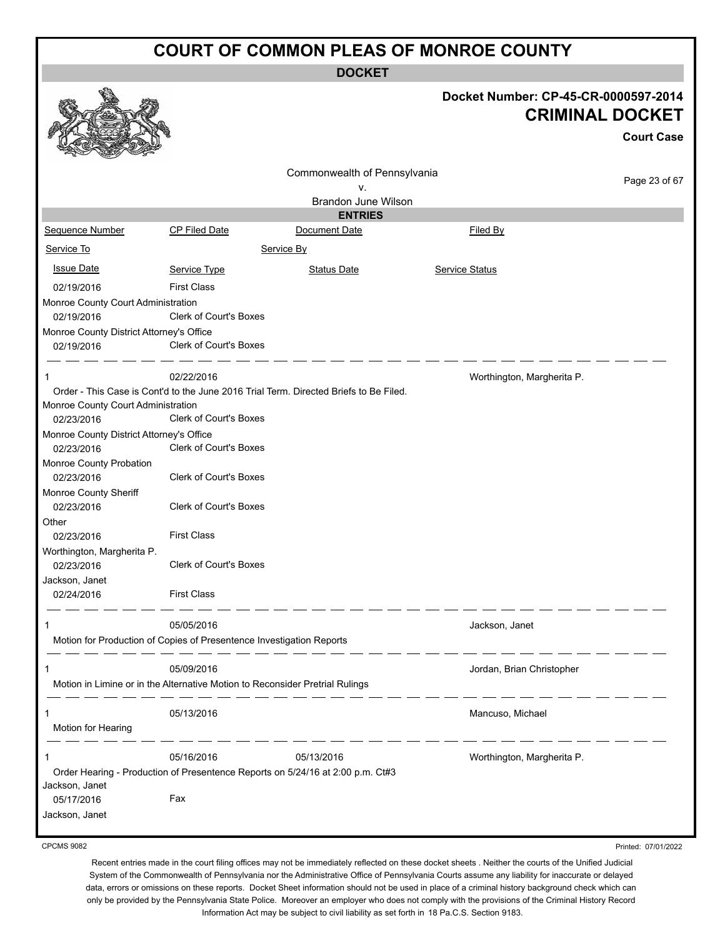|                                                        |                                                                                            | <b>DOCKET</b>                                                                         |                                                                                     |
|--------------------------------------------------------|--------------------------------------------------------------------------------------------|---------------------------------------------------------------------------------------|-------------------------------------------------------------------------------------|
|                                                        |                                                                                            |                                                                                       | Docket Number: CP-45-CR-0000597-2014<br><b>CRIMINAL DOCKET</b><br><b>Court Case</b> |
|                                                        |                                                                                            | Commonwealth of Pennsylvania                                                          |                                                                                     |
|                                                        |                                                                                            | ٧.                                                                                    | Page 23 of 67                                                                       |
|                                                        |                                                                                            | Brandon June Wilson                                                                   |                                                                                     |
|                                                        |                                                                                            | <b>ENTRIES</b>                                                                        |                                                                                     |
| Sequence Number                                        | CP Filed Date                                                                              | Document Date                                                                         | Filed By                                                                            |
| Service To                                             |                                                                                            | Service By                                                                            |                                                                                     |
| <b>Issue Date</b>                                      | Service Type                                                                               | <b>Status Date</b>                                                                    | Service Status                                                                      |
| 02/19/2016                                             | <b>First Class</b>                                                                         |                                                                                       |                                                                                     |
| Monroe County Court Administration                     |                                                                                            |                                                                                       |                                                                                     |
| 02/19/2016                                             | Clerk of Court's Boxes                                                                     |                                                                                       |                                                                                     |
| Monroe County District Attorney's Office<br>02/19/2016 | Clerk of Court's Boxes                                                                     |                                                                                       |                                                                                     |
|                                                        | 02/22/2016                                                                                 |                                                                                       | Worthington, Margherita P.                                                          |
| Monroe County Court Administration<br>02/23/2016       | <b>Clerk of Court's Boxes</b>                                                              | Order - This Case is Cont'd to the June 2016 Trial Term. Directed Briefs to Be Filed. |                                                                                     |
| Monroe County District Attorney's Office               |                                                                                            |                                                                                       |                                                                                     |
| 02/23/2016                                             | Clerk of Court's Boxes                                                                     |                                                                                       |                                                                                     |
| Monroe County Probation<br>02/23/2016                  | <b>Clerk of Court's Boxes</b>                                                              |                                                                                       |                                                                                     |
| Monroe County Sheriff                                  |                                                                                            |                                                                                       |                                                                                     |
| 02/23/2016                                             | <b>Clerk of Court's Boxes</b>                                                              |                                                                                       |                                                                                     |
| Other                                                  | <b>First Class</b>                                                                         |                                                                                       |                                                                                     |
| 02/23/2016<br>Worthington, Margherita P.<br>02/23/2016 | <b>Clerk of Court's Boxes</b>                                                              |                                                                                       |                                                                                     |
| Jackson, Janet                                         |                                                                                            |                                                                                       |                                                                                     |
| 02/24/2016                                             | <b>First Class</b>                                                                         |                                                                                       |                                                                                     |
|                                                        | 05/05/2016<br>Motion for Production of Copies of Presentence Investigation Reports         |                                                                                       | Jackson, Janet                                                                      |
|                                                        | 05/09/2016<br>Motion in Limine or in the Alternative Motion to Reconsider Pretrial Rulings |                                                                                       | Jordan, Brian Christopher                                                           |
|                                                        |                                                                                            |                                                                                       |                                                                                     |
|                                                        | 05/13/2016                                                                                 |                                                                                       | Mancuso, Michael                                                                    |
| Motion for Hearing                                     |                                                                                            |                                                                                       |                                                                                     |
| 1                                                      | 05/16/2016                                                                                 | 05/13/2016                                                                            | Worthington, Margherita P.                                                          |
|                                                        |                                                                                            | Order Hearing - Production of Presentence Reports on 5/24/16 at 2:00 p.m. Ct#3        |                                                                                     |
| Jackson, Janet<br>05/17/2016                           | Fax                                                                                        |                                                                                       |                                                                                     |
| Jackson, Janet                                         |                                                                                            |                                                                                       |                                                                                     |
|                                                        |                                                                                            |                                                                                       |                                                                                     |

CPCMS 9082

Printed: 07/01/2022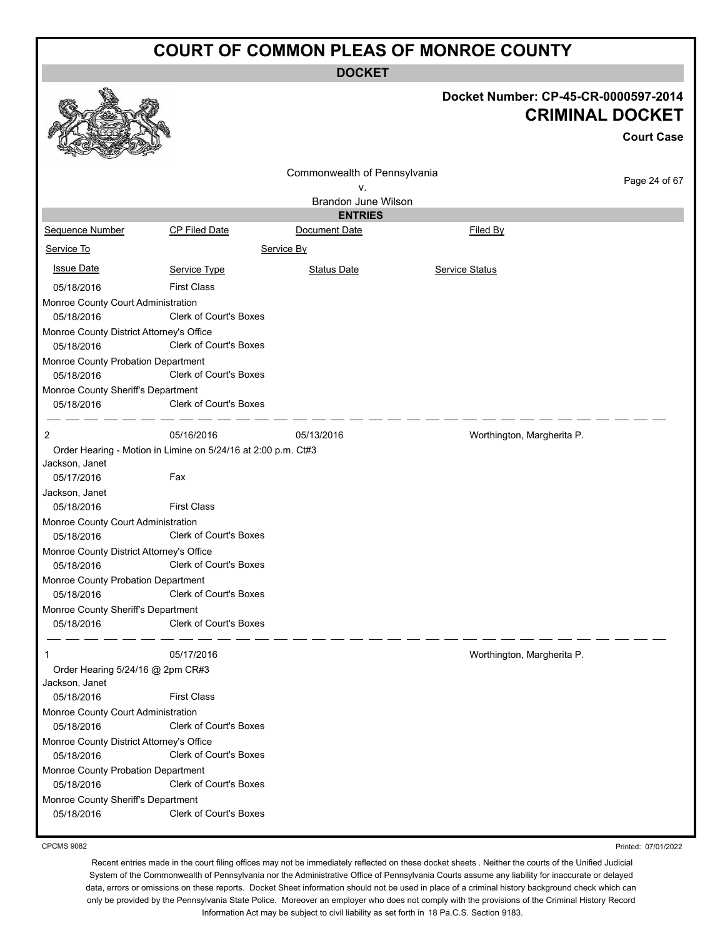**DOCKET**

|                                                        |                                                               |                              | Docket Number: CP-45-CR-0000597-2014 | <b>CRIMINAL DOCKET</b><br><b>Court Case</b> |
|--------------------------------------------------------|---------------------------------------------------------------|------------------------------|--------------------------------------|---------------------------------------------|
|                                                        |                                                               | Commonwealth of Pennsylvania |                                      |                                             |
|                                                        |                                                               | v.                           |                                      | Page 24 of 67                               |
|                                                        |                                                               | <b>Brandon June Wilson</b>   |                                      |                                             |
|                                                        |                                                               | <b>ENTRIES</b>               |                                      |                                             |
| Sequence Number                                        | CP Filed Date                                                 | Document Date                | Filed By                             |                                             |
| Service To                                             |                                                               | Service By                   |                                      |                                             |
| <b>Issue Date</b>                                      | Service Type                                                  | <b>Status Date</b>           | <b>Service Status</b>                |                                             |
| 05/18/2016                                             | <b>First Class</b>                                            |                              |                                      |                                             |
| Monroe County Court Administration                     |                                                               |                              |                                      |                                             |
| 05/18/2016                                             | <b>Clerk of Court's Boxes</b>                                 |                              |                                      |                                             |
| Monroe County District Attorney's Office<br>05/18/2016 | Clerk of Court's Boxes                                        |                              |                                      |                                             |
| Monroe County Probation Department<br>05/18/2016       | Clerk of Court's Boxes                                        |                              |                                      |                                             |
| Monroe County Sheriff's Department<br>05/18/2016       | Clerk of Court's Boxes                                        |                              |                                      |                                             |
| 2                                                      | 05/16/2016                                                    | 05/13/2016                   | Worthington, Margherita P.           |                                             |
|                                                        | Order Hearing - Motion in Limine on 5/24/16 at 2:00 p.m. Ct#3 |                              |                                      |                                             |
| Jackson, Janet                                         |                                                               |                              |                                      |                                             |
| 05/17/2016                                             | Fax                                                           |                              |                                      |                                             |
| Jackson, Janet                                         |                                                               |                              |                                      |                                             |
| 05/18/2016                                             | <b>First Class</b>                                            |                              |                                      |                                             |
| Monroe County Court Administration                     |                                                               |                              |                                      |                                             |
| 05/18/2016                                             | <b>Clerk of Court's Boxes</b>                                 |                              |                                      |                                             |
| Monroe County District Attorney's Office<br>05/18/2016 | <b>Clerk of Court's Boxes</b>                                 |                              |                                      |                                             |
| Monroe County Probation Department<br>05/18/2016       | <b>Clerk of Court's Boxes</b>                                 |                              |                                      |                                             |
| Monroe County Sheriff's Department                     |                                                               |                              |                                      |                                             |
| 05/18/2016                                             | Clerk of Court's Boxes                                        |                              |                                      |                                             |
| 1                                                      | 05/17/2016                                                    |                              | Worthington, Margherita P.           |                                             |
| Order Hearing 5/24/16 @ 2pm CR#3<br>Jackson, Janet     |                                                               |                              |                                      |                                             |
| 05/18/2016                                             | <b>First Class</b>                                            |                              |                                      |                                             |
| Monroe County Court Administration<br>05/18/2016       | <b>Clerk of Court's Boxes</b>                                 |                              |                                      |                                             |
| Monroe County District Attorney's Office               |                                                               |                              |                                      |                                             |
| 05/18/2016                                             | Clerk of Court's Boxes                                        |                              |                                      |                                             |
| Monroe County Probation Department<br>05/18/2016       | Clerk of Court's Boxes                                        |                              |                                      |                                             |
| Monroe County Sheriff's Department                     |                                                               |                              |                                      |                                             |
| 05/18/2016                                             | Clerk of Court's Boxes                                        |                              |                                      |                                             |

CPCMS 9082

Printed: 07/01/2022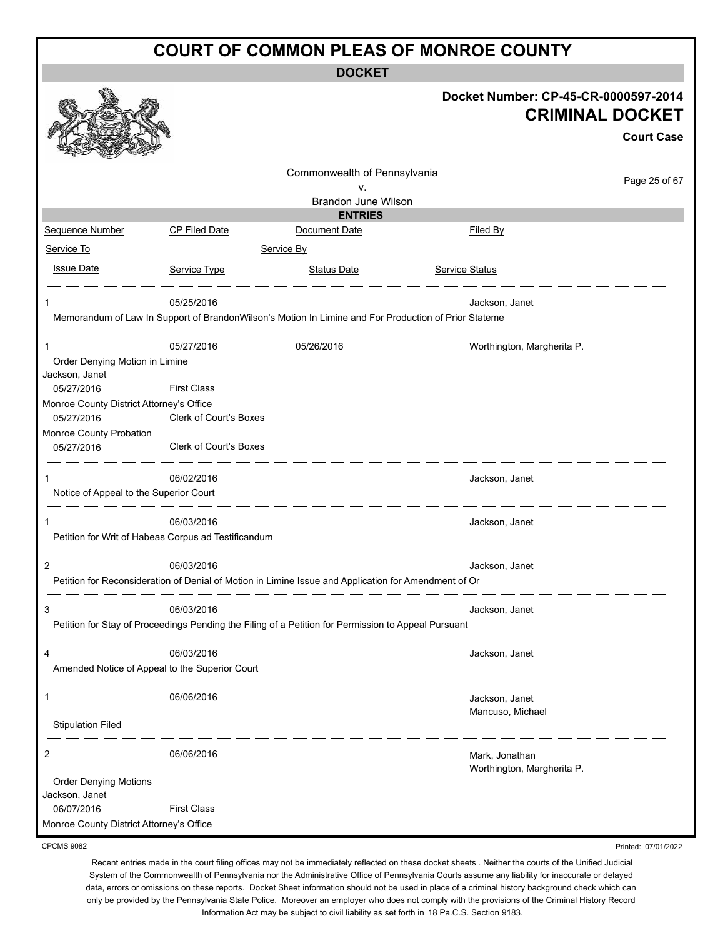**DOCKET**

|                                                        |                                                                                                                   |                                                                                                                                                                                                                                      | Docket Number: CP-45-CR-0000597-2014         | <b>CRIMINAL DOCKET</b><br><b>Court Case</b> |
|--------------------------------------------------------|-------------------------------------------------------------------------------------------------------------------|--------------------------------------------------------------------------------------------------------------------------------------------------------------------------------------------------------------------------------------|----------------------------------------------|---------------------------------------------|
|                                                        |                                                                                                                   | Commonwealth of Pennsylvania                                                                                                                                                                                                         |                                              |                                             |
|                                                        |                                                                                                                   | ν.                                                                                                                                                                                                                                   |                                              | Page 25 of 67                               |
|                                                        |                                                                                                                   | Brandon June Wilson                                                                                                                                                                                                                  |                                              |                                             |
| Sequence Number                                        | <b>CP Filed Date</b>                                                                                              | <b>ENTRIES</b><br>Document Date                                                                                                                                                                                                      | Filed By                                     |                                             |
|                                                        |                                                                                                                   |                                                                                                                                                                                                                                      |                                              |                                             |
| Service To                                             |                                                                                                                   | Service By                                                                                                                                                                                                                           |                                              |                                             |
| <b>Issue Date</b>                                      | Service Type                                                                                                      | <b>Status Date</b>                                                                                                                                                                                                                   | Service Status                               |                                             |
|                                                        | 05/25/2016                                                                                                        |                                                                                                                                                                                                                                      | Jackson, Janet                               |                                             |
|                                                        | Memorandum of Law In Support of BrandonWilson's Motion In Limine and For Production of Prior Stateme              |                                                                                                                                                                                                                                      |                                              |                                             |
|                                                        | 05/27/2016                                                                                                        | 05/26/2016                                                                                                                                                                                                                           | Worthington, Margherita P.                   |                                             |
| Order Denying Motion in Limine<br>Jackson, Janet       |                                                                                                                   |                                                                                                                                                                                                                                      |                                              |                                             |
| 05/27/2016                                             | <b>First Class</b>                                                                                                |                                                                                                                                                                                                                                      |                                              |                                             |
| Monroe County District Attorney's Office<br>05/27/2016 | Clerk of Court's Boxes                                                                                            |                                                                                                                                                                                                                                      |                                              |                                             |
| Monroe County Probation<br>05/27/2016                  | Clerk of Court's Boxes                                                                                            |                                                                                                                                                                                                                                      |                                              |                                             |
| 1                                                      | 06/02/2016                                                                                                        |                                                                                                                                                                                                                                      | Jackson, Janet                               |                                             |
| Notice of Appeal to the Superior Court                 |                                                                                                                   | <u> 1999 - 1999 - 1999 - 1999 - 1999 - 1999 - 1999 - 1999 - 1999 - 1999 - 1999 - 1999 - 1999 - 1999 - 1999 - 1999 - 1999 - 1999 - 1999 - 1999 - 1999 - 1999 - 1999 - 1999 - 1999 - 1999 - 1999 - 1999 - 1999 - 1999 - 1999 - 199</u> |                                              |                                             |
| 1                                                      | 06/03/2016                                                                                                        |                                                                                                                                                                                                                                      | Jackson, Janet                               |                                             |
|                                                        | Petition for Writ of Habeas Corpus ad Testificandum                                                               |                                                                                                                                                                                                                                      |                                              |                                             |
| 2                                                      | 06/03/2016                                                                                                        |                                                                                                                                                                                                                                      | Jackson, Janet                               |                                             |
|                                                        | Petition for Reconsideration of Denial of Motion in Limine Issue and Application for Amendment of Or              |                                                                                                                                                                                                                                      |                                              |                                             |
|                                                        | 06/03/2016<br>Petition for Stay of Proceedings Pending the Filing of a Petition for Permission to Appeal Pursuant |                                                                                                                                                                                                                                      | Jackson, Janet                               |                                             |
| 4<br>Amended Notice of Appeal to the Superior Court    | 06/03/2016                                                                                                        |                                                                                                                                                                                                                                      | Jackson, Janet                               |                                             |
| 1                                                      | 06/06/2016                                                                                                        |                                                                                                                                                                                                                                      | Jackson, Janet                               |                                             |
| <b>Stipulation Filed</b>                               |                                                                                                                   |                                                                                                                                                                                                                                      | Mancuso, Michael                             |                                             |
| 2                                                      | 06/06/2016                                                                                                        |                                                                                                                                                                                                                                      | Mark, Jonathan<br>Worthington, Margherita P. |                                             |
| <b>Order Denying Motions</b><br>Jackson, Janet         |                                                                                                                   |                                                                                                                                                                                                                                      |                                              |                                             |
| 06/07/2016                                             | <b>First Class</b>                                                                                                |                                                                                                                                                                                                                                      |                                              |                                             |
| Monroe County District Attorney's Office               |                                                                                                                   |                                                                                                                                                                                                                                      |                                              |                                             |
| <b>CPCMS 9082</b>                                      |                                                                                                                   |                                                                                                                                                                                                                                      |                                              | Printed: 07/01/2022                         |

CPCMS 9082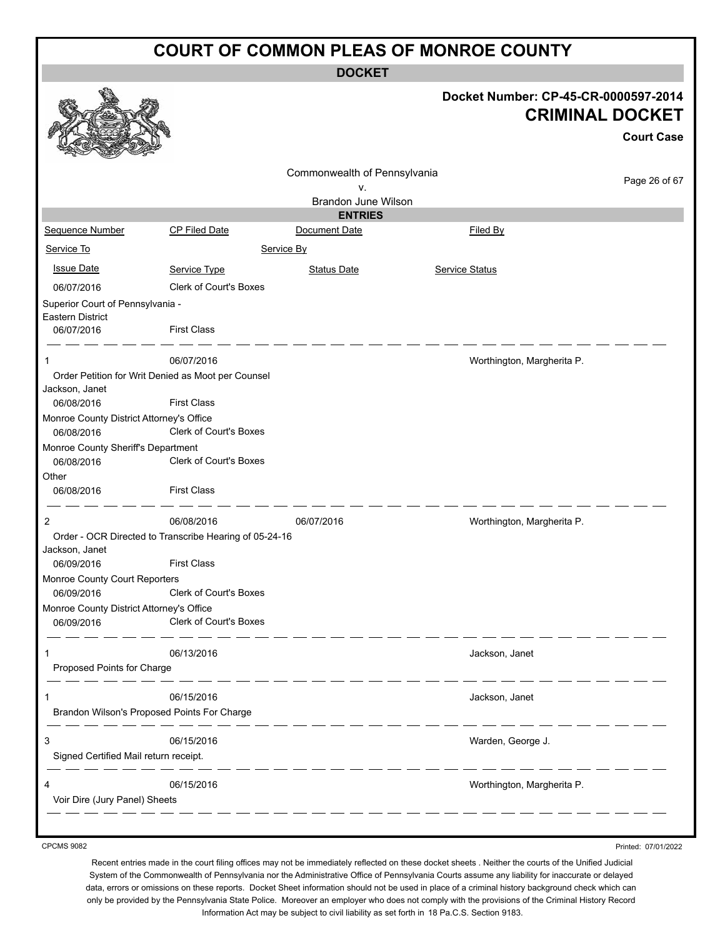**DOCKET**

|                                                                           |                                                        | <b>DOCKEI</b>                |                                                                                     |
|---------------------------------------------------------------------------|--------------------------------------------------------|------------------------------|-------------------------------------------------------------------------------------|
|                                                                           |                                                        |                              | Docket Number: CP-45-CR-0000597-2014<br><b>CRIMINAL DOCKET</b><br><b>Court Case</b> |
|                                                                           |                                                        | Commonwealth of Pennsylvania |                                                                                     |
|                                                                           |                                                        | ۷.                           | Page 26 of 67                                                                       |
|                                                                           |                                                        | Brandon June Wilson          |                                                                                     |
|                                                                           |                                                        | <b>ENTRIES</b>               |                                                                                     |
| Sequence Number                                                           | <b>CP Filed Date</b>                                   | Document Date                | Filed By                                                                            |
| Service To                                                                |                                                        | Service By                   |                                                                                     |
| <b>Issue Date</b>                                                         | Service Type                                           | <b>Status Date</b>           | Service Status                                                                      |
| 06/07/2016                                                                | <b>Clerk of Court's Boxes</b>                          |                              |                                                                                     |
| Superior Court of Pennsylvania -<br><b>Eastern District</b><br>06/07/2016 | <b>First Class</b>                                     |                              |                                                                                     |
| 1                                                                         | 06/07/2016                                             |                              | Worthington, Margherita P.                                                          |
|                                                                           | Order Petition for Writ Denied as Moot per Counsel     |                              |                                                                                     |
| Jackson, Janet                                                            |                                                        |                              |                                                                                     |
| 06/08/2016                                                                | <b>First Class</b>                                     |                              |                                                                                     |
| Monroe County District Attorney's Office                                  |                                                        |                              |                                                                                     |
| 06/08/2016                                                                | Clerk of Court's Boxes                                 |                              |                                                                                     |
| Monroe County Sheriff's Department                                        |                                                        |                              |                                                                                     |
| 06/08/2016                                                                | <b>Clerk of Court's Boxes</b>                          |                              |                                                                                     |
| Other<br>06/08/2016                                                       | <b>First Class</b>                                     |                              |                                                                                     |
|                                                                           |                                                        |                              |                                                                                     |
| 2                                                                         | 06/08/2016                                             | 06/07/2016                   | Worthington, Margherita P.                                                          |
| Jackson, Janet                                                            | Order - OCR Directed to Transcribe Hearing of 05-24-16 |                              |                                                                                     |
| 06/09/2016                                                                | <b>First Class</b>                                     |                              |                                                                                     |
| Monroe County Court Reporters<br>06/09/2016                               | <b>Clerk of Court's Boxes</b>                          |                              |                                                                                     |
| Monroe County District Attorney's Office                                  |                                                        |                              |                                                                                     |
| 06/09/2016                                                                | Clerk of Court's Boxes                                 |                              |                                                                                     |
| 1                                                                         | 06/13/2016                                             |                              | Jackson, Janet                                                                      |
| Proposed Points for Charge                                                |                                                        |                              |                                                                                     |
| 1                                                                         | 06/15/2016                                             |                              | Jackson, Janet                                                                      |
| Brandon Wilson's Proposed Points For Charge                               | _ __ __ __                                             |                              |                                                                                     |
| 3<br>Signed Certified Mail return receipt.                                | 06/15/2016                                             |                              | Warden, George J.                                                                   |
| Voir Dire (Jury Panel) Sheets                                             | 06/15/2016                                             |                              | Worthington, Margherita P.                                                          |
|                                                                           |                                                        |                              |                                                                                     |

CPCMS 9082

Printed: 07/01/2022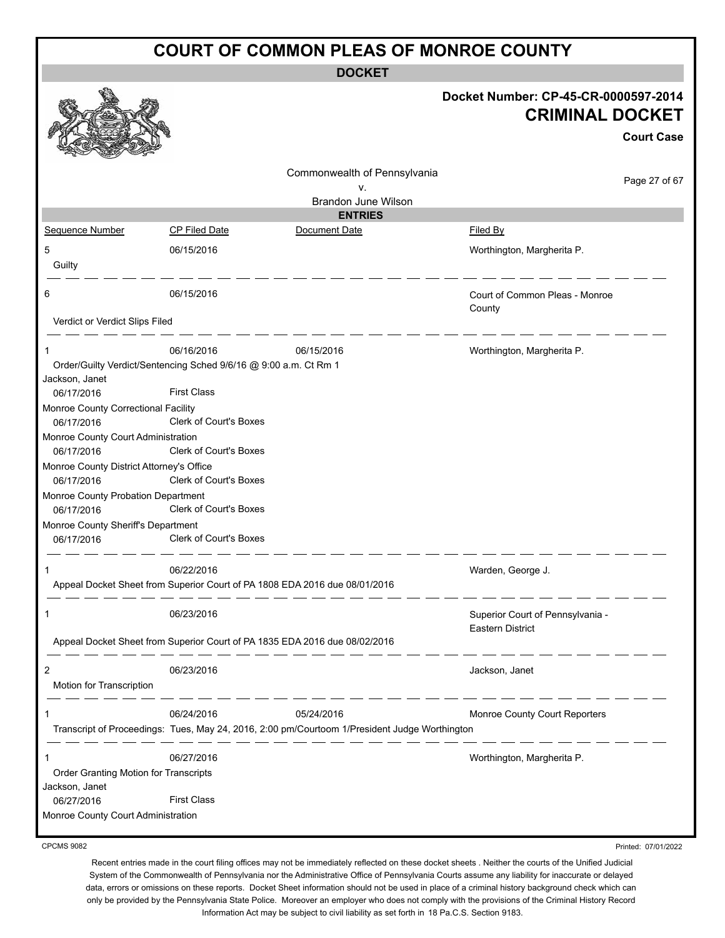**DOCKET**

|                                                  |                                                                                               | Docket Number: CP-45-CR-0000597-2014<br><b>CRIMINAL DOCKET</b> |
|--------------------------------------------------|-----------------------------------------------------------------------------------------------|----------------------------------------------------------------|
|                                                  |                                                                                               | <b>Court Case</b>                                              |
|                                                  | Commonwealth of Pennsylvania                                                                  | Page 27 of 67                                                  |
|                                                  | v.<br>Brandon June Wilson                                                                     |                                                                |
|                                                  | <b>ENTRIES</b>                                                                                |                                                                |
| Sequence Number                                  | <b>CP Filed Date</b><br>Document Date                                                         | Filed By                                                       |
| 5                                                | 06/15/2016                                                                                    | Worthington, Margherita P.                                     |
| Guilty                                           |                                                                                               |                                                                |
| 6                                                | 06/15/2016                                                                                    | Court of Common Pleas - Monroe                                 |
| Verdict or Verdict Slips Filed                   |                                                                                               | County                                                         |
|                                                  |                                                                                               |                                                                |
| 1                                                | 06/16/2016<br>06/15/2016                                                                      | Worthington, Margherita P.                                     |
|                                                  | Order/Guilty Verdict/Sentencing Sched 9/6/16 @ 9:00 a.m. Ct Rm 1                              |                                                                |
| Jackson, Janet<br>06/17/2016                     | <b>First Class</b>                                                                            |                                                                |
| Monroe County Correctional Facility              |                                                                                               |                                                                |
| 06/17/2016                                       | Clerk of Court's Boxes                                                                        |                                                                |
| Monroe County Court Administration               |                                                                                               |                                                                |
| 06/17/2016                                       | Clerk of Court's Boxes                                                                        |                                                                |
| Monroe County District Attorney's Office         |                                                                                               |                                                                |
| 06/17/2016                                       | Clerk of Court's Boxes                                                                        |                                                                |
| Monroe County Probation Department               |                                                                                               |                                                                |
| 06/17/2016                                       | Clerk of Court's Boxes                                                                        |                                                                |
| Monroe County Sheriff's Department<br>06/17/2016 | Clerk of Court's Boxes                                                                        |                                                                |
|                                                  |                                                                                               |                                                                |
| 1                                                | 06/22/2016                                                                                    | Warden, George J.                                              |
|                                                  | Appeal Docket Sheet from Superior Court of PA 1808 EDA 2016 due 08/01/2016                    |                                                                |
|                                                  |                                                                                               |                                                                |
| 1                                                | 06/23/2016                                                                                    | Superior Court of Pennsylvania -<br>Eastern District           |
|                                                  | Appeal Docket Sheet from Superior Court of PA 1835 EDA 2016 due 08/02/2016                    |                                                                |
| 2                                                | 06/23/2016                                                                                    | Jackson, Janet                                                 |
| Motion for Transcription                         |                                                                                               |                                                                |
| 1                                                | 06/24/2016<br>05/24/2016                                                                      | Monroe County Court Reporters                                  |
|                                                  | Transcript of Proceedings: Tues, May 24, 2016, 2:00 pm/Courtoom 1/President Judge Worthington |                                                                |
| 1                                                | 06/27/2016                                                                                    | Worthington, Margherita P.                                     |
| Order Granting Motion for Transcripts            |                                                                                               |                                                                |
| Jackson, Janet                                   |                                                                                               |                                                                |
| 06/27/2016                                       | <b>First Class</b>                                                                            |                                                                |
| Monroe County Court Administration               |                                                                                               |                                                                |
|                                                  |                                                                                               |                                                                |

CPCMS 9082

Recent entries made in the court filing offices may not be immediately reflected on these docket sheets . Neither the courts of the Unified Judicial System of the Commonwealth of Pennsylvania nor the Administrative Office of Pennsylvania Courts assume any liability for inaccurate or delayed data, errors or omissions on these reports. Docket Sheet information should not be used in place of a criminal history background check which can only be provided by the Pennsylvania State Police. Moreover an employer who does not comply with the provisions of the Criminal History Record Information Act may be subject to civil liability as set forth in 18 Pa.C.S. Section 9183.

Printed: 07/01/2022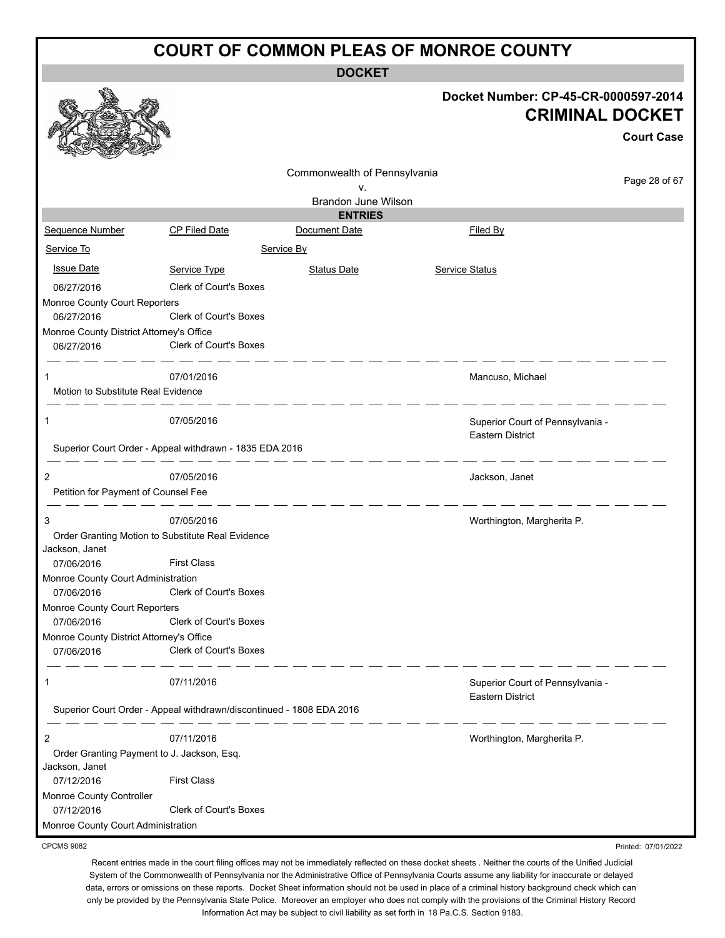**DOCKET**

|                                                         |                               | DUUNE I                                                              |                                                                |                   |
|---------------------------------------------------------|-------------------------------|----------------------------------------------------------------------|----------------------------------------------------------------|-------------------|
|                                                         |                               |                                                                      | Docket Number: CP-45-CR-0000597-2014<br><b>CRIMINAL DOCKET</b> |                   |
|                                                         |                               |                                                                      |                                                                | <b>Court Case</b> |
|                                                         |                               | Commonwealth of Pennsylvania                                         |                                                                |                   |
|                                                         |                               | v.                                                                   |                                                                | Page 28 of 67     |
|                                                         |                               | <b>Brandon June Wilson</b>                                           |                                                                |                   |
|                                                         |                               | <b>ENTRIES</b>                                                       |                                                                |                   |
| Sequence Number                                         | CP Filed Date                 | Document Date                                                        | Filed By                                                       |                   |
| Service To                                              |                               | Service By                                                           |                                                                |                   |
| <b>Issue Date</b>                                       | Service Type                  | <b>Status Date</b>                                                   | <b>Service Status</b>                                          |                   |
| 06/27/2016                                              | Clerk of Court's Boxes        |                                                                      |                                                                |                   |
| Monroe County Court Reporters                           |                               |                                                                      |                                                                |                   |
| 06/27/2016                                              | <b>Clerk of Court's Boxes</b> |                                                                      |                                                                |                   |
| Monroe County District Attorney's Office                |                               |                                                                      |                                                                |                   |
| 06/27/2016                                              | <b>Clerk of Court's Boxes</b> |                                                                      |                                                                |                   |
| 1                                                       | 07/01/2016                    |                                                                      | Mancuso, Michael                                               |                   |
| Motion to Substitute Real Evidence                      |                               |                                                                      |                                                                |                   |
|                                                         |                               |                                                                      |                                                                |                   |
| 1                                                       | 07/05/2016                    |                                                                      | Superior Court of Pennsylvania -                               |                   |
|                                                         |                               |                                                                      | <b>Eastern District</b>                                        |                   |
| Superior Court Order - Appeal withdrawn - 1835 EDA 2016 |                               |                                                                      |                                                                |                   |
| 2                                                       | 07/05/2016                    |                                                                      | Jackson, Janet                                                 |                   |
| Petition for Payment of Counsel Fee                     |                               |                                                                      |                                                                |                   |
|                                                         |                               |                                                                      |                                                                |                   |
| 3                                                       | 07/05/2016                    |                                                                      | Worthington, Margherita P.                                     |                   |
| Order Granting Motion to Substitute Real Evidence       |                               |                                                                      |                                                                |                   |
| Jackson, Janet<br>07/06/2016                            | <b>First Class</b>            |                                                                      |                                                                |                   |
| Monroe County Court Administration                      |                               |                                                                      |                                                                |                   |
| 07/06/2016                                              | Clerk of Court's Boxes        |                                                                      |                                                                |                   |
| Monroe County Court Reporters                           |                               |                                                                      |                                                                |                   |
| 07/06/2016                                              | Clerk of Court's Boxes        |                                                                      |                                                                |                   |
| Monroe County District Attorney's Office                |                               |                                                                      |                                                                |                   |
| 07/06/2016                                              | Clerk of Court's Boxes        |                                                                      |                                                                |                   |
| 1                                                       | 07/11/2016                    |                                                                      | Superior Court of Pennsylvania -                               |                   |
|                                                         |                               |                                                                      | <b>Eastern District</b>                                        |                   |
|                                                         |                               | Superior Court Order - Appeal withdrawn/discontinued - 1808 EDA 2016 |                                                                |                   |
| 2                                                       | 07/11/2016                    |                                                                      | Worthington, Margherita P.                                     |                   |
| Order Granting Payment to J. Jackson, Esq.              |                               |                                                                      |                                                                |                   |
| Jackson, Janet                                          |                               |                                                                      |                                                                |                   |
| 07/12/2016                                              | <b>First Class</b>            |                                                                      |                                                                |                   |
| Monroe County Controller                                |                               |                                                                      |                                                                |                   |
| 07/12/2016                                              | Clerk of Court's Boxes        |                                                                      |                                                                |                   |
| Monroe County Court Administration                      |                               |                                                                      |                                                                |                   |
| <b>CPCMS 9082</b>                                       |                               |                                                                      | Printed: 07/01/2022                                            |                   |

CPCMS 9082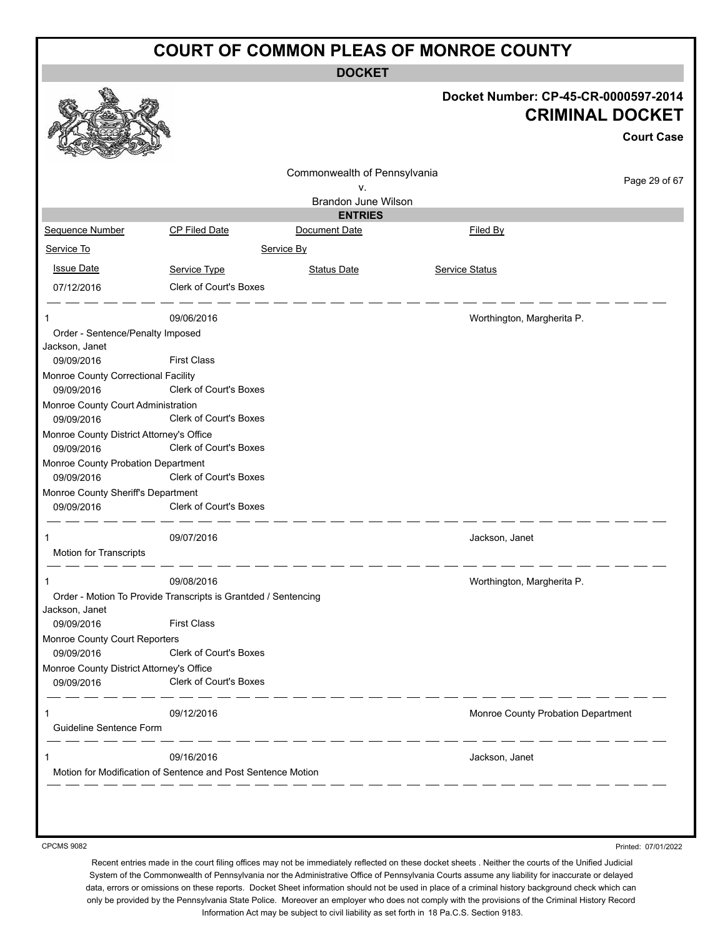**DOCKET**

|                                                        |                                                                |                              | Docket Number: CP-45-CR-0000597-2014                                       | <b>CRIMINAL DOCKET</b><br><b>Court Case</b> |
|--------------------------------------------------------|----------------------------------------------------------------|------------------------------|----------------------------------------------------------------------------|---------------------------------------------|
|                                                        |                                                                | Commonwealth of Pennsylvania |                                                                            |                                             |
|                                                        |                                                                | v.                           |                                                                            | Page 29 of 67                               |
|                                                        |                                                                | Brandon June Wilson          |                                                                            |                                             |
|                                                        |                                                                | <b>ENTRIES</b>               |                                                                            |                                             |
| Sequence Number                                        | <b>CP Filed Date</b>                                           | Document Date                | Filed By                                                                   |                                             |
| Service To                                             |                                                                | Service By                   |                                                                            |                                             |
| <b>Issue Date</b>                                      | Service Type                                                   | <b>Status Date</b>           | <b>Service Status</b>                                                      |                                             |
| 07/12/2016                                             | Clerk of Court's Boxes                                         |                              |                                                                            |                                             |
| $\mathbf 1$                                            | 09/06/2016                                                     |                              | Worthington, Margherita P.                                                 |                                             |
| Order - Sentence/Penalty Imposed<br>Jackson, Janet     |                                                                |                              |                                                                            |                                             |
| 09/09/2016                                             | <b>First Class</b>                                             |                              |                                                                            |                                             |
| Monroe County Correctional Facility<br>09/09/2016      | Clerk of Court's Boxes                                         |                              |                                                                            |                                             |
| Monroe County Court Administration<br>09/09/2016       | <b>Clerk of Court's Boxes</b>                                  |                              |                                                                            |                                             |
| Monroe County District Attorney's Office<br>09/09/2016 | Clerk of Court's Boxes                                         |                              |                                                                            |                                             |
| Monroe County Probation Department                     |                                                                |                              |                                                                            |                                             |
| 09/09/2016                                             | Clerk of Court's Boxes                                         |                              |                                                                            |                                             |
| Monroe County Sheriff's Department<br>09/09/2016       | Clerk of Court's Boxes                                         |                              |                                                                            |                                             |
| 1<br>Motion for Transcripts                            | 09/07/2016                                                     |                              | Jackson, Janet                                                             |                                             |
|                                                        | 09/08/2016                                                     |                              | Worthington, Margherita P.                                                 |                                             |
|                                                        | Order - Motion To Provide Transcripts is Grantded / Sentencing |                              |                                                                            |                                             |
| Jackson, Janet<br>09/09/2016                           | <b>First Class</b>                                             |                              |                                                                            |                                             |
| Monroe County Court Reporters                          |                                                                |                              |                                                                            |                                             |
| 09/09/2016                                             | <b>Clerk of Court's Boxes</b>                                  |                              |                                                                            |                                             |
| Monroe County District Attorney's Office<br>09/09/2016 | <b>Clerk of Court's Boxes</b>                                  |                              |                                                                            |                                             |
| 1                                                      | 09/12/2016                                                     |                              | $\overline{\phantom{iiiiiiiiiiiii}}$<br>Monroe County Probation Department |                                             |
| Guideline Sentence Form                                |                                                                |                              |                                                                            |                                             |
| 1                                                      | 09/16/2016                                                     |                              | Jackson, Janet                                                             |                                             |
|                                                        | Motion for Modification of Sentence and Post Sentence Motion   |                              |                                                                            |                                             |

CPCMS 9082

Printed: 07/01/2022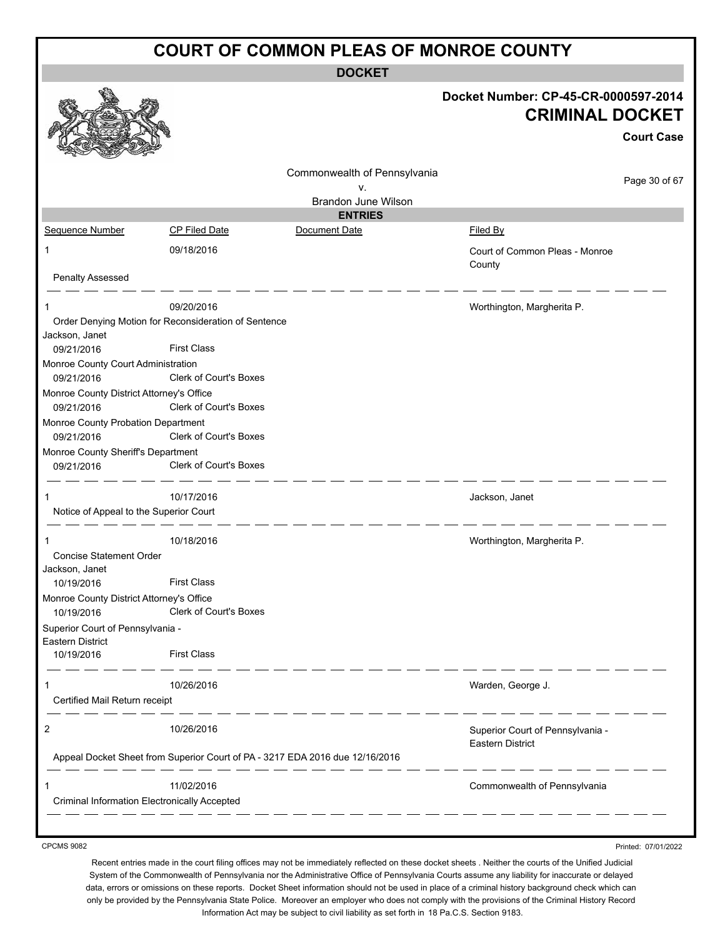**DOCKET**

|                                                     |                                                                              |                                 | Docket Number: CP-45-CR-0000597-2014<br><b>CRIMINAL DOCKET</b> |                     |
|-----------------------------------------------------|------------------------------------------------------------------------------|---------------------------------|----------------------------------------------------------------|---------------------|
|                                                     |                                                                              |                                 |                                                                | <b>Court Case</b>   |
|                                                     |                                                                              | Commonwealth of Pennsylvania    |                                                                |                     |
|                                                     |                                                                              | ۷.                              |                                                                | Page 30 of 67       |
|                                                     |                                                                              | Brandon June Wilson             |                                                                |                     |
| Sequence Number                                     | CP Filed Date                                                                | <b>ENTRIES</b><br>Document Date | Filed By                                                       |                     |
| 1                                                   | 09/18/2016                                                                   |                                 | Court of Common Pleas - Monroe                                 |                     |
| <b>Penalty Assessed</b>                             |                                                                              |                                 | County                                                         |                     |
|                                                     |                                                                              |                                 |                                                                |                     |
| 1                                                   | 09/20/2016                                                                   |                                 | Worthington, Margherita P.                                     |                     |
| Jackson, Janet                                      | Order Denying Motion for Reconsideration of Sentence                         |                                 |                                                                |                     |
| 09/21/2016                                          | <b>First Class</b>                                                           |                                 |                                                                |                     |
| Monroe County Court Administration                  |                                                                              |                                 |                                                                |                     |
| 09/21/2016                                          | <b>Clerk of Court's Boxes</b>                                                |                                 |                                                                |                     |
| Monroe County District Attorney's Office            |                                                                              |                                 |                                                                |                     |
| 09/21/2016                                          | <b>Clerk of Court's Boxes</b>                                                |                                 |                                                                |                     |
| Monroe County Probation Department                  | Clerk of Court's Boxes                                                       |                                 |                                                                |                     |
| 09/21/2016<br>Monroe County Sheriff's Department    |                                                                              |                                 |                                                                |                     |
| 09/21/2016                                          | Clerk of Court's Boxes                                                       |                                 |                                                                |                     |
| 1                                                   | 10/17/2016                                                                   |                                 | Jackson, Janet                                                 |                     |
| Notice of Appeal to the Superior Court              |                                                                              |                                 |                                                                |                     |
| 1                                                   | 10/18/2016                                                                   |                                 | Worthington, Margherita P.                                     |                     |
| <b>Concise Statement Order</b><br>Jackson, Janet    |                                                                              |                                 |                                                                |                     |
| 10/19/2016                                          | <b>First Class</b>                                                           |                                 |                                                                |                     |
| Monroe County District Attorney's Office            | 10/19/2016 Clerk of Court's Boxes                                            |                                 |                                                                |                     |
| Superior Court of Pennsylvania -                    |                                                                              |                                 |                                                                |                     |
| Eastern District<br>10/19/2016                      | <b>First Class</b>                                                           |                                 |                                                                |                     |
| 1                                                   | 10/26/2016                                                                   |                                 | Warden, George J.                                              |                     |
| Certified Mail Return receipt                       | __ __ _                                                                      |                                 |                                                                |                     |
| 2                                                   | 10/26/2016                                                                   |                                 | Superior Court of Pennsylvania -<br><b>Eastern District</b>    |                     |
|                                                     | Appeal Docket Sheet from Superior Court of PA - 3217 EDA 2016 due 12/16/2016 |                                 |                                                                |                     |
| 1                                                   | 11/02/2016                                                                   |                                 | Commonwealth of Pennsylvania                                   |                     |
| <b>Criminal Information Electronically Accepted</b> |                                                                              |                                 |                                                                |                     |
|                                                     |                                                                              |                                 |                                                                |                     |
| <b>CPCMS 9082</b>                                   |                                                                              |                                 |                                                                | Printed: 07/01/2022 |

CPCMS 9082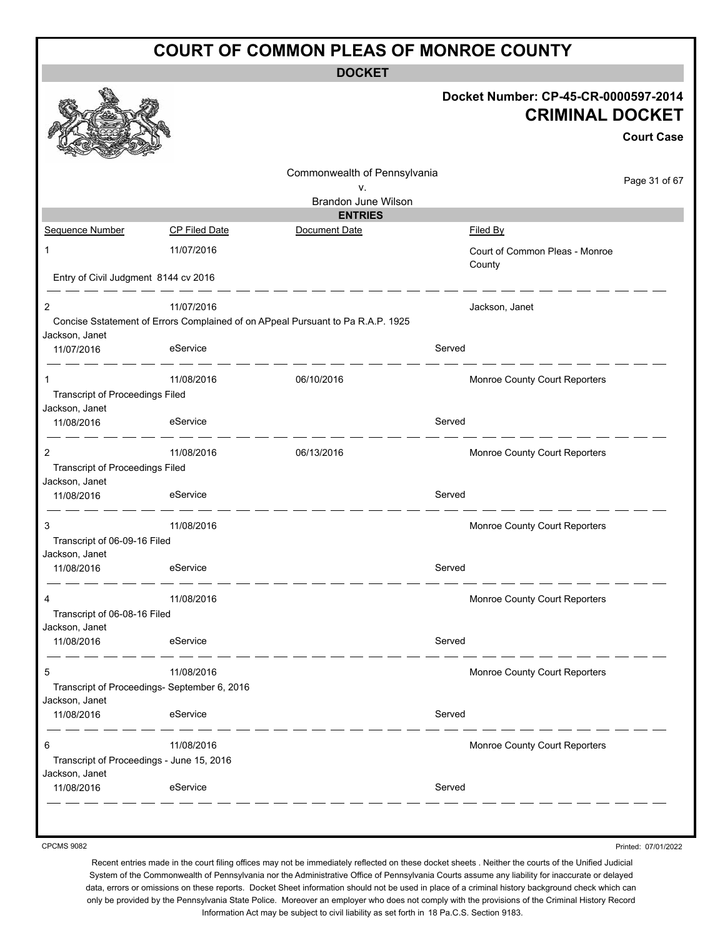|                                                             |                                                          | <b>COURT OF COMMON PLEAS OF MONROE COUNTY</b>                                   |        |                                                                                     |
|-------------------------------------------------------------|----------------------------------------------------------|---------------------------------------------------------------------------------|--------|-------------------------------------------------------------------------------------|
|                                                             |                                                          | <b>DOCKET</b>                                                                   |        |                                                                                     |
|                                                             |                                                          |                                                                                 |        | Docket Number: CP-45-CR-0000597-2014<br><b>CRIMINAL DOCKET</b><br><b>Court Case</b> |
|                                                             |                                                          | Commonwealth of Pennsylvania<br>v.<br>Brandon June Wilson                       |        | Page 31 of 67                                                                       |
|                                                             |                                                          | <b>ENTRIES</b>                                                                  |        |                                                                                     |
| Sequence Number                                             | <b>CP Filed Date</b>                                     | Document Date                                                                   |        | Filed By                                                                            |
| 1                                                           | 11/07/2016                                               |                                                                                 |        | Court of Common Pleas - Monroe<br>County                                            |
| Entry of Civil Judgment 8144 cv 2016                        |                                                          |                                                                                 |        |                                                                                     |
| 2<br>Jackson, Janet                                         | 11/07/2016                                               | Concise Sstatement of Errors Complained of on APpeal Pursuant to Pa R.A.P. 1925 |        | Jackson, Janet                                                                      |
| 11/07/2016                                                  | eService                                                 |                                                                                 | Served |                                                                                     |
| 1<br><b>Transcript of Proceedings Filed</b>                 | 11/08/2016                                               | 06/10/2016                                                                      |        | Monroe County Court Reporters                                                       |
| Jackson, Janet<br>11/08/2016                                | eService                                                 |                                                                                 | Served |                                                                                     |
| $\overline{2}$<br><b>Transcript of Proceedings Filed</b>    | 11/08/2016                                               | 06/13/2016                                                                      |        | Monroe County Court Reporters                                                       |
| Jackson, Janet<br>11/08/2016                                | eService                                                 |                                                                                 | Served |                                                                                     |
| 3<br>Transcript of 06-09-16 Filed                           | 11/08/2016                                               |                                                                                 |        | Monroe County Court Reporters                                                       |
| Jackson, Janet<br>11/08/2016                                | eService                                                 |                                                                                 | Served |                                                                                     |
| 4<br>Transcript of 06-08-16 Filed                           | 11/08/2016                                               |                                                                                 |        | Monroe County Court Reporters                                                       |
| Jackson, Janet<br>11/08/2016                                | eService                                                 |                                                                                 | Served |                                                                                     |
| 5                                                           | 11/08/2016                                               |                                                                                 |        | Monroe County Court Reporters                                                       |
| Jackson, Janet<br>11/08/2016                                | Transcript of Proceedings- September 6, 2016<br>eService |                                                                                 | Served |                                                                                     |
| 6                                                           | 11/08/2016                                               |                                                                                 |        | Monroe County Court Reporters                                                       |
| Transcript of Proceedings - June 15, 2016<br>Jackson, Janet |                                                          |                                                                                 |        |                                                                                     |
| 11/08/2016                                                  | eService                                                 |                                                                                 | Served |                                                                                     |

CPCMS 9082

Printed: 07/01/2022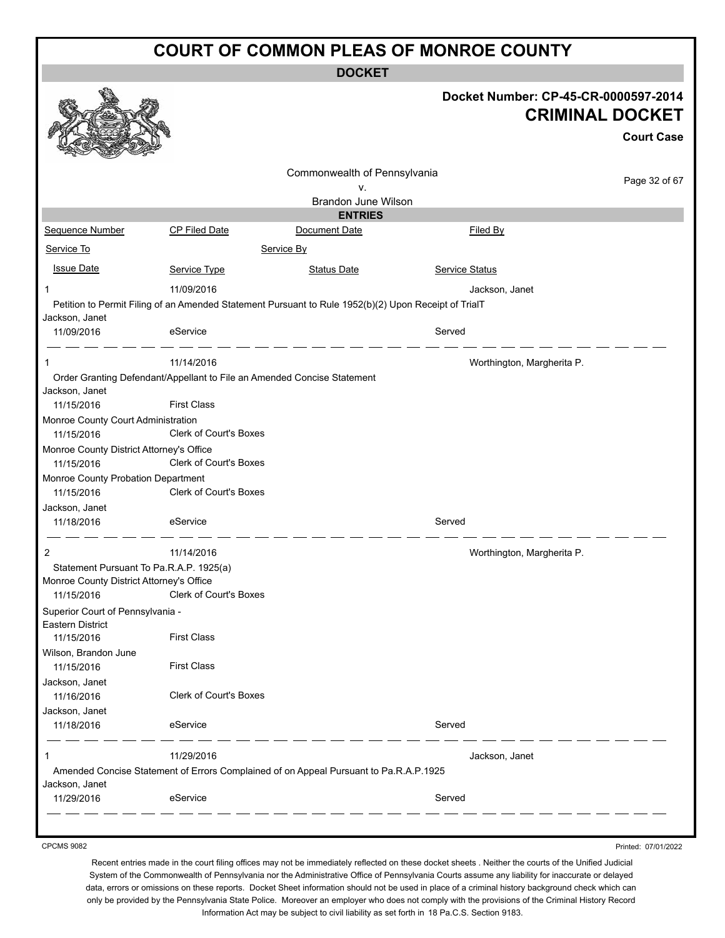**DOCKET**

|                                                                                     |                               |                                                                                                      |                            | Docket Number: CP-45-CR-0000597-2014<br><b>CRIMINAL DOCKET</b><br><b>Court Case</b> |
|-------------------------------------------------------------------------------------|-------------------------------|------------------------------------------------------------------------------------------------------|----------------------------|-------------------------------------------------------------------------------------|
|                                                                                     |                               | Commonwealth of Pennsylvania                                                                         |                            | Page 32 of 67                                                                       |
|                                                                                     |                               | ۷.<br>Brandon June Wilson                                                                            |                            |                                                                                     |
|                                                                                     |                               | <b>ENTRIES</b>                                                                                       |                            |                                                                                     |
| Sequence Number                                                                     | <b>CP Filed Date</b>          | Document Date                                                                                        | Filed By                   |                                                                                     |
| Service To                                                                          |                               | Service By                                                                                           |                            |                                                                                     |
| <b>Issue Date</b>                                                                   | Service Type                  | <b>Status Date</b>                                                                                   | <b>Service Status</b>      |                                                                                     |
| -1                                                                                  | 11/09/2016                    |                                                                                                      | Jackson, Janet             |                                                                                     |
|                                                                                     |                               | Petition to Permit Filing of an Amended Statement Pursuant to Rule 1952(b)(2) Upon Receipt of TrialT |                            |                                                                                     |
| Jackson, Janet<br>11/09/2016                                                        | eService                      |                                                                                                      | Served                     |                                                                                     |
| -1                                                                                  | 11/14/2016                    |                                                                                                      | Worthington, Margherita P. |                                                                                     |
|                                                                                     |                               | Order Granting Defendant/Appellant to File an Amended Concise Statement                              |                            |                                                                                     |
| Jackson, Janet                                                                      |                               |                                                                                                      |                            |                                                                                     |
| 11/15/2016                                                                          | <b>First Class</b>            |                                                                                                      |                            |                                                                                     |
| Monroe County Court Administration<br>11/15/2016                                    | <b>Clerk of Court's Boxes</b> |                                                                                                      |                            |                                                                                     |
| Monroe County District Attorney's Office                                            |                               |                                                                                                      |                            |                                                                                     |
| 11/15/2016                                                                          | <b>Clerk of Court's Boxes</b> |                                                                                                      |                            |                                                                                     |
| Monroe County Probation Department<br>11/15/2016                                    | Clerk of Court's Boxes        |                                                                                                      |                            |                                                                                     |
| Jackson, Janet                                                                      |                               |                                                                                                      |                            |                                                                                     |
| 11/18/2016                                                                          | eService                      |                                                                                                      | Served                     |                                                                                     |
| 2                                                                                   | 11/14/2016                    |                                                                                                      | Worthington, Margherita P. |                                                                                     |
| Statement Pursuant To Pa.R.A.P. 1925(a)<br>Monroe County District Attorney's Office |                               |                                                                                                      |                            |                                                                                     |
| 11/15/2016                                                                          | <b>Clerk of Court's Boxes</b> |                                                                                                      |                            |                                                                                     |
| Superior Court of Pennsylvania -<br>Eastern District                                |                               |                                                                                                      |                            |                                                                                     |
| 11/15/2016                                                                          | <b>First Class</b>            |                                                                                                      |                            |                                                                                     |
| Wilson, Brandon June<br>11/15/2016                                                  | <b>First Class</b>            |                                                                                                      |                            |                                                                                     |
| Jackson, Janet                                                                      |                               |                                                                                                      |                            |                                                                                     |
| 11/16/2016                                                                          | <b>Clerk of Court's Boxes</b> |                                                                                                      |                            |                                                                                     |
| Jackson, Janet                                                                      |                               |                                                                                                      |                            |                                                                                     |
| 11/18/2016                                                                          | eService                      |                                                                                                      | Served                     |                                                                                     |
| -1                                                                                  | 11/29/2016                    |                                                                                                      | Jackson, Janet             |                                                                                     |
| Jackson, Janet                                                                      |                               | Amended Concise Statement of Errors Complained of on Appeal Pursuant to Pa.R.A.P.1925                |                            |                                                                                     |
| 11/29/2016                                                                          | eService                      |                                                                                                      | Served                     |                                                                                     |
|                                                                                     |                               |                                                                                                      |                            |                                                                                     |
|                                                                                     |                               |                                                                                                      |                            |                                                                                     |

CPCMS 9082

Printed: 07/01/2022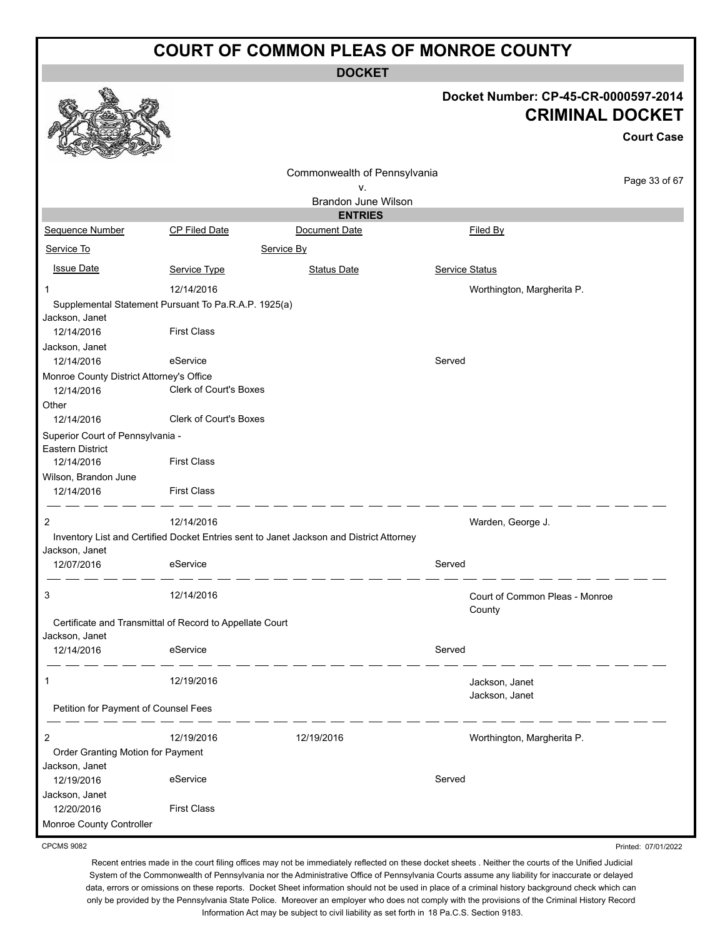**DOCKET**

|                                                                                      |                               | <b>DOCKET</b>                                                                           |                       |                                                                                     |
|--------------------------------------------------------------------------------------|-------------------------------|-----------------------------------------------------------------------------------------|-----------------------|-------------------------------------------------------------------------------------|
|                                                                                      |                               |                                                                                         |                       | Docket Number: CP-45-CR-0000597-2014<br><b>CRIMINAL DOCKET</b><br><b>Court Case</b> |
|                                                                                      |                               | Commonwealth of Pennsylvania                                                            |                       | Page 33 of 67                                                                       |
|                                                                                      |                               | ٧.                                                                                      |                       |                                                                                     |
|                                                                                      |                               | Brandon June Wilson<br><b>ENTRIES</b>                                                   |                       |                                                                                     |
| Sequence Number                                                                      | CP Filed Date                 | Document Date                                                                           |                       | Filed By                                                                            |
| Service To                                                                           |                               | Service By                                                                              |                       |                                                                                     |
|                                                                                      |                               |                                                                                         |                       |                                                                                     |
| <b>Issue Date</b>                                                                    | Service Type                  | <b>Status Date</b>                                                                      | <b>Service Status</b> |                                                                                     |
| 1                                                                                    | 12/14/2016                    |                                                                                         |                       | Worthington, Margherita P.                                                          |
| Supplemental Statement Pursuant To Pa.R.A.P. 1925(a)<br>Jackson, Janet<br>12/14/2016 | <b>First Class</b>            |                                                                                         |                       |                                                                                     |
| Jackson, Janet<br>12/14/2016                                                         | eService                      |                                                                                         | Served                |                                                                                     |
| Monroe County District Attorney's Office<br>12/14/2016                               | <b>Clerk of Court's Boxes</b> |                                                                                         |                       |                                                                                     |
| Other                                                                                |                               |                                                                                         |                       |                                                                                     |
| 12/14/2016                                                                           | <b>Clerk of Court's Boxes</b> |                                                                                         |                       |                                                                                     |
| Superior Court of Pennsylvania -<br><b>Eastern District</b><br>12/14/2016            | <b>First Class</b>            |                                                                                         |                       |                                                                                     |
| Wilson, Brandon June                                                                 |                               |                                                                                         |                       |                                                                                     |
| 12/14/2016                                                                           | <b>First Class</b>            |                                                                                         |                       |                                                                                     |
| 2                                                                                    | 12/14/2016                    |                                                                                         |                       | Warden, George J.                                                                   |
| Jackson, Janet                                                                       |                               | Inventory List and Certified Docket Entries sent to Janet Jackson and District Attorney |                       |                                                                                     |
| 12/07/2016                                                                           | eService                      |                                                                                         | Served                |                                                                                     |
| 3                                                                                    | 12/14/2016                    |                                                                                         |                       | Court of Common Pleas - Monroe<br>County                                            |
| Certificate and Transmittal of Record to Appellate Court                             |                               |                                                                                         |                       |                                                                                     |
| Jackson, Janet                                                                       |                               |                                                                                         |                       |                                                                                     |
| 12/14/2016                                                                           | eService                      |                                                                                         | Served                |                                                                                     |
| 1                                                                                    | 12/19/2016                    |                                                                                         |                       | Jackson, Janet<br>Jackson, Janet                                                    |
| Petition for Payment of Counsel Fees                                                 |                               |                                                                                         |                       |                                                                                     |
| 2                                                                                    | 12/19/2016                    | 12/19/2016                                                                              |                       | Worthington, Margherita P.                                                          |
| Order Granting Motion for Payment<br>Jackson, Janet                                  |                               |                                                                                         |                       |                                                                                     |
| 12/19/2016                                                                           | eService                      |                                                                                         | Served                |                                                                                     |
| Jackson, Janet<br>12/20/2016                                                         | <b>First Class</b>            |                                                                                         |                       |                                                                                     |
| Monroe County Controller                                                             |                               |                                                                                         |                       |                                                                                     |

CPCMS 9082

Recent entries made in the court filing offices may not be immediately reflected on these docket sheets . Neither the courts of the Unified Judicial System of the Commonwealth of Pennsylvania nor the Administrative Office of Pennsylvania Courts assume any liability for inaccurate or delayed data, errors or omissions on these reports. Docket Sheet information should not be used in place of a criminal history background check which can only be provided by the Pennsylvania State Police. Moreover an employer who does not comply with the provisions of the Criminal History Record Information Act may be subject to civil liability as set forth in 18 Pa.C.S. Section 9183.

Printed: 07/01/2022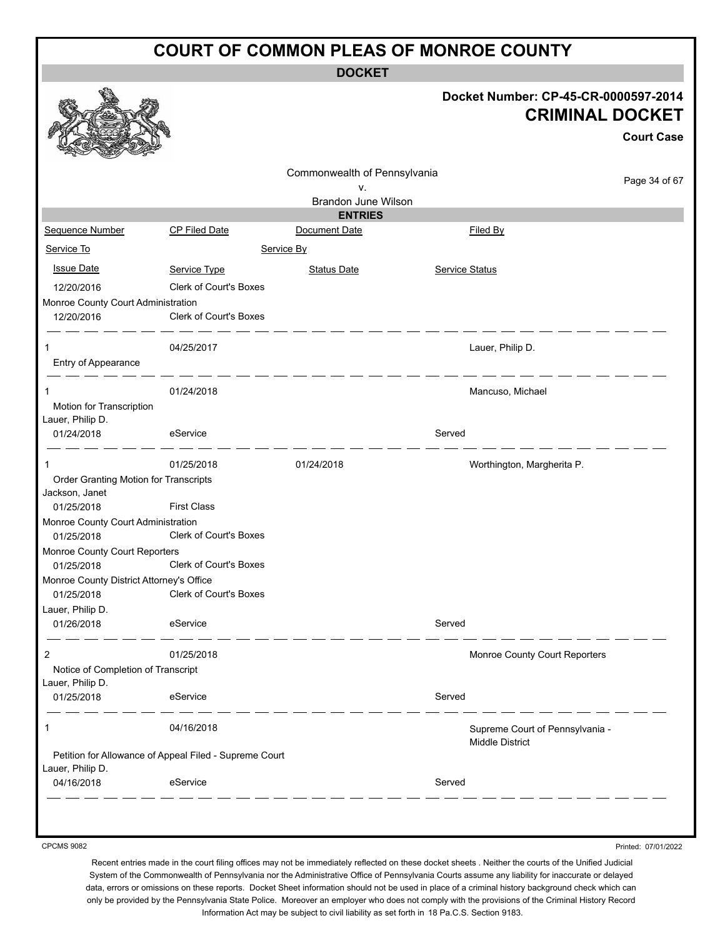**DOCKET**

# **Docket Number: CP-45-CR-0000597-2014 CRIMINAL DOCKET Court Case** Commonwealth of Pennsylvania Page 34 of 67 v. Brandon June Wilson **ENTRIES** Sequence Number CP Filed Date Document Date Date Filed By Service To Service By Issue Date Service Type Status Date Service Status 12/20/2016 Clerk of Court's Boxes 12/20/2016 Clerk of Court's Boxes 1 04/25/2017 Lauer, Philip D.  $-$ 1 01/24/2018 Mancuso, Michael

| Lauer, Philip D.<br>01/24/2018                          | eService                                               |            | Served                                                    |
|---------------------------------------------------------|--------------------------------------------------------|------------|-----------------------------------------------------------|
|                                                         |                                                        |            |                                                           |
| 1                                                       | 01/25/2018                                             | 01/24/2018 | Worthington, Margherita P.                                |
| Order Granting Motion for Transcripts<br>Jackson, Janet |                                                        |            |                                                           |
| 01/25/2018                                              | <b>First Class</b>                                     |            |                                                           |
| Monroe County Court Administration                      |                                                        |            |                                                           |
| 01/25/2018                                              | <b>Clerk of Court's Boxes</b>                          |            |                                                           |
| Monroe County Court Reporters                           |                                                        |            |                                                           |
| 01/25/2018                                              | <b>Clerk of Court's Boxes</b>                          |            |                                                           |
| Monroe County District Attorney's Office                |                                                        |            |                                                           |
| 01/25/2018                                              | <b>Clerk of Court's Boxes</b>                          |            |                                                           |
| Lauer, Philip D.                                        |                                                        |            |                                                           |
| 01/26/2018                                              | eService                                               |            | Served                                                    |
| $\overline{2}$                                          | 01/25/2018                                             |            | Monroe County Court Reporters                             |
| Notice of Completion of Transcript                      |                                                        |            |                                                           |
| Lauer, Philip D.                                        |                                                        |            |                                                           |
| 01/25/2018                                              | eService                                               |            | Served                                                    |
| 1                                                       | 04/16/2018                                             |            | Supreme Court of Pennsylvania -<br><b>Middle District</b> |
|                                                         | Petition for Allowance of Appeal Filed - Supreme Court |            |                                                           |
| Lauer, Philip D.                                        |                                                        |            |                                                           |
| 04/16/2018                                              | eService                                               |            | Served                                                    |

CPCMS 9082

Monroe County Court Administration

Motion for Transcription

Entry of Appearance

Recent entries made in the court filing offices may not be immediately reflected on these docket sheets . Neither the courts of the Unified Judicial System of the Commonwealth of Pennsylvania nor the Administrative Office of Pennsylvania Courts assume any liability for inaccurate or delayed data, errors or omissions on these reports. Docket Sheet information should not be used in place of a criminal history background check which can only be provided by the Pennsylvania State Police. Moreover an employer who does not comply with the provisions of the Criminal History Record Information Act may be subject to civil liability as set forth in 18 Pa.C.S. Section 9183.

Printed: 07/01/2022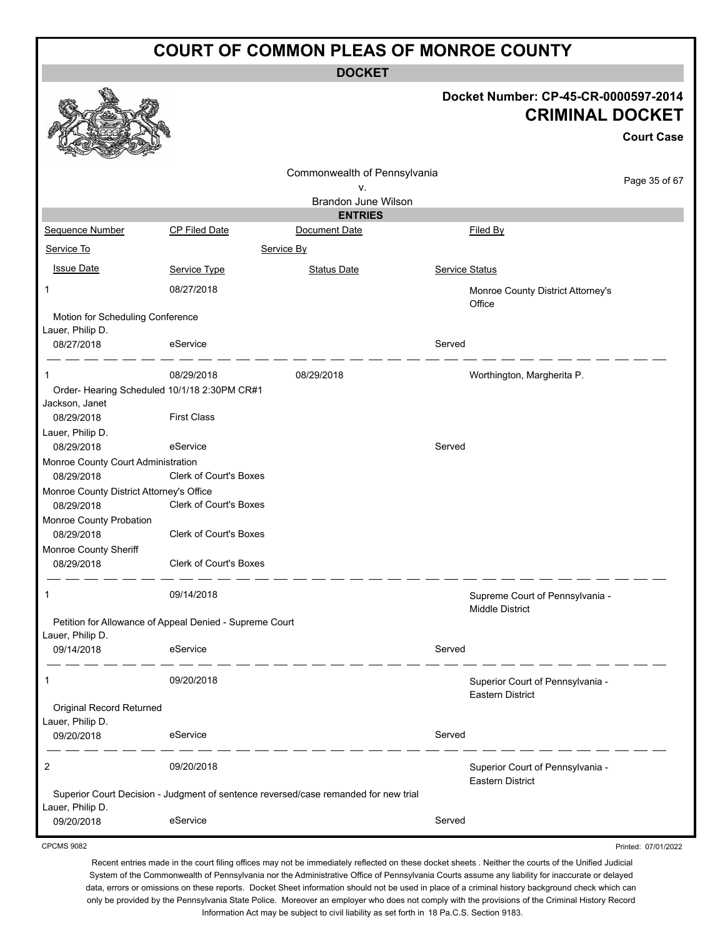**DOCKET**

|                                                                             |                               | <b>DUUNEI</b>                                                                       |        |                                                                |                     |
|-----------------------------------------------------------------------------|-------------------------------|-------------------------------------------------------------------------------------|--------|----------------------------------------------------------------|---------------------|
|                                                                             |                               |                                                                                     |        | Docket Number: CP-45-CR-0000597-2014<br><b>CRIMINAL DOCKET</b> |                     |
|                                                                             |                               |                                                                                     |        |                                                                | <b>Court Case</b>   |
|                                                                             |                               | Commonwealth of Pennsylvania                                                        |        |                                                                | Page 35 of 67       |
|                                                                             |                               | ۷.                                                                                  |        |                                                                |                     |
|                                                                             |                               | <b>Brandon June Wilson</b>                                                          |        |                                                                |                     |
|                                                                             |                               | <b>ENTRIES</b>                                                                      |        |                                                                |                     |
| Sequence Number                                                             | CP Filed Date                 | Document Date                                                                       |        | Filed By                                                       |                     |
| Service To                                                                  |                               | Service By                                                                          |        |                                                                |                     |
| <b>Issue Date</b>                                                           | Service Type                  | <b>Status Date</b>                                                                  |        | <b>Service Status</b>                                          |                     |
| 1                                                                           | 08/27/2018                    |                                                                                     |        | Monroe County District Attorney's<br>Office                    |                     |
| Motion for Scheduling Conference<br>Lauer, Philip D.                        |                               |                                                                                     |        |                                                                |                     |
| 08/27/2018                                                                  | eService                      |                                                                                     | Served |                                                                |                     |
| 1                                                                           | 08/29/2018                    | 08/29/2018                                                                          |        | Worthington, Margherita P.                                     |                     |
| Order- Hearing Scheduled 10/1/18 2:30PM CR#1                                |                               |                                                                                     |        |                                                                |                     |
| Jackson, Janet                                                              |                               |                                                                                     |        |                                                                |                     |
| 08/29/2018                                                                  | <b>First Class</b>            |                                                                                     |        |                                                                |                     |
| Lauer, Philip D.                                                            |                               |                                                                                     |        |                                                                |                     |
| 08/29/2018                                                                  | eService                      |                                                                                     | Served |                                                                |                     |
| Monroe County Court Administration<br>08/29/2018                            | <b>Clerk of Court's Boxes</b> |                                                                                     |        |                                                                |                     |
| Monroe County District Attorney's Office                                    |                               |                                                                                     |        |                                                                |                     |
| 08/29/2018                                                                  | Clerk of Court's Boxes        |                                                                                     |        |                                                                |                     |
| Monroe County Probation                                                     |                               |                                                                                     |        |                                                                |                     |
| 08/29/2018                                                                  | <b>Clerk of Court's Boxes</b> |                                                                                     |        |                                                                |                     |
| Monroe County Sheriff                                                       |                               |                                                                                     |        |                                                                |                     |
| 08/29/2018                                                                  | <b>Clerk of Court's Boxes</b> |                                                                                     |        |                                                                |                     |
| 1                                                                           | 09/14/2018                    |                                                                                     |        | Supreme Court of Pennsylvania -<br>Middle District             |                     |
| Petition for Allowance of Appeal Denied - Supreme Court<br>Lauer, Philip D. |                               |                                                                                     |        |                                                                |                     |
| 09/14/2018                                                                  | eService                      |                                                                                     | Served |                                                                |                     |
| 1                                                                           | 09/20/2018                    |                                                                                     |        | Superior Court of Pennsylvania -<br><b>Eastern District</b>    |                     |
| Original Record Returned                                                    |                               |                                                                                     |        |                                                                |                     |
| Lauer, Philip D.                                                            |                               |                                                                                     |        |                                                                |                     |
| 09/20/2018                                                                  | eService                      |                                                                                     | Served |                                                                |                     |
| 2                                                                           | 09/20/2018                    |                                                                                     |        | Superior Court of Pennsylvania -<br><b>Eastern District</b>    |                     |
|                                                                             |                               | Superior Court Decision - Judgment of sentence reversed/case remanded for new trial |        |                                                                |                     |
| Lauer, Philip D.                                                            |                               |                                                                                     |        |                                                                |                     |
| 09/20/2018                                                                  | eService                      |                                                                                     | Served |                                                                |                     |
| <b>CPCMS 9082</b>                                                           |                               |                                                                                     |        |                                                                | Printed: 07/01/2022 |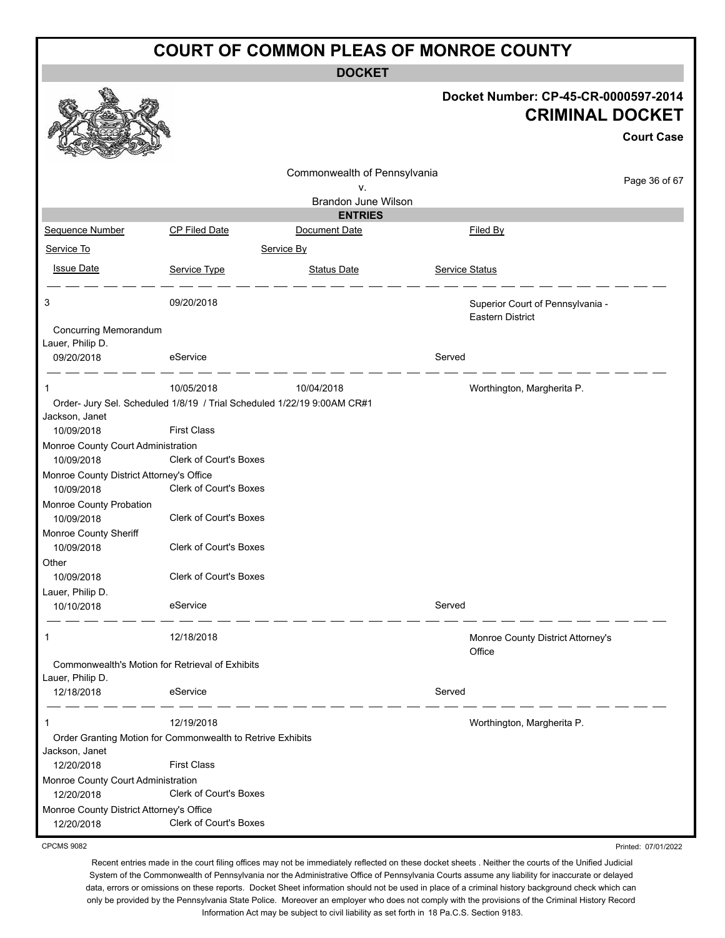**DOCKET**

|                                                        |                                                                                               | DUUNE I                      |                                                             |                                                                |
|--------------------------------------------------------|-----------------------------------------------------------------------------------------------|------------------------------|-------------------------------------------------------------|----------------------------------------------------------------|
|                                                        |                                                                                               |                              |                                                             | Docket Number: CP-45-CR-0000597-2014<br><b>CRIMINAL DOCKET</b> |
|                                                        |                                                                                               |                              |                                                             | <b>Court Case</b>                                              |
|                                                        |                                                                                               | Commonwealth of Pennsylvania |                                                             |                                                                |
|                                                        |                                                                                               | ۷.                           |                                                             | Page 36 of 67                                                  |
|                                                        |                                                                                               | Brandon June Wilson          |                                                             |                                                                |
|                                                        |                                                                                               | <b>ENTRIES</b>               |                                                             |                                                                |
| Sequence Number                                        | <b>CP Filed Date</b>                                                                          | Document Date                | Filed By                                                    |                                                                |
| Service To                                             |                                                                                               | Service By                   |                                                             |                                                                |
| <b>Issue Date</b>                                      | Service Type                                                                                  | <b>Status Date</b>           | <b>Service Status</b>                                       |                                                                |
| 3                                                      | 09/20/2018                                                                                    |                              | Superior Court of Pennsylvania -<br><b>Eastern District</b> |                                                                |
| Concurring Memorandum                                  |                                                                                               |                              |                                                             |                                                                |
| Lauer, Philip D.<br>09/20/2018                         | eService                                                                                      |                              | Served                                                      |                                                                |
| 1                                                      | 10/05/2018                                                                                    | 10/04/2018                   | Worthington, Margherita P.                                  |                                                                |
| Jackson, Janet<br>10/09/2018                           | Order- Jury Sel. Scheduled 1/8/19 / Trial Scheduled 1/22/19 9:00AM CR#1<br><b>First Class</b> |                              |                                                             |                                                                |
| Monroe County Court Administration<br>10/09/2018       | <b>Clerk of Court's Boxes</b>                                                                 |                              |                                                             |                                                                |
| Monroe County District Attorney's Office               |                                                                                               |                              |                                                             |                                                                |
| 10/09/2018                                             | Clerk of Court's Boxes                                                                        |                              |                                                             |                                                                |
| Monroe County Probation                                |                                                                                               |                              |                                                             |                                                                |
| 10/09/2018                                             | Clerk of Court's Boxes                                                                        |                              |                                                             |                                                                |
| Monroe County Sheriff                                  |                                                                                               |                              |                                                             |                                                                |
| 10/09/2018                                             | Clerk of Court's Boxes                                                                        |                              |                                                             |                                                                |
| Other                                                  |                                                                                               |                              |                                                             |                                                                |
| 10/09/2018                                             | Clerk of Court's Boxes                                                                        |                              |                                                             |                                                                |
| Lauer, Philip D.<br>10/10/2018                         | eService                                                                                      |                              | Served                                                      |                                                                |
| 1                                                      | 12/18/2018                                                                                    |                              | Monroe County District Attorney's<br>Office                 |                                                                |
| Commonwealth's Motion for Retrieval of Exhibits        |                                                                                               |                              |                                                             |                                                                |
| Lauer, Philip D.                                       |                                                                                               |                              |                                                             |                                                                |
| 12/18/2018                                             | eService                                                                                      |                              | Served                                                      |                                                                |
| 1                                                      | 12/19/2018                                                                                    |                              | Worthington, Margherita P.                                  |                                                                |
| Jackson, Janet                                         | Order Granting Motion for Commonwealth to Retrive Exhibits                                    |                              |                                                             |                                                                |
| 12/20/2018                                             | <b>First Class</b>                                                                            |                              |                                                             |                                                                |
| Monroe County Court Administration                     |                                                                                               |                              |                                                             |                                                                |
| 12/20/2018                                             | Clerk of Court's Boxes                                                                        |                              |                                                             |                                                                |
| Monroe County District Attorney's Office<br>12/20/2018 | Clerk of Court's Boxes                                                                        |                              |                                                             |                                                                |
| <b>CPCMS 9082</b>                                      |                                                                                               |                              |                                                             | Printed: 07/01/2022                                            |

CPCMS 9082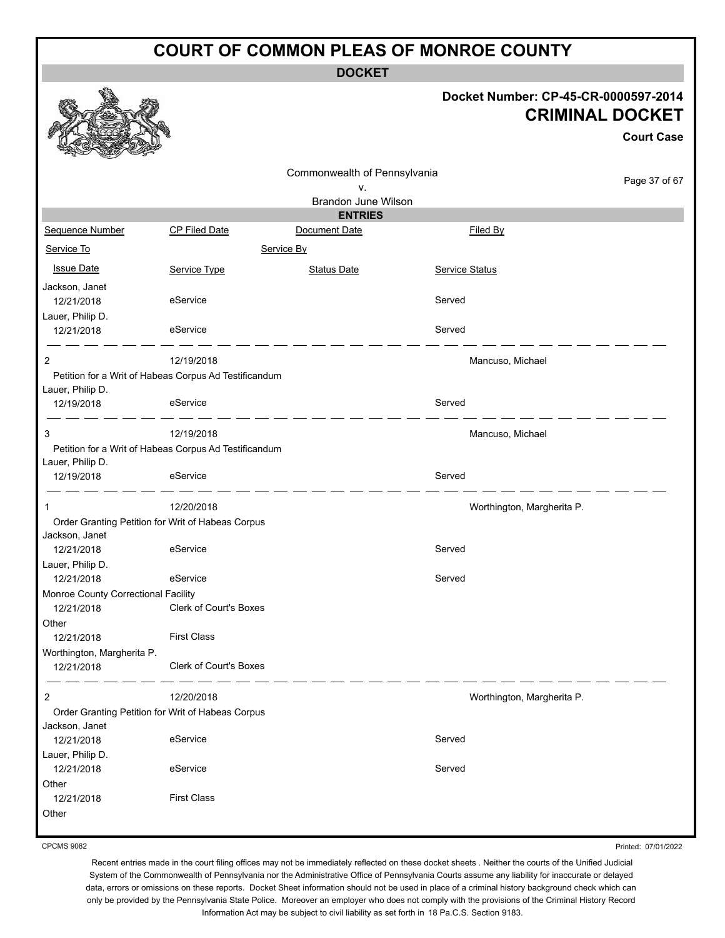**DOCKET**

#### **Docket Number: CP-45-CR-0000597-2014 CRIMINAL DOCKET**

|                                     |                                                       |                              |                |                            | <b>Court Case</b> |
|-------------------------------------|-------------------------------------------------------|------------------------------|----------------|----------------------------|-------------------|
|                                     |                                                       | Commonwealth of Pennsylvania |                |                            |                   |
|                                     |                                                       | ۷.                           |                |                            | Page 37 of 67     |
|                                     |                                                       | Brandon June Wilson          |                |                            |                   |
|                                     |                                                       | <b>ENTRIES</b>               |                |                            |                   |
| Sequence Number                     | <b>CP Filed Date</b>                                  | Document Date                |                | Filed By                   |                   |
| Service To                          |                                                       | Service By                   |                |                            |                   |
| <b>Issue Date</b>                   | Service Type                                          | <b>Status Date</b>           | Service Status |                            |                   |
| Jackson, Janet<br>12/21/2018        | eService                                              |                              | Served         |                            |                   |
| Lauer, Philip D.<br>12/21/2018      | eService                                              |                              | Served         |                            |                   |
| $\overline{2}$                      | 12/19/2018                                            |                              |                | Mancuso, Michael           |                   |
| Lauer, Philip D.                    | Petition for a Writ of Habeas Corpus Ad Testificandum |                              |                |                            |                   |
| 12/19/2018                          | eService                                              |                              | Served         |                            |                   |
| 3                                   | 12/19/2018                                            |                              |                | Mancuso, Michael           |                   |
| Lauer, Philip D.                    | Petition for a Writ of Habeas Corpus Ad Testificandum |                              |                |                            |                   |
| 12/19/2018                          | eService                                              |                              | Served         |                            |                   |
|                                     | 12/20/2018                                            |                              |                | Worthington, Margherita P. |                   |
| Jackson, Janet                      | Order Granting Petition for Writ of Habeas Corpus     |                              |                |                            |                   |
| 12/21/2018                          | eService                                              |                              | Served         |                            |                   |
| Lauer, Philip D.                    |                                                       |                              |                |                            |                   |
| 12/21/2018                          | eService                                              |                              | Served         |                            |                   |
| Monroe County Correctional Facility |                                                       |                              |                |                            |                   |
| 12/21/2018                          | <b>Clerk of Court's Boxes</b>                         |                              |                |                            |                   |
| Other<br>12/21/2018                 | <b>First Class</b>                                    |                              |                |                            |                   |
| Worthington, Margherita P.          |                                                       |                              |                |                            |                   |
| 12/21/2018                          | Clerk of Court's Boxes                                |                              |                |                            |                   |
| $\overline{c}$                      | 12/20/2018                                            |                              |                | Worthington, Margherita P. |                   |
|                                     | Order Granting Petition for Writ of Habeas Corpus     |                              |                |                            |                   |
| Jackson, Janet<br>12/21/2018        | eService                                              |                              | Served         |                            |                   |
| Lauer, Philip D.                    |                                                       |                              |                |                            |                   |
| 12/21/2018                          | eService                                              |                              | Served         |                            |                   |
| Other                               |                                                       |                              |                |                            |                   |
| 12/21/2018                          | <b>First Class</b>                                    |                              |                |                            |                   |
| Other                               |                                                       |                              |                |                            |                   |

CPCMS 9082

Printed: 07/01/2022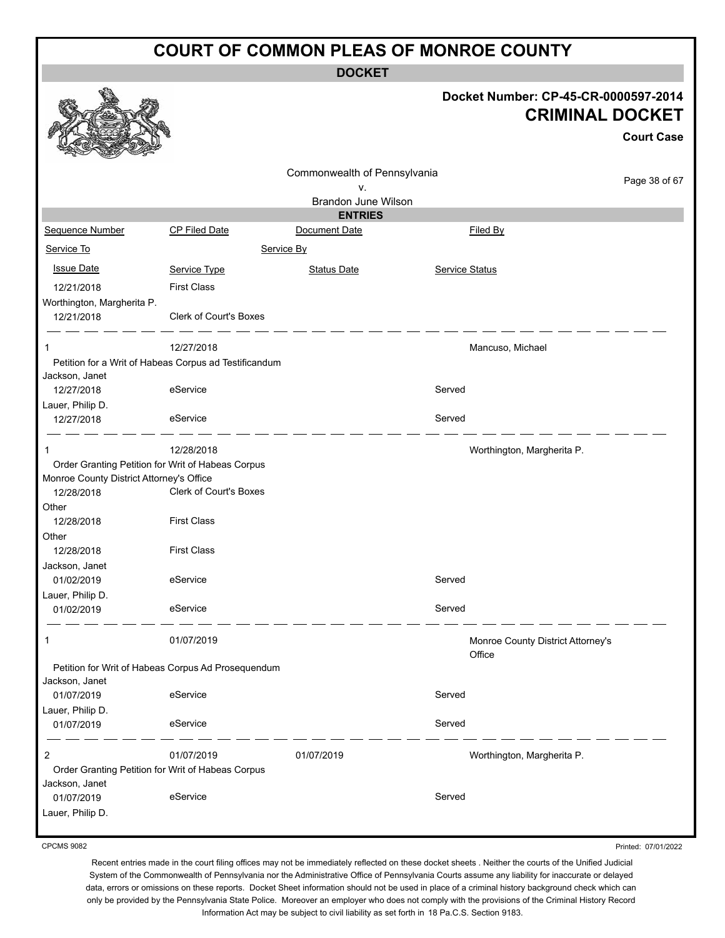**DOCKET**

|                                                                                               |                                                       | <b>DOCKET</b>                         |                |                                                                                     |
|-----------------------------------------------------------------------------------------------|-------------------------------------------------------|---------------------------------------|----------------|-------------------------------------------------------------------------------------|
|                                                                                               |                                                       |                                       |                | Docket Number: CP-45-CR-0000597-2014<br><b>CRIMINAL DOCKET</b><br><b>Court Case</b> |
|                                                                                               |                                                       |                                       |                |                                                                                     |
|                                                                                               |                                                       | Commonwealth of Pennsylvania          |                | Page 38 of 67                                                                       |
|                                                                                               |                                                       | v.                                    |                |                                                                                     |
|                                                                                               |                                                       | Brandon June Wilson<br><b>ENTRIES</b> |                |                                                                                     |
| Sequence Number                                                                               | <b>CP Filed Date</b>                                  | Document Date                         |                | Filed By                                                                            |
| Service To                                                                                    | Service By                                            |                                       |                |                                                                                     |
|                                                                                               |                                                       |                                       |                |                                                                                     |
| <b>Issue Date</b>                                                                             | Service Type                                          | <b>Status Date</b>                    | Service Status |                                                                                     |
| 12/21/2018                                                                                    | <b>First Class</b>                                    |                                       |                |                                                                                     |
| Worthington, Margherita P.<br>12/21/2018                                                      | Clerk of Court's Boxes                                |                                       |                |                                                                                     |
| 1                                                                                             | 12/27/2018                                            |                                       |                | Mancuso, Michael                                                                    |
|                                                                                               | Petition for a Writ of Habeas Corpus ad Testificandum |                                       |                |                                                                                     |
| Jackson, Janet                                                                                |                                                       |                                       |                |                                                                                     |
| 12/27/2018                                                                                    | eService                                              |                                       | Served         |                                                                                     |
| Lauer, Philip D.<br>12/27/2018                                                                | eService                                              |                                       | Served         |                                                                                     |
|                                                                                               | 12/28/2018                                            |                                       |                | Worthington, Margherita P.                                                          |
| Order Granting Petition for Writ of Habeas Corpus<br>Monroe County District Attorney's Office |                                                       |                                       |                |                                                                                     |
| 12/28/2018                                                                                    | Clerk of Court's Boxes                                |                                       |                |                                                                                     |
| Other                                                                                         |                                                       |                                       |                |                                                                                     |
| 12/28/2018                                                                                    | <b>First Class</b>                                    |                                       |                |                                                                                     |
| Other<br>12/28/2018                                                                           | <b>First Class</b>                                    |                                       |                |                                                                                     |
| Jackson, Janet                                                                                |                                                       |                                       |                |                                                                                     |
| 01/02/2019                                                                                    | eService                                              |                                       | Served         |                                                                                     |
| Lauer, Philip D.                                                                              |                                                       |                                       |                |                                                                                     |
| 01/02/2019                                                                                    | eService                                              |                                       | Served         |                                                                                     |
| 1                                                                                             | 01/07/2019                                            |                                       |                | Monroe County District Attorney's<br>Office                                         |
|                                                                                               | Petition for Writ of Habeas Corpus Ad Prosequendum    |                                       |                |                                                                                     |
| Jackson, Janet                                                                                |                                                       |                                       |                |                                                                                     |
| 01/07/2019                                                                                    | eService                                              |                                       | Served         |                                                                                     |
| Lauer, Philip D.<br>01/07/2019                                                                | eService                                              |                                       | Served         |                                                                                     |
| 2                                                                                             | 01/07/2019                                            | 01/07/2019                            |                | Worthington, Margherita P.                                                          |
| Order Granting Petition for Writ of Habeas Corpus<br>Jackson, Janet                           |                                                       |                                       |                |                                                                                     |
| 01/07/2019<br>Lauer, Philip D.                                                                | eService                                              |                                       | Served         |                                                                                     |
|                                                                                               |                                                       |                                       |                |                                                                                     |

CPCMS 9082

Printed: 07/01/2022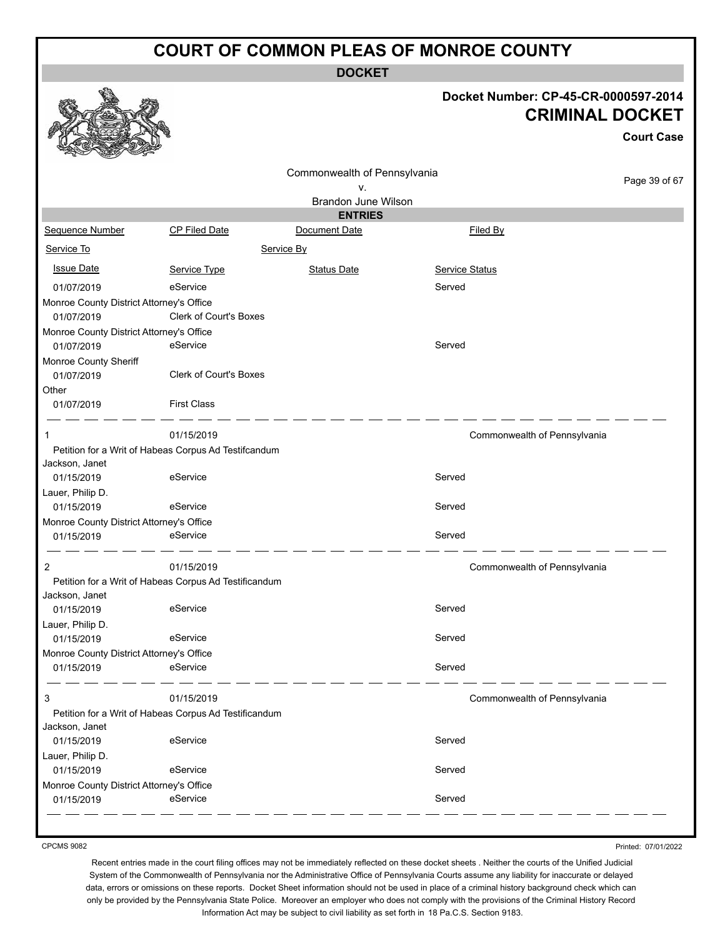**DOCKET**

#### **Docket Number: CP-45-CR-0000597-2014 CRIMINAL DOCKET**

**Court Case**

|                                          |                                                       |                              |                | Uult Udac                    |
|------------------------------------------|-------------------------------------------------------|------------------------------|----------------|------------------------------|
|                                          |                                                       | Commonwealth of Pennsylvania |                |                              |
|                                          |                                                       | ٧.                           |                | Page 39 of 67                |
|                                          |                                                       | <b>Brandon June Wilson</b>   |                |                              |
|                                          |                                                       | <b>ENTRIES</b>               |                |                              |
| Sequence Number                          | <b>CP Filed Date</b>                                  | Document Date                | Filed By       |                              |
| Service To                               | Service By                                            |                              |                |                              |
| <b>Issue Date</b>                        | Service Type                                          | <b>Status Date</b>           | Service Status |                              |
| 01/07/2019                               | eService                                              |                              | Served         |                              |
| Monroe County District Attorney's Office |                                                       |                              |                |                              |
| 01/07/2019                               | Clerk of Court's Boxes                                |                              |                |                              |
| Monroe County District Attorney's Office |                                                       |                              |                |                              |
| 01/07/2019                               | eService                                              |                              | Served         |                              |
| Monroe County Sheriff                    |                                                       |                              |                |                              |
| 01/07/2019                               | <b>Clerk of Court's Boxes</b>                         |                              |                |                              |
| Other                                    |                                                       |                              |                |                              |
| 01/07/2019                               | <b>First Class</b>                                    |                              |                |                              |
| -1                                       | 01/15/2019                                            |                              |                | Commonwealth of Pennsylvania |
|                                          | Petition for a Writ of Habeas Corpus Ad Testifcandum  |                              |                |                              |
| Jackson, Janet                           |                                                       |                              |                |                              |
| 01/15/2019                               | eService                                              |                              | Served         |                              |
| Lauer, Philip D.                         |                                                       |                              |                |                              |
| 01/15/2019                               | eService                                              |                              | Served         |                              |
| Monroe County District Attorney's Office |                                                       |                              |                |                              |
| 01/15/2019                               | eService                                              |                              | Served         |                              |
| 2                                        | 01/15/2019                                            |                              |                | Commonwealth of Pennsylvania |
|                                          | Petition for a Writ of Habeas Corpus Ad Testificandum |                              |                |                              |
| Jackson, Janet                           |                                                       |                              |                |                              |
| 01/15/2019                               | eService                                              |                              | Served         |                              |
| Lauer, Philip D.                         |                                                       |                              |                |                              |
| 01/15/2019                               | eService                                              |                              | Served         |                              |
| Monroe County District Attorney's Office |                                                       |                              |                |                              |
| 01/15/2019                               | eService                                              |                              | Served         |                              |
| 3                                        | 01/15/2019                                            |                              |                | Commonwealth of Pennsylvania |
|                                          | Petition for a Writ of Habeas Corpus Ad Testificandum |                              |                |                              |
| Jackson, Janet                           |                                                       |                              |                |                              |
| 01/15/2019                               | eService                                              |                              | Served         |                              |
| Lauer, Philip D.                         |                                                       |                              |                |                              |
| 01/15/2019                               | eService                                              |                              | Served         |                              |
| Monroe County District Attorney's Office |                                                       |                              |                |                              |
| 01/15/2019                               | eService                                              |                              | Served         |                              |
|                                          |                                                       |                              |                |                              |

CPCMS 9082

Printed: 07/01/2022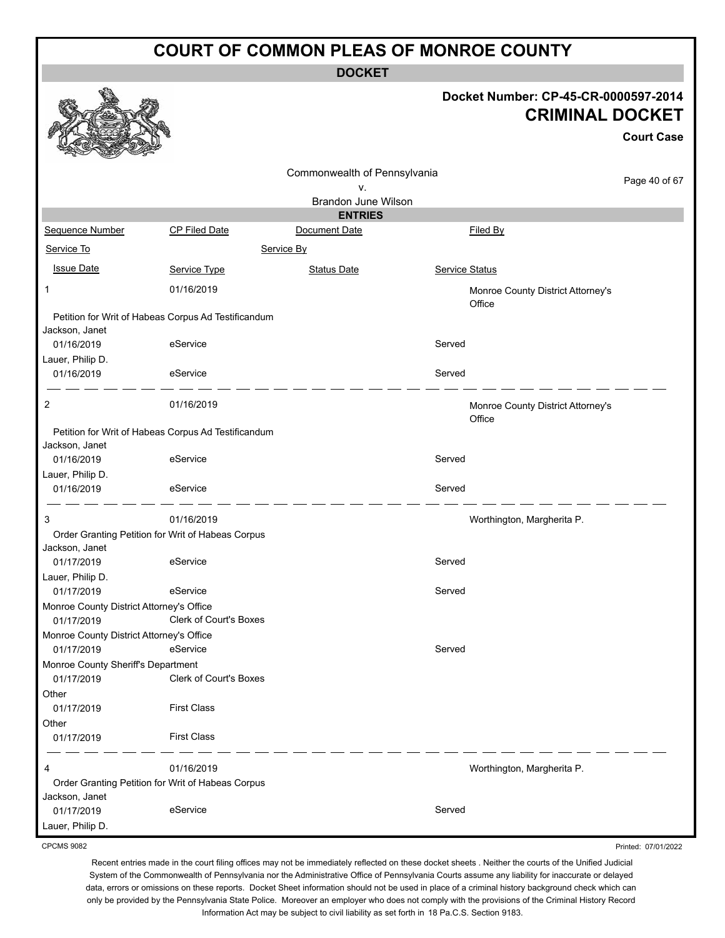**DOCKET**

#### **Docket Number: CP-45-CR-0000597-2014 CRIMINAL DOCKET**

**Court Case**

Printed: 07/01/2022

|                                                                       |                        |                              |                       |                                             | <b>Court Case</b> |
|-----------------------------------------------------------------------|------------------------|------------------------------|-----------------------|---------------------------------------------|-------------------|
|                                                                       |                        | Commonwealth of Pennsylvania |                       |                                             | Page 40 of 67     |
|                                                                       |                        | ٧.<br>Brandon June Wilson    |                       |                                             |                   |
|                                                                       |                        | <b>ENTRIES</b>               |                       |                                             |                   |
| Sequence Number                                                       | CP Filed Date          | Document Date                |                       | Filed By                                    |                   |
| Service To<br>Service By                                              |                        |                              |                       |                                             |                   |
| <b>Issue Date</b>                                                     | Service Type           | <b>Status Date</b>           | <b>Service Status</b> |                                             |                   |
| 1                                                                     | 01/16/2019             |                              |                       | Monroe County District Attorney's           |                   |
| Petition for Writ of Habeas Corpus Ad Testificandum<br>Jackson, Janet |                        |                              |                       | Office                                      |                   |
| 01/16/2019                                                            | eService               |                              | Served                |                                             |                   |
| Lauer, Philip D.                                                      |                        |                              |                       |                                             |                   |
| 01/16/2019                                                            | eService               |                              | Served                |                                             |                   |
| 2                                                                     | 01/16/2019             |                              |                       | Monroe County District Attorney's<br>Office |                   |
| Petition for Writ of Habeas Corpus Ad Testificandum                   |                        |                              |                       |                                             |                   |
| Jackson, Janet<br>01/16/2019                                          | eService               |                              | Served                |                                             |                   |
| Lauer, Philip D.<br>01/16/2019                                        | eService               |                              | Served                |                                             |                   |
| 3                                                                     | 01/16/2019             |                              |                       | Worthington, Margherita P.                  |                   |
| Order Granting Petition for Writ of Habeas Corpus                     |                        |                              |                       |                                             |                   |
| Jackson, Janet                                                        |                        |                              |                       |                                             |                   |
| 01/17/2019<br>Lauer, Philip D.                                        | eService               |                              | Served                |                                             |                   |
| 01/17/2019                                                            | eService               |                              | Served                |                                             |                   |
| Monroe County District Attorney's Office                              |                        |                              |                       |                                             |                   |
| 01/17/2019                                                            | Clerk of Court's Boxes |                              |                       |                                             |                   |
| Monroe County District Attorney's Office<br>01/17/2019                | eService               |                              | Served                |                                             |                   |
| Monroe County Sheriff's Department                                    |                        |                              |                       |                                             |                   |
| 01/17/2019                                                            | Clerk of Court's Boxes |                              |                       |                                             |                   |
| Other                                                                 |                        |                              |                       |                                             |                   |
| 01/17/2019                                                            | <b>First Class</b>     |                              |                       |                                             |                   |
| Other<br>01/17/2019                                                   | <b>First Class</b>     |                              |                       |                                             |                   |
| 4                                                                     | 01/16/2019             |                              |                       | Worthington, Margherita P.                  |                   |
| Order Granting Petition for Writ of Habeas Corpus                     |                        |                              |                       |                                             |                   |
| Jackson, Janet                                                        |                        |                              |                       |                                             |                   |
| 01/17/2019                                                            | eService               |                              | Served                |                                             |                   |
| Lauer, Philip D.                                                      |                        |                              |                       |                                             |                   |

CPCMS 9082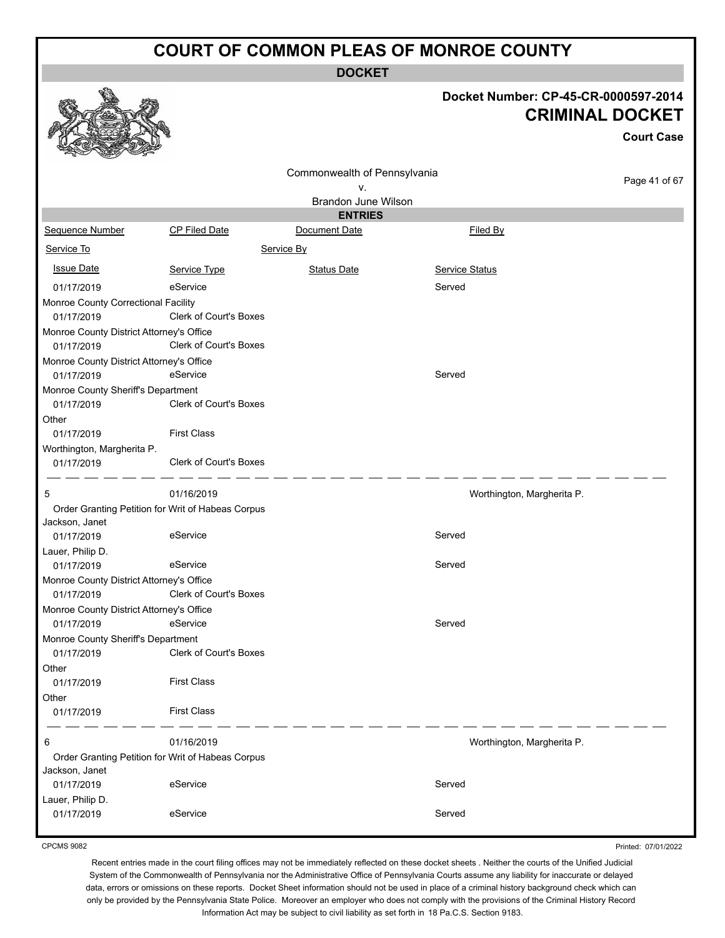**DOCKET**

|                                                        |                               |                                    | Docket Number: CP-45-CR-0000597-2014<br><b>CRIMINAL DOCKET</b> | <b>Court Case</b> |
|--------------------------------------------------------|-------------------------------|------------------------------------|----------------------------------------------------------------|-------------------|
|                                                        |                               | Commonwealth of Pennsylvania<br>v. |                                                                | Page 41 of 67     |
|                                                        |                               | Brandon June Wilson                |                                                                |                   |
|                                                        |                               | <b>ENTRIES</b>                     |                                                                |                   |
| Sequence Number                                        | <b>CP Filed Date</b>          | Document Date                      | Filed By                                                       |                   |
| Service To                                             |                               | Service By                         |                                                                |                   |
| <b>Issue Date</b>                                      | Service Type                  | <b>Status Date</b>                 | Service Status                                                 |                   |
| 01/17/2019                                             | eService                      |                                    | Served                                                         |                   |
| Monroe County Correctional Facility                    |                               |                                    |                                                                |                   |
| 01/17/2019                                             | Clerk of Court's Boxes        |                                    |                                                                |                   |
| Monroe County District Attorney's Office               |                               |                                    |                                                                |                   |
| 01/17/2019                                             | <b>Clerk of Court's Boxes</b> |                                    |                                                                |                   |
| Monroe County District Attorney's Office<br>01/17/2019 | eService                      |                                    | Served                                                         |                   |
| Monroe County Sheriff's Department                     |                               |                                    |                                                                |                   |
| 01/17/2019                                             | Clerk of Court's Boxes        |                                    |                                                                |                   |
| Other                                                  |                               |                                    |                                                                |                   |
| 01/17/2019                                             | <b>First Class</b>            |                                    |                                                                |                   |
| Worthington, Margherita P.<br>01/17/2019               | Clerk of Court's Boxes        |                                    |                                                                |                   |
| 5                                                      | 01/16/2019                    |                                    | Worthington, Margherita P.                                     |                   |
| Order Granting Petition for Writ of Habeas Corpus      |                               |                                    |                                                                |                   |
| Jackson, Janet                                         |                               |                                    |                                                                |                   |
| 01/17/2019                                             | eService                      |                                    | Served                                                         |                   |
| Lauer, Philip D.                                       |                               |                                    |                                                                |                   |
| 01/17/2019                                             | eService                      |                                    | Served                                                         |                   |
| Monroe County District Attorney's Office<br>01/17/2019 | Clerk of Court's Boxes        |                                    |                                                                |                   |
| Monroe County District Attorney's Office               |                               |                                    |                                                                |                   |
| 01/17/2019                                             | eService                      |                                    | Served                                                         |                   |
| Monroe County Sheriff's Department                     |                               |                                    |                                                                |                   |
| 01/17/2019                                             | Clerk of Court's Boxes        |                                    |                                                                |                   |
| Other                                                  |                               |                                    |                                                                |                   |
| 01/17/2019                                             | <b>First Class</b>            |                                    |                                                                |                   |
| Other<br>01/17/2019                                    | <b>First Class</b>            |                                    |                                                                |                   |
|                                                        |                               |                                    |                                                                |                   |
| 6                                                      | 01/16/2019                    |                                    | Worthington, Margherita P.                                     |                   |
| Order Granting Petition for Writ of Habeas Corpus      |                               |                                    |                                                                |                   |
| Jackson, Janet                                         |                               |                                    |                                                                |                   |
| 01/17/2019                                             | eService                      |                                    | Served                                                         |                   |
| Lauer, Philip D.<br>01/17/2019                         | eService                      |                                    | Served                                                         |                   |
|                                                        |                               |                                    |                                                                |                   |

CPCMS 9082

Printed: 07/01/2022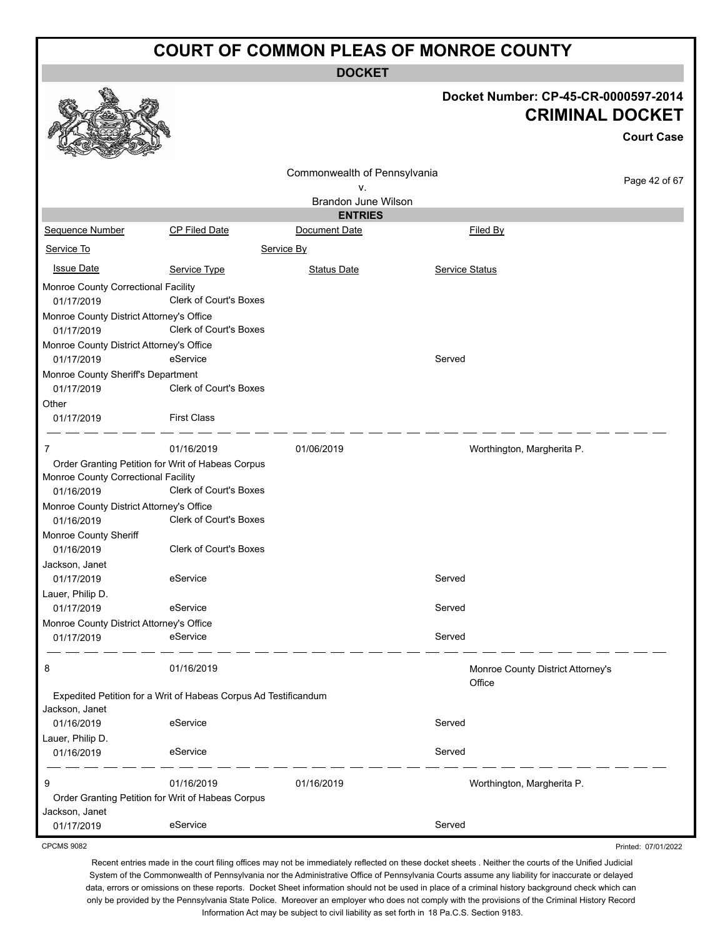**DOCKET**

|                                                                 |                               |                              |                | Docket Number: CP-45-CR-0000597-2014<br><b>CRIMINAL DOCKET</b><br><b>Court Case</b> |
|-----------------------------------------------------------------|-------------------------------|------------------------------|----------------|-------------------------------------------------------------------------------------|
|                                                                 |                               | Commonwealth of Pennsylvania |                |                                                                                     |
|                                                                 |                               | ٧.                           |                | Page 42 of 67                                                                       |
|                                                                 |                               | Brandon June Wilson          |                |                                                                                     |
|                                                                 |                               | <b>ENTRIES</b>               |                |                                                                                     |
| Sequence Number                                                 | CP Filed Date                 | Document Date                |                | Filed By                                                                            |
| Service To                                                      |                               | Service By                   |                |                                                                                     |
| <b>Issue Date</b>                                               | Service Type                  | <b>Status Date</b>           | Service Status |                                                                                     |
| Monroe County Correctional Facility<br>01/17/2019               | <b>Clerk of Court's Boxes</b> |                              |                |                                                                                     |
| Monroe County District Attorney's Office<br>01/17/2019          | Clerk of Court's Boxes        |                              |                |                                                                                     |
| Monroe County District Attorney's Office                        |                               |                              |                |                                                                                     |
| 01/17/2019                                                      | eService                      |                              | Served         |                                                                                     |
| Monroe County Sheriff's Department                              |                               |                              |                |                                                                                     |
| 01/17/2019                                                      | <b>Clerk of Court's Boxes</b> |                              |                |                                                                                     |
| Other                                                           |                               |                              |                |                                                                                     |
| 01/17/2019                                                      | <b>First Class</b>            |                              |                |                                                                                     |
| 7                                                               | 01/16/2019                    | 01/06/2019                   |                | Worthington, Margherita P.                                                          |
| Order Granting Petition for Writ of Habeas Corpus               |                               |                              |                |                                                                                     |
| Monroe County Correctional Facility<br>01/16/2019               | <b>Clerk of Court's Boxes</b> |                              |                |                                                                                     |
| Monroe County District Attorney's Office                        |                               |                              |                |                                                                                     |
| 01/16/2019                                                      | Clerk of Court's Boxes        |                              |                |                                                                                     |
| Monroe County Sheriff                                           |                               |                              |                |                                                                                     |
| 01/16/2019                                                      | <b>Clerk of Court's Boxes</b> |                              |                |                                                                                     |
| Jackson, Janet                                                  |                               |                              |                |                                                                                     |
| 01/17/2019                                                      | eService                      |                              | Served         |                                                                                     |
| Lauer, Philip D.                                                |                               |                              |                |                                                                                     |
| 01/17/2019                                                      | eService                      |                              | Served         |                                                                                     |
| Monroe County District Attorney's Office                        |                               |                              |                |                                                                                     |
| 01/17/2019                                                      | eService                      |                              | Served         |                                                                                     |
| 8                                                               | 01/16/2019                    |                              |                | Monroe County District Attorney's<br>Office                                         |
| Expedited Petition for a Writ of Habeas Corpus Ad Testificandum |                               |                              |                |                                                                                     |
| Jackson, Janet                                                  |                               |                              |                |                                                                                     |
| 01/16/2019                                                      | eService                      |                              | Served         |                                                                                     |
| Lauer, Philip D.                                                |                               |                              |                |                                                                                     |
| 01/16/2019                                                      | eService                      |                              | Served         |                                                                                     |
| 9                                                               | 01/16/2019                    | 01/16/2019                   |                | Worthington, Margherita P.                                                          |
| Order Granting Petition for Writ of Habeas Corpus               |                               |                              |                |                                                                                     |
| Jackson, Janet                                                  |                               |                              |                |                                                                                     |
| 01/17/2019                                                      | eService                      |                              | Served         |                                                                                     |

CPCMS 9082

Recent entries made in the court filing offices may not be immediately reflected on these docket sheets . Neither the courts of the Unified Judicial System of the Commonwealth of Pennsylvania nor the Administrative Office of Pennsylvania Courts assume any liability for inaccurate or delayed data, errors or omissions on these reports. Docket Sheet information should not be used in place of a criminal history background check which can only be provided by the Pennsylvania State Police. Moreover an employer who does not comply with the provisions of the Criminal History Record Information Act may be subject to civil liability as set forth in 18 Pa.C.S. Section 9183.

Printed: 07/01/2022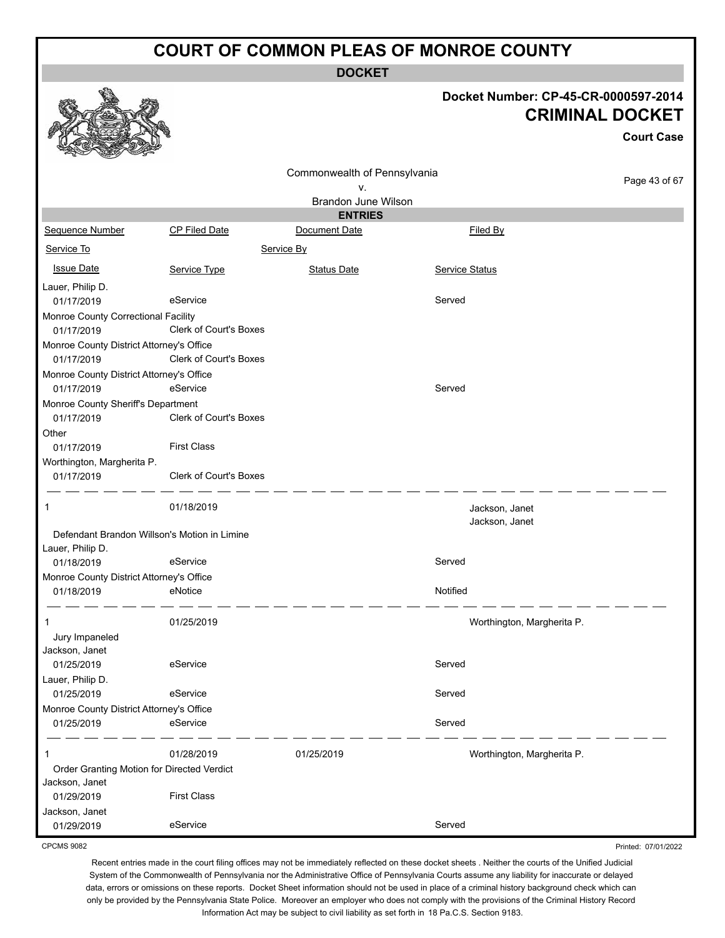**DOCKET**

|                                                        |                               |                                  | Docket Number: CP-45-CR-0000597-2014 | <b>CRIMINAL DOCKET</b><br><b>Court Case</b> |
|--------------------------------------------------------|-------------------------------|----------------------------------|--------------------------------------|---------------------------------------------|
|                                                        |                               | Commonwealth of Pennsylvania     |                                      | Page 43 of 67                               |
|                                                        |                               | ٧.<br><b>Brandon June Wilson</b> |                                      |                                             |
|                                                        |                               | <b>ENTRIES</b>                   |                                      |                                             |
| Sequence Number                                        | <b>CP Filed Date</b>          | Document Date                    | Filed By                             |                                             |
| Service To                                             |                               | Service By                       |                                      |                                             |
| <b>Issue Date</b>                                      | Service Type                  | <b>Status Date</b>               | <b>Service Status</b>                |                                             |
| Lauer, Philip D.<br>01/17/2019                         | eService                      |                                  | Served                               |                                             |
| Monroe County Correctional Facility<br>01/17/2019      | Clerk of Court's Boxes        |                                  |                                      |                                             |
| Monroe County District Attorney's Office<br>01/17/2019 | <b>Clerk of Court's Boxes</b> |                                  |                                      |                                             |
| Monroe County District Attorney's Office<br>01/17/2019 | eService                      |                                  | Served                               |                                             |
| Monroe County Sheriff's Department<br>01/17/2019       | <b>Clerk of Court's Boxes</b> |                                  |                                      |                                             |
| Other<br>01/17/2019                                    | <b>First Class</b>            |                                  |                                      |                                             |
| Worthington, Margherita P.<br>01/17/2019               | Clerk of Court's Boxes        |                                  |                                      |                                             |
| 1                                                      | 01/18/2019                    |                                  | Jackson, Janet<br>Jackson, Janet     |                                             |
| Defendant Brandon Willson's Motion in Limine           |                               |                                  |                                      |                                             |
| Lauer, Philip D.                                       |                               |                                  |                                      |                                             |
| 01/18/2019<br>Monroe County District Attorney's Office | eService                      |                                  | Served                               |                                             |
| 01/18/2019                                             | eNotice                       |                                  | Notified                             |                                             |
| 1                                                      | 01/25/2019                    |                                  | Worthington, Margherita P.           |                                             |
| Jury Impaneled<br>Jackson, Janet                       |                               |                                  |                                      |                                             |
| 01/25/2019                                             | eService                      |                                  | Served                               |                                             |
| Lauer, Philip D.                                       |                               |                                  |                                      |                                             |
| 01/25/2019                                             | eService                      |                                  | Served                               |                                             |
| Monroe County District Attorney's Office               |                               |                                  |                                      |                                             |
| 01/25/2019                                             | eService                      |                                  | Served                               |                                             |
| 1                                                      | 01/28/2019                    | 01/25/2019                       | Worthington, Margherita P.           |                                             |
| Order Granting Motion for Directed Verdict             |                               |                                  |                                      |                                             |
| Jackson, Janet                                         |                               |                                  |                                      |                                             |
| 01/29/2019                                             | <b>First Class</b>            |                                  |                                      |                                             |
| Jackson, Janet<br>01/29/2019                           | eService                      |                                  | Served                               |                                             |
| <b>CPCMS 9082</b>                                      |                               |                                  |                                      | Printed: 07/01/2022                         |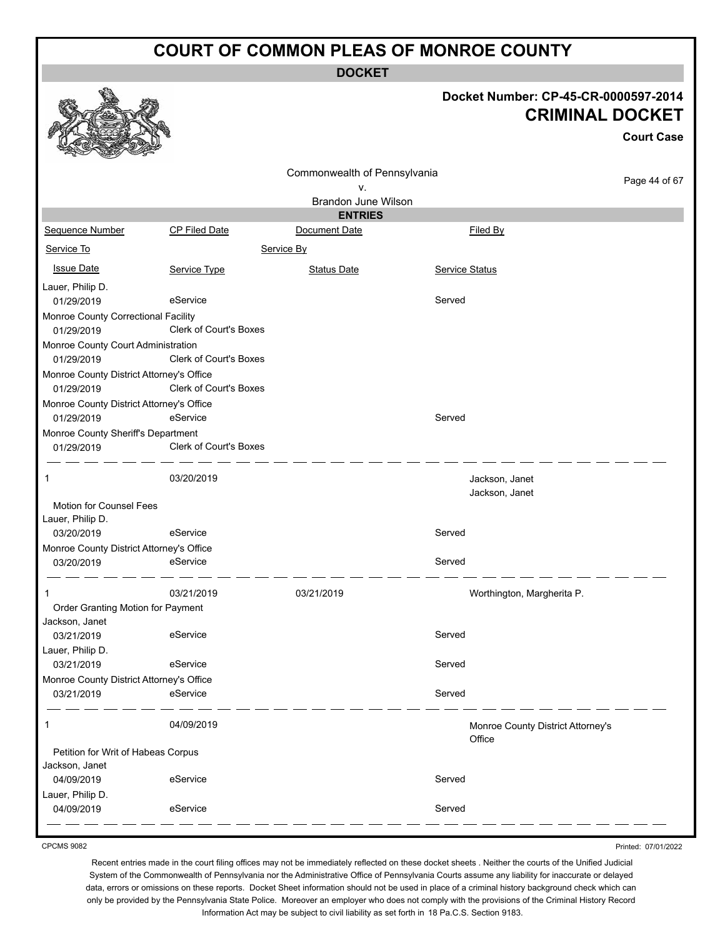**DOCKET**

|                                                        |                               |                                              |                       | Docket Number: CP-45-CR-0000597-2014<br><b>CRIMINAL DOCKET</b><br><b>Court Case</b> |
|--------------------------------------------------------|-------------------------------|----------------------------------------------|-----------------------|-------------------------------------------------------------------------------------|
|                                                        |                               | Commonwealth of Pennsylvania                 |                       | Page 44 of 67                                                                       |
|                                                        |                               | ν.                                           |                       |                                                                                     |
|                                                        |                               | <b>Brandon June Wilson</b><br><b>ENTRIES</b> |                       |                                                                                     |
| Sequence Number                                        | CP Filed Date                 | Document Date                                | Filed By              |                                                                                     |
| Service To                                             |                               | Service By                                   |                       |                                                                                     |
| <b>Issue Date</b>                                      | Service Type                  | <b>Status Date</b>                           | <b>Service Status</b> |                                                                                     |
| Lauer, Philip D.<br>01/29/2019                         | eService                      |                                              | Served                |                                                                                     |
| Monroe County Correctional Facility<br>01/29/2019      | Clerk of Court's Boxes        |                                              |                       |                                                                                     |
| Monroe County Court Administration<br>01/29/2019       | <b>Clerk of Court's Boxes</b> |                                              |                       |                                                                                     |
| Monroe County District Attorney's Office<br>01/29/2019 | Clerk of Court's Boxes        |                                              |                       |                                                                                     |
| Monroe County District Attorney's Office<br>01/29/2019 | eService                      |                                              | Served                |                                                                                     |
| Monroe County Sheriff's Department<br>01/29/2019       | Clerk of Court's Boxes        |                                              |                       |                                                                                     |
| 1                                                      | 03/20/2019                    |                                              |                       | Jackson, Janet<br>Jackson, Janet                                                    |
| Motion for Counsel Fees<br>Lauer, Philip D.            |                               |                                              |                       |                                                                                     |
| 03/20/2019                                             | eService                      |                                              | Served                |                                                                                     |
| Monroe County District Attorney's Office               |                               |                                              |                       |                                                                                     |
| 03/20/2019                                             | eService                      |                                              | Served                |                                                                                     |
|                                                        | 03/21/2019                    | 03/21/2019                                   |                       | Worthington, Margherita P.                                                          |
| Order Granting Motion for Payment<br>Jackson, Janet    |                               |                                              |                       |                                                                                     |
| 03/21/2019                                             | eService                      |                                              | Served                |                                                                                     |
| Lauer, Philip D.                                       |                               |                                              |                       |                                                                                     |
| 03/21/2019                                             | eService                      |                                              | Served                |                                                                                     |
| Monroe County District Attorney's Office               |                               |                                              |                       |                                                                                     |
| 03/21/2019                                             | eService                      |                                              | Served                |                                                                                     |
| 1                                                      | 04/09/2019                    |                                              | Office                | Monroe County District Attorney's                                                   |
| Petition for Writ of Habeas Corpus<br>Jackson, Janet   |                               |                                              |                       |                                                                                     |
| 04/09/2019                                             | eService                      |                                              | Served                |                                                                                     |
| Lauer, Philip D.                                       |                               |                                              |                       |                                                                                     |
| 04/09/2019                                             | eService                      |                                              | Served                |                                                                                     |

CPCMS 9082

Recent entries made in the court filing offices may not be immediately reflected on these docket sheets . Neither the courts of the Unified Judicial System of the Commonwealth of Pennsylvania nor the Administrative Office of Pennsylvania Courts assume any liability for inaccurate or delayed data, errors or omissions on these reports. Docket Sheet information should not be used in place of a criminal history background check which can only be provided by the Pennsylvania State Police. Moreover an employer who does not comply with the provisions of the Criminal History Record Information Act may be subject to civil liability as set forth in 18 Pa.C.S. Section 9183.

Printed: 07/01/2022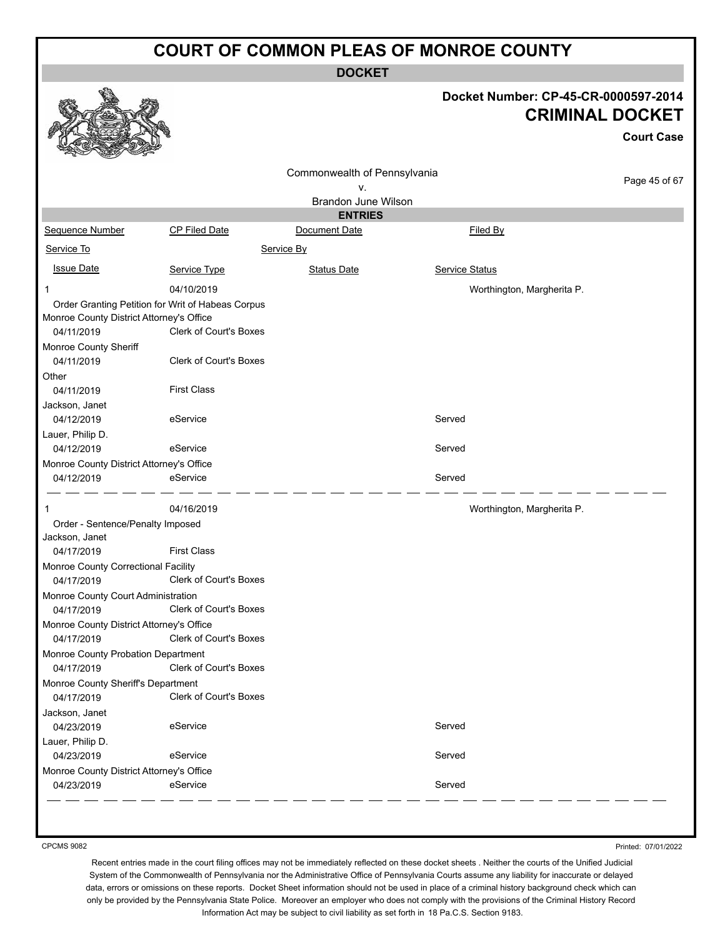**DOCKET**

#### **Docket Number: CP-45-CR-0000597-2014 CRIMINAL DOCKET**

**Court Case**

| Commonwealth of Pennsylvania<br>٧.       |                                                   |                     | Page 45 of 67              |  |
|------------------------------------------|---------------------------------------------------|---------------------|----------------------------|--|
|                                          |                                                   | Brandon June Wilson |                            |  |
|                                          |                                                   | <b>ENTRIES</b>      |                            |  |
| Sequence Number                          | CP Filed Date                                     | Document Date       | Filed By                   |  |
| Service To                               |                                                   | Service By          |                            |  |
|                                          |                                                   |                     |                            |  |
| <b>Issue Date</b>                        | Service Type                                      | <b>Status Date</b>  | Service Status             |  |
| 1                                        | 04/10/2019                                        |                     | Worthington, Margherita P. |  |
|                                          | Order Granting Petition for Writ of Habeas Corpus |                     |                            |  |
| Monroe County District Attorney's Office |                                                   |                     |                            |  |
| 04/11/2019                               | <b>Clerk of Court's Boxes</b>                     |                     |                            |  |
| Monroe County Sheriff                    |                                                   |                     |                            |  |
| 04/11/2019                               | Clerk of Court's Boxes                            |                     |                            |  |
| Other                                    |                                                   |                     |                            |  |
| 04/11/2019                               | <b>First Class</b>                                |                     |                            |  |
| Jackson, Janet                           |                                                   |                     |                            |  |
| 04/12/2019                               | eService                                          |                     | Served                     |  |
| Lauer, Philip D.                         |                                                   |                     |                            |  |
| 04/12/2019                               | eService                                          |                     | Served                     |  |
| Monroe County District Attorney's Office |                                                   |                     |                            |  |
| 04/12/2019                               | eService                                          |                     | Served                     |  |
|                                          | 04/16/2019                                        |                     | Worthington, Margherita P. |  |
| Order - Sentence/Penalty Imposed         |                                                   |                     |                            |  |
| Jackson, Janet                           |                                                   |                     |                            |  |
| 04/17/2019                               | <b>First Class</b>                                |                     |                            |  |
| Monroe County Correctional Facility      |                                                   |                     |                            |  |
| 04/17/2019                               | Clerk of Court's Boxes                            |                     |                            |  |
| Monroe County Court Administration       |                                                   |                     |                            |  |
| 04/17/2019                               | Clerk of Court's Boxes                            |                     |                            |  |
| Monroe County District Attorney's Office |                                                   |                     |                            |  |
| 04/17/2019                               | <b>Clerk of Court's Boxes</b>                     |                     |                            |  |
| Monroe County Probation Department       |                                                   |                     |                            |  |
| 04/17/2019                               | Clerk of Court's Boxes                            |                     |                            |  |
| Monroe County Sheriff's Department       |                                                   |                     |                            |  |
| 04/17/2019                               | Clerk of Court's Boxes                            |                     |                            |  |
| Jackson, Janet                           |                                                   |                     |                            |  |
| 04/23/2019                               | eService                                          |                     | Served                     |  |
| Lauer, Philip D.                         |                                                   |                     |                            |  |
| 04/23/2019                               | eService                                          |                     | Served                     |  |
| Monroe County District Attorney's Office |                                                   |                     |                            |  |
| 04/23/2019                               | eService                                          |                     | Served                     |  |
|                                          |                                                   |                     |                            |  |

CPCMS 9082

Printed: 07/01/2022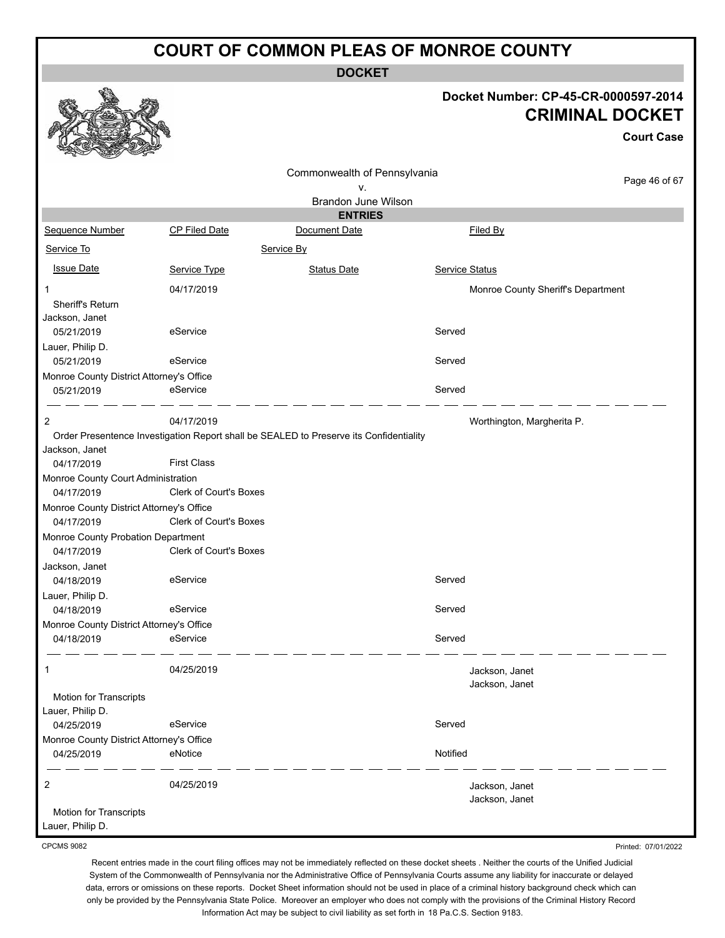**DOCKET**

#### **Docket Number: CP-45-CR-0000597-2014 CRIMINAL DOCKET**

**Court Case**

|                                            |                                                                                        |                              |                | <b>Court Case</b>                  |
|--------------------------------------------|----------------------------------------------------------------------------------------|------------------------------|----------------|------------------------------------|
|                                            |                                                                                        | Commonwealth of Pennsylvania |                | Page 46 of 67                      |
|                                            |                                                                                        | ν.                           |                |                                    |
|                                            |                                                                                        | <b>Brandon June Wilson</b>   |                |                                    |
|                                            |                                                                                        | <b>ENTRIES</b>               |                |                                    |
| Sequence Number                            | <b>CP Filed Date</b>                                                                   | Document Date                |                | Filed By                           |
| Service To                                 |                                                                                        | Service By                   |                |                                    |
| <b>Issue Date</b>                          | Service Type                                                                           | <b>Status Date</b>           | Service Status |                                    |
| $\mathbf 1$                                | 04/17/2019                                                                             |                              |                | Monroe County Sheriff's Department |
| Sheriff's Return<br>Jackson, Janet         |                                                                                        |                              |                |                                    |
| 05/21/2019                                 | eService                                                                               |                              | Served         |                                    |
| Lauer, Philip D.                           |                                                                                        |                              |                |                                    |
| 05/21/2019                                 | eService                                                                               |                              | Served         |                                    |
| Monroe County District Attorney's Office   |                                                                                        |                              |                |                                    |
| 05/21/2019                                 | eService                                                                               |                              | Served         |                                    |
| 2                                          | 04/17/2019                                                                             |                              |                | Worthington, Margherita P.         |
|                                            | Order Presentence Investigation Report shall be SEALED to Preserve its Confidentiality |                              |                |                                    |
| Jackson, Janet                             |                                                                                        |                              |                |                                    |
| 04/17/2019                                 | <b>First Class</b>                                                                     |                              |                |                                    |
| Monroe County Court Administration         |                                                                                        |                              |                |                                    |
| 04/17/2019                                 | Clerk of Court's Boxes                                                                 |                              |                |                                    |
| Monroe County District Attorney's Office   |                                                                                        |                              |                |                                    |
| 04/17/2019                                 | Clerk of Court's Boxes                                                                 |                              |                |                                    |
| Monroe County Probation Department         |                                                                                        |                              |                |                                    |
| 04/17/2019                                 | Clerk of Court's Boxes                                                                 |                              |                |                                    |
| Jackson, Janet                             |                                                                                        |                              |                |                                    |
| 04/18/2019                                 | eService                                                                               |                              | Served         |                                    |
| Lauer, Philip D.                           |                                                                                        |                              |                |                                    |
| 04/18/2019                                 | eService                                                                               |                              | Served         |                                    |
| Monroe County District Attorney's Office   |                                                                                        |                              |                |                                    |
| 04/18/2019                                 | eService                                                                               |                              | Served         |                                    |
| 1                                          | 04/25/2019                                                                             |                              |                | Jackson, Janet<br>Jackson, Janet   |
| Motion for Transcripts                     |                                                                                        |                              |                |                                    |
| Lauer, Philip D.                           |                                                                                        |                              |                |                                    |
| 04/25/2019                                 | eService                                                                               |                              | Served         |                                    |
| Monroe County District Attorney's Office   |                                                                                        |                              |                |                                    |
| 04/25/2019                                 | eNotice                                                                                |                              | Notified       |                                    |
| 2                                          | 04/25/2019                                                                             |                              |                | Jackson, Janet<br>Jackson, Janet   |
| Motion for Transcripts<br>Lauer, Philip D. |                                                                                        |                              |                |                                    |

CPCMS 9082

Printed: 07/01/2022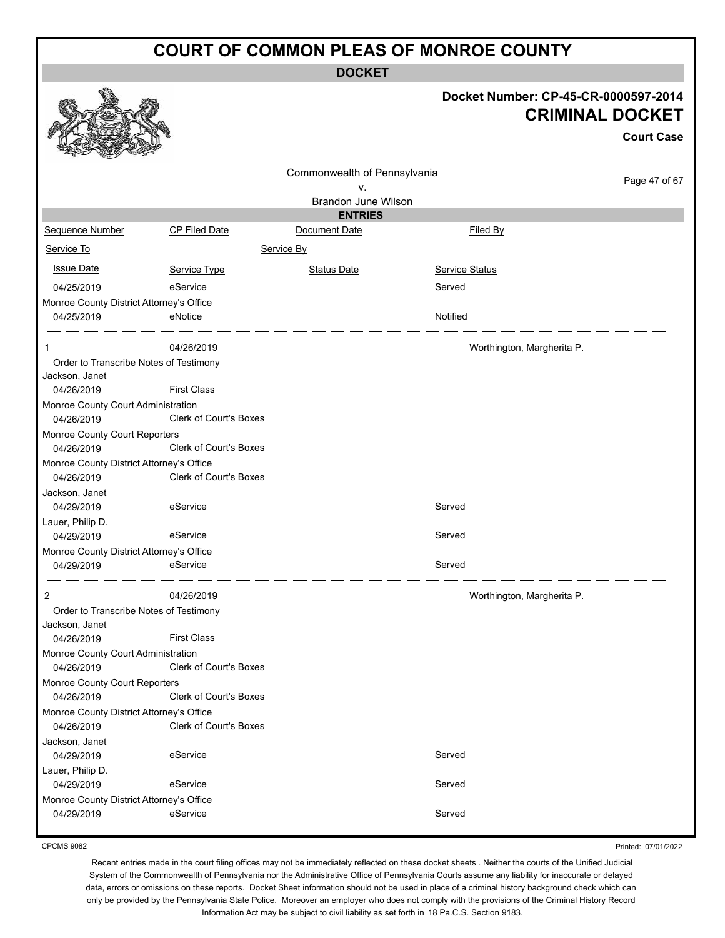**DOCKET**

|                                                        |                               | <b>DOCKET</b>                |                            |                                                                |
|--------------------------------------------------------|-------------------------------|------------------------------|----------------------------|----------------------------------------------------------------|
|                                                        |                               |                              |                            | Docket Number: CP-45-CR-0000597-2014<br><b>CRIMINAL DOCKET</b> |
|                                                        |                               |                              |                            | <b>Court Case</b>                                              |
|                                                        |                               |                              |                            |                                                                |
|                                                        |                               | Commonwealth of Pennsylvania |                            | Page 47 of 67                                                  |
|                                                        |                               | ٧.<br>Brandon June Wilson    |                            |                                                                |
|                                                        |                               | <b>ENTRIES</b>               |                            |                                                                |
| Sequence Number                                        | CP Filed Date                 | Document Date                | Filed By                   |                                                                |
| Service To                                             |                               | Service By                   |                            |                                                                |
| <b>Issue Date</b>                                      | Service Type                  | <b>Status Date</b>           | Service Status             |                                                                |
| 04/25/2019                                             | eService                      |                              | Served                     |                                                                |
| Monroe County District Attorney's Office               |                               |                              |                            |                                                                |
| 04/25/2019                                             | eNotice                       |                              | Notified                   |                                                                |
|                                                        | 04/26/2019                    |                              | Worthington, Margherita P. |                                                                |
| Order to Transcribe Notes of Testimony                 |                               |                              |                            |                                                                |
| Jackson, Janet<br>04/26/2019                           | <b>First Class</b>            |                              |                            |                                                                |
| Monroe County Court Administration<br>04/26/2019       | Clerk of Court's Boxes        |                              |                            |                                                                |
| Monroe County Court Reporters                          |                               |                              |                            |                                                                |
| 04/26/2019                                             | Clerk of Court's Boxes        |                              |                            |                                                                |
| Monroe County District Attorney's Office<br>04/26/2019 | <b>Clerk of Court's Boxes</b> |                              |                            |                                                                |
| Jackson, Janet                                         |                               |                              |                            |                                                                |
| 04/29/2019                                             | eService                      |                              | Served                     |                                                                |
| Lauer, Philip D.                                       |                               |                              |                            |                                                                |
| 04/29/2019                                             | eService                      |                              | Served                     |                                                                |
| Monroe County District Attorney's Office               |                               |                              |                            |                                                                |
| 04/29/2019                                             | eService                      |                              | Served                     |                                                                |
| 2                                                      | 04/26/2019                    |                              | Worthington, Margherita P. |                                                                |
| Order to Transcribe Notes of Testimony                 |                               |                              |                            |                                                                |
| Jackson, Janet                                         |                               |                              |                            |                                                                |
| 04/26/2019                                             | <b>First Class</b>            |                              |                            |                                                                |
| Monroe County Court Administration<br>04/26/2019       | Clerk of Court's Boxes        |                              |                            |                                                                |
| Monroe County Court Reporters                          |                               |                              |                            |                                                                |
| 04/26/2019                                             | Clerk of Court's Boxes        |                              |                            |                                                                |
| Monroe County District Attorney's Office               |                               |                              |                            |                                                                |
| 04/26/2019                                             | <b>Clerk of Court's Boxes</b> |                              |                            |                                                                |
| Jackson, Janet<br>04/29/2019                           | eService                      |                              | Served                     |                                                                |
| Lauer, Philip D.                                       |                               |                              |                            |                                                                |
| 04/29/2019                                             | eService                      |                              | Served                     |                                                                |
| Monroe County District Attorney's Office               |                               |                              |                            |                                                                |
| 04/29/2019                                             | eService                      |                              | Served                     |                                                                |
|                                                        |                               |                              |                            |                                                                |

CPCMS 9082

Printed: 07/01/2022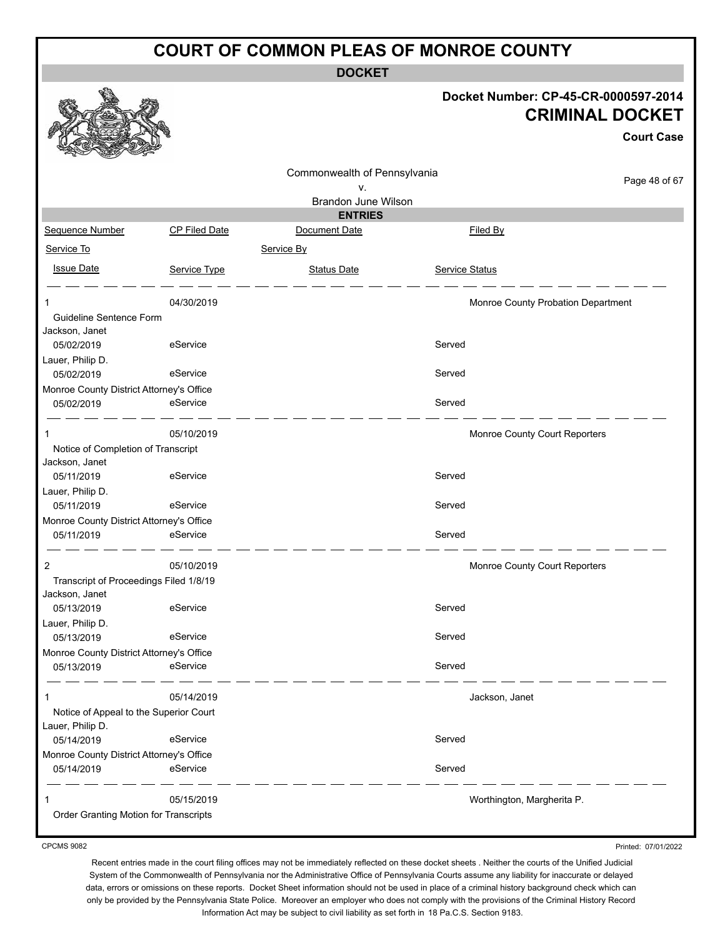**DOCKET**

#### **Docket Number: CP-45-CR-0000597-2014 CRIMINAL DOCKET**

**Court Case**

|                                                            |                      | Commonwealth of Pennsylvania |                            |                                    |
|------------------------------------------------------------|----------------------|------------------------------|----------------------------|------------------------------------|
|                                                            |                      | ٧.                           |                            | Page 48 of 67                      |
|                                                            |                      | Brandon June Wilson          |                            |                                    |
|                                                            |                      | <b>ENTRIES</b>               |                            |                                    |
| Sequence Number                                            | <b>CP Filed Date</b> | Document Date                | Filed By                   |                                    |
| Service To                                                 |                      | Service By                   |                            |                                    |
| <b>Issue Date</b>                                          | Service Type         | <b>Status Date</b>           | Service Status             |                                    |
| 1                                                          | 04/30/2019           |                              |                            | Monroe County Probation Department |
| Guideline Sentence Form                                    |                      |                              |                            |                                    |
| Jackson, Janet<br>05/02/2019                               | eService             |                              | Served                     |                                    |
| Lauer, Philip D.                                           |                      |                              |                            |                                    |
| 05/02/2019                                                 | eService             |                              | Served                     |                                    |
| Monroe County District Attorney's Office                   |                      |                              |                            |                                    |
| 05/02/2019                                                 | eService             |                              | Served                     |                                    |
| 1                                                          | 05/10/2019           |                              |                            | Monroe County Court Reporters      |
| Notice of Completion of Transcript                         |                      |                              |                            |                                    |
| Jackson, Janet                                             |                      |                              |                            |                                    |
| 05/11/2019                                                 | eService             |                              | Served                     |                                    |
| Lauer, Philip D.<br>05/11/2019                             | eService             |                              | Served                     |                                    |
| Monroe County District Attorney's Office                   |                      |                              |                            |                                    |
| 05/11/2019                                                 | eService             |                              | Served                     |                                    |
| 2                                                          | 05/10/2019           |                              |                            | Monroe County Court Reporters      |
| Transcript of Proceedings Filed 1/8/19<br>Jackson, Janet   |                      |                              |                            |                                    |
| 05/13/2019                                                 | eService             |                              | Served                     |                                    |
| Lauer, Philip D.                                           |                      |                              |                            |                                    |
| 05/13/2019                                                 | eService             |                              | Served                     |                                    |
| Monroe County District Attorney's Office                   |                      |                              |                            |                                    |
| 05/13/2019                                                 | eService             |                              | Served                     |                                    |
| 1                                                          | 05/14/2019           |                              | Jackson, Janet             |                                    |
| Notice of Appeal to the Superior Court<br>Lauer, Philip D. |                      |                              |                            |                                    |
| 05/14/2019                                                 | eService             |                              | Served                     |                                    |
| Monroe County District Attorney's Office                   |                      |                              |                            |                                    |
| 05/14/2019                                                 | eService             |                              | Served                     |                                    |
|                                                            | 05/15/2019           |                              | Worthington, Margherita P. |                                    |
| Order Granting Motion for Transcripts                      |                      |                              |                            |                                    |

CPCMS 9082

Printed: 07/01/2022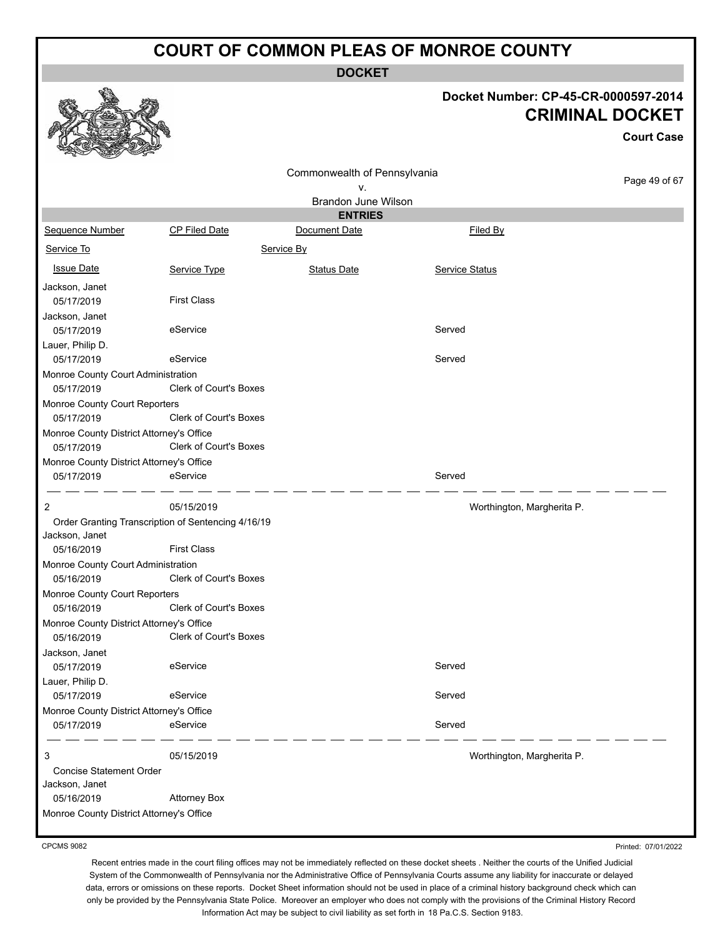**DOCKET**

#### **Docket Number: CP-45-CR-0000597-2014 CRIMINAL DOCKET**

**Court Case**

Printed: 07/01/2022

| n<br><b>READY</b><br>Controller of the Controller                    |                               |                              |                            |               |
|----------------------------------------------------------------------|-------------------------------|------------------------------|----------------------------|---------------|
|                                                                      |                               | Commonwealth of Pennsylvania |                            | Page 49 of 67 |
|                                                                      |                               | ٧.                           |                            |               |
|                                                                      |                               | Brandon June Wilson          |                            |               |
|                                                                      |                               | <b>ENTRIES</b>               |                            |               |
| Sequence Number                                                      | <b>CP Filed Date</b>          | Document Date                | Filed By                   |               |
| Service To                                                           |                               | Service By                   |                            |               |
| <b>Issue Date</b>                                                    | Service Type                  | <b>Status Date</b>           | <b>Service Status</b>      |               |
| Jackson, Janet                                                       |                               |                              |                            |               |
| 05/17/2019                                                           | <b>First Class</b>            |                              |                            |               |
| Jackson, Janet                                                       |                               |                              |                            |               |
| 05/17/2019                                                           | eService                      |                              | Served                     |               |
| Lauer, Philip D.                                                     |                               |                              |                            |               |
| 05/17/2019                                                           | eService                      |                              | Served                     |               |
| Monroe County Court Administration                                   |                               |                              |                            |               |
| 05/17/2019                                                           | Clerk of Court's Boxes        |                              |                            |               |
| Monroe County Court Reporters                                        |                               |                              |                            |               |
| 05/17/2019                                                           | <b>Clerk of Court's Boxes</b> |                              |                            |               |
| Monroe County District Attorney's Office                             |                               |                              |                            |               |
| 05/17/2019                                                           | <b>Clerk of Court's Boxes</b> |                              |                            |               |
| Monroe County District Attorney's Office                             |                               |                              |                            |               |
| 05/17/2019                                                           | eService                      |                              | Served                     |               |
|                                                                      |                               |                              |                            |               |
| $\overline{2}$                                                       | 05/15/2019                    |                              | Worthington, Margherita P. |               |
| Order Granting Transcription of Sentencing 4/16/19<br>Jackson, Janet |                               |                              |                            |               |
| 05/16/2019                                                           | <b>First Class</b>            |                              |                            |               |
| Monroe County Court Administration                                   |                               |                              |                            |               |
| 05/16/2019                                                           | Clerk of Court's Boxes        |                              |                            |               |
| Monroe County Court Reporters                                        |                               |                              |                            |               |
| 05/16/2019                                                           | <b>Clerk of Court's Boxes</b> |                              |                            |               |
| Monroe County District Attorney's Office                             |                               |                              |                            |               |
| 05/16/2019                                                           | Clerk of Court's Boxes        |                              |                            |               |
| Jackson, Janet                                                       |                               |                              |                            |               |
| 05/17/2019                                                           | eService                      |                              | Served                     |               |
| Lauer, Philip D.                                                     |                               |                              |                            |               |
| 05/17/2019                                                           | eService                      |                              | Served                     |               |
| Monroe County District Attorney's Office                             |                               |                              |                            |               |
| 05/17/2019                                                           | eService                      |                              | Served                     |               |
|                                                                      |                               |                              |                            |               |
| 3                                                                    | 05/15/2019                    |                              | Worthington, Margherita P. |               |
| Concise Statement Order                                              |                               |                              |                            |               |
| Jackson, Janet                                                       |                               |                              |                            |               |
| 05/16/2019                                                           | <b>Attorney Box</b>           |                              |                            |               |
| Monroe County District Attorney's Office                             |                               |                              |                            |               |
|                                                                      |                               |                              |                            |               |

CPCMS 9082

Recent entries made in the court filing offices may not be immediately reflected on these docket sheets . Neither the courts of the Unified Judicial System of the Commonwealth of Pennsylvania nor the Administrative Office of Pennsylvania Courts assume any liability for inaccurate or delayed data, errors or omissions on these reports. Docket Sheet information should not be used in place of a criminal history background check which can

only be provided by the Pennsylvania State Police. Moreover an employer who does not comply with the provisions of the Criminal History Record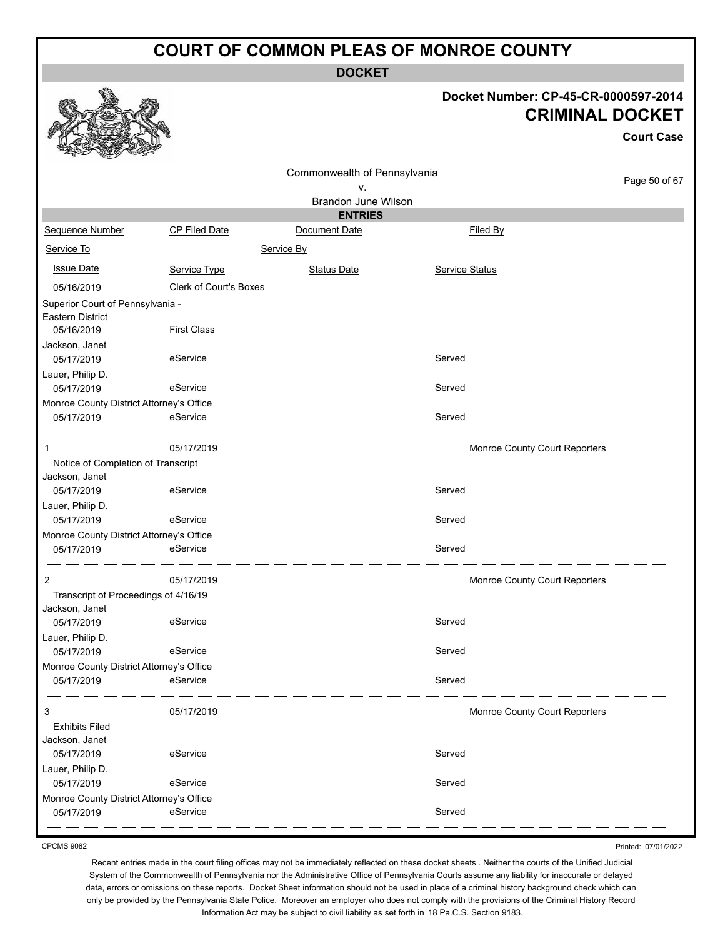**DOCKET**

#### **Docket Number: CP-45-CR-0000597-2014 CRIMINAL DOCKET**

**Court Case**

|                                          |                               | Commonwealth of Pennsylvania |                |                               |               |
|------------------------------------------|-------------------------------|------------------------------|----------------|-------------------------------|---------------|
|                                          |                               | ٧.                           |                |                               | Page 50 of 67 |
|                                          |                               | Brandon June Wilson          |                |                               |               |
|                                          |                               | <b>ENTRIES</b>               |                |                               |               |
| Sequence Number                          | <b>CP Filed Date</b>          | Document Date                |                | Filed By                      |               |
| Service To                               |                               | Service By                   |                |                               |               |
| <b>Issue Date</b>                        | Service Type                  | <b>Status Date</b>           | Service Status |                               |               |
| 05/16/2019                               | <b>Clerk of Court's Boxes</b> |                              |                |                               |               |
| Superior Court of Pennsylvania -         |                               |                              |                |                               |               |
| Eastern District                         |                               |                              |                |                               |               |
| 05/16/2019                               | <b>First Class</b>            |                              |                |                               |               |
| Jackson, Janet                           |                               |                              |                |                               |               |
| 05/17/2019                               | eService                      |                              | Served         |                               |               |
| Lauer, Philip D.                         |                               |                              |                |                               |               |
| 05/17/2019                               | eService                      |                              | Served         |                               |               |
| Monroe County District Attorney's Office |                               |                              |                |                               |               |
| 05/17/2019                               | eService                      |                              | Served         |                               |               |
|                                          |                               |                              |                |                               |               |
| 1                                        | 05/17/2019                    |                              |                | Monroe County Court Reporters |               |
| Notice of Completion of Transcript       |                               |                              |                |                               |               |
| Jackson, Janet                           |                               |                              |                |                               |               |
| 05/17/2019                               | eService                      |                              | Served         |                               |               |
| Lauer, Philip D.                         |                               |                              |                |                               |               |
| 05/17/2019                               | eService                      |                              | Served         |                               |               |
| Monroe County District Attorney's Office |                               |                              |                |                               |               |
| 05/17/2019                               | eService                      |                              | Served         |                               |               |
|                                          |                               |                              |                |                               |               |
| $\overline{2}$                           | 05/17/2019                    |                              |                | Monroe County Court Reporters |               |
| Transcript of Proceedings of 4/16/19     |                               |                              |                |                               |               |
| Jackson, Janet                           |                               |                              |                |                               |               |
| 05/17/2019                               | eService                      |                              | Served         |                               |               |
| Lauer, Philip D.                         |                               |                              |                |                               |               |
| 05/17/2019                               | eService                      |                              | Served         |                               |               |
| Monroe County District Attorney's Office |                               |                              |                |                               |               |
| 05/17/2019                               | eService                      |                              | Served         |                               |               |
|                                          |                               |                              |                |                               |               |
| 3                                        | 05/17/2019                    |                              |                | Monroe County Court Reporters |               |
| <b>Exhibits Filed</b>                    |                               |                              |                |                               |               |
| Jackson, Janet                           |                               |                              |                |                               |               |
| 05/17/2019                               | eService                      |                              | Served         |                               |               |
| Lauer, Philip D.                         |                               |                              |                |                               |               |
| 05/17/2019                               | eService                      |                              | Served         |                               |               |
| Monroe County District Attorney's Office |                               |                              |                |                               |               |
| 05/17/2019                               | eService                      |                              | Served         |                               |               |
|                                          |                               |                              |                |                               |               |

CPCMS 9082

Printed: 07/01/2022

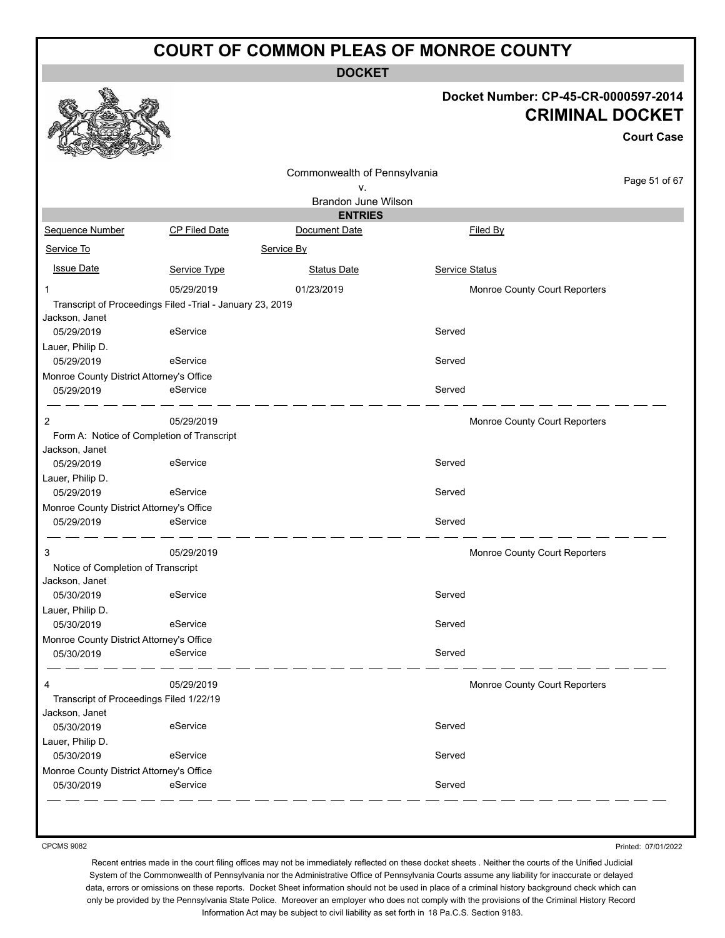**DOCKET**

#### **Docket Number: CP-45-CR-0000597-2014 CRIMINAL DOCKET**

**Court Case**

|                                          |                                                           | Commonwealth of Pennsylvania    |                               | Page 51 of 67 |
|------------------------------------------|-----------------------------------------------------------|---------------------------------|-------------------------------|---------------|
|                                          |                                                           | ٧.                              |                               |               |
|                                          |                                                           | Brandon June Wilson             |                               |               |
| Sequence Number                          | <b>CP Filed Date</b>                                      | <b>ENTRIES</b><br>Document Date | <b>Filed By</b>               |               |
|                                          |                                                           |                                 |                               |               |
| Service To                               |                                                           | Service By                      |                               |               |
| <b>Issue Date</b>                        | Service Type                                              | <b>Status Date</b>              | <b>Service Status</b>         |               |
| 1                                        | 05/29/2019                                                | 01/23/2019                      | Monroe County Court Reporters |               |
|                                          | Transcript of Proceedings Filed -Trial - January 23, 2019 |                                 |                               |               |
| Jackson, Janet                           |                                                           |                                 |                               |               |
| 05/29/2019                               | eService                                                  |                                 | Served                        |               |
| Lauer, Philip D.                         |                                                           |                                 |                               |               |
| 05/29/2019                               | eService                                                  |                                 | Served                        |               |
| Monroe County District Attorney's Office |                                                           |                                 |                               |               |
| 05/29/2019                               | eService                                                  |                                 | Served                        |               |
| 2                                        | 05/29/2019                                                |                                 | Monroe County Court Reporters |               |
|                                          | Form A: Notice of Completion of Transcript                |                                 |                               |               |
| Jackson, Janet                           |                                                           |                                 |                               |               |
| 05/29/2019                               | eService                                                  |                                 | Served                        |               |
| Lauer, Philip D.                         |                                                           |                                 |                               |               |
| 05/29/2019                               | eService                                                  |                                 | Served                        |               |
| Monroe County District Attorney's Office |                                                           |                                 |                               |               |
| 05/29/2019                               | eService                                                  |                                 | Served                        |               |
| 3                                        | 05/29/2019                                                |                                 | Monroe County Court Reporters |               |
| Notice of Completion of Transcript       |                                                           |                                 |                               |               |
| Jackson, Janet                           |                                                           |                                 |                               |               |
| 05/30/2019                               | eService                                                  |                                 | Served                        |               |
| Lauer, Philip D.                         |                                                           |                                 |                               |               |
| 05/30/2019                               | eService                                                  |                                 | Served                        |               |
| Monroe County District Attorney's Office |                                                           |                                 |                               |               |
| 05/30/2019                               | eService                                                  |                                 | Served                        |               |
| 4                                        | 05/29/2019                                                |                                 | Monroe County Court Reporters |               |
| Transcript of Proceedings Filed 1/22/19  |                                                           |                                 |                               |               |
| Jackson, Janet                           |                                                           |                                 |                               |               |
| 05/30/2019                               | eService                                                  |                                 | Served                        |               |
| Lauer, Philip D.                         |                                                           |                                 |                               |               |
| 05/30/2019                               | eService                                                  |                                 | Served                        |               |
| Monroe County District Attorney's Office |                                                           |                                 |                               |               |
| 05/30/2019                               | eService                                                  |                                 | Served                        |               |

CPCMS 9082

Printed: 07/01/2022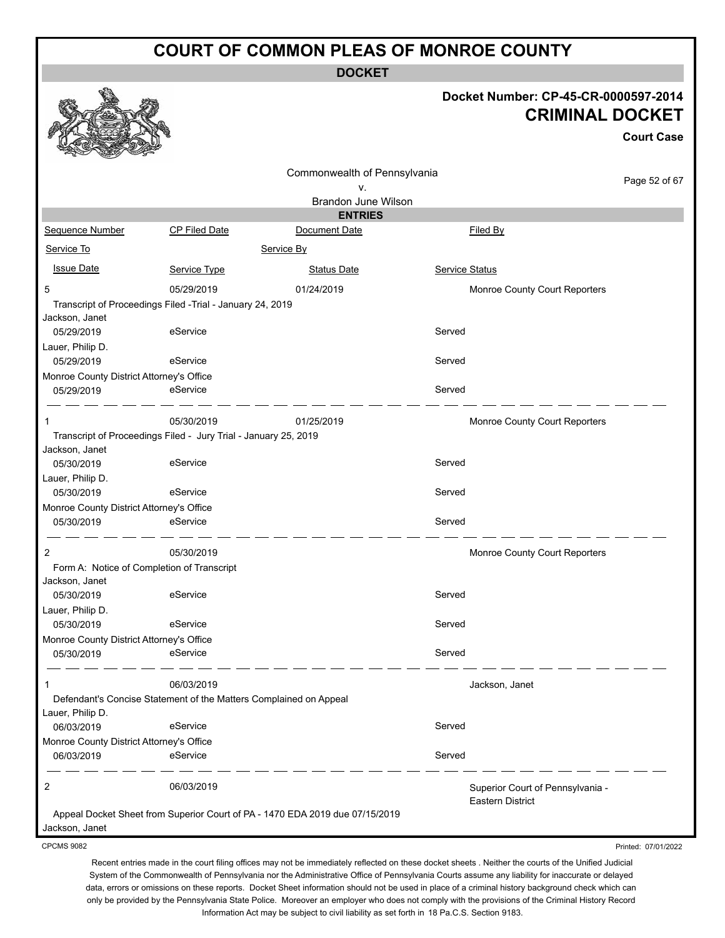**DOCKET**

#### **Docket Number: CP-45-CR-0000597-2014 CRIMINAL DOCKET**

**Court Case**

Printed: 07/01/2022

|                                                                                       |               | Commonwealth of Pennsylvania                                                 |                |                                                             |               |
|---------------------------------------------------------------------------------------|---------------|------------------------------------------------------------------------------|----------------|-------------------------------------------------------------|---------------|
|                                                                                       |               | ۷.                                                                           |                |                                                             | Page 52 of 67 |
|                                                                                       |               | <b>Brandon June Wilson</b>                                                   |                |                                                             |               |
|                                                                                       |               | <b>ENTRIES</b>                                                               |                |                                                             |               |
| Sequence Number                                                                       | CP Filed Date | Document Date                                                                |                | Filed By                                                    |               |
| Service To                                                                            |               | Service By                                                                   |                |                                                             |               |
| <b>Issue Date</b>                                                                     | Service Type  | <b>Status Date</b>                                                           | Service Status |                                                             |               |
| 5                                                                                     | 05/29/2019    | 01/24/2019                                                                   |                | Monroe County Court Reporters                               |               |
| Transcript of Proceedings Filed -Trial - January 24, 2019<br>Jackson, Janet           |               |                                                                              |                |                                                             |               |
| 05/29/2019                                                                            | eService      |                                                                              | Served         |                                                             |               |
| Lauer, Philip D.<br>05/29/2019                                                        | eService      |                                                                              | Served         |                                                             |               |
| Monroe County District Attorney's Office                                              |               |                                                                              |                |                                                             |               |
| 05/29/2019                                                                            | eService      |                                                                              | Served         |                                                             |               |
|                                                                                       | 05/30/2019    | 01/25/2019                                                                   |                | Monroe County Court Reporters                               |               |
| Transcript of Proceedings Filed - Jury Trial - January 25, 2019                       |               |                                                                              |                |                                                             |               |
| Jackson, Janet<br>05/30/2019                                                          | eService      |                                                                              | Served         |                                                             |               |
| Lauer, Philip D.                                                                      | eService      |                                                                              | Served         |                                                             |               |
| 05/30/2019<br>Monroe County District Attorney's Office                                |               |                                                                              |                |                                                             |               |
| 05/30/2019                                                                            | eService      |                                                                              | Served         |                                                             |               |
| 2                                                                                     | 05/30/2019    |                                                                              |                | Monroe County Court Reporters                               |               |
| Form A: Notice of Completion of Transcript                                            |               |                                                                              |                |                                                             |               |
| Jackson, Janet                                                                        |               |                                                                              |                |                                                             |               |
| 05/30/2019                                                                            | eService      |                                                                              | Served         |                                                             |               |
| Lauer, Philip D.                                                                      |               |                                                                              |                |                                                             |               |
| 05/30/2019                                                                            | eService      |                                                                              | Served         |                                                             |               |
| Monroe County District Attorney's Office<br>05/30/2019                                | eService      |                                                                              | Served         |                                                             |               |
|                                                                                       |               |                                                                              |                |                                                             |               |
| 1                                                                                     | 06/03/2019    |                                                                              |                | Jackson, Janet                                              |               |
| Defendant's Concise Statement of the Matters Complained on Appeal<br>Lauer, Philip D. |               |                                                                              |                |                                                             |               |
| 06/03/2019                                                                            | eService      |                                                                              | Served         |                                                             |               |
| Monroe County District Attorney's Office                                              |               |                                                                              |                |                                                             |               |
| 06/03/2019                                                                            | eService      |                                                                              | Served         |                                                             |               |
| 2                                                                                     | 06/03/2019    |                                                                              |                | Superior Court of Pennsylvania -<br><b>Eastern District</b> |               |
|                                                                                       |               | Appeal Docket Sheet from Superior Court of PA - 1470 EDA 2019 due 07/15/2019 |                |                                                             |               |
| Jackson, Janet                                                                        |               |                                                                              |                |                                                             |               |

CPCMS 9082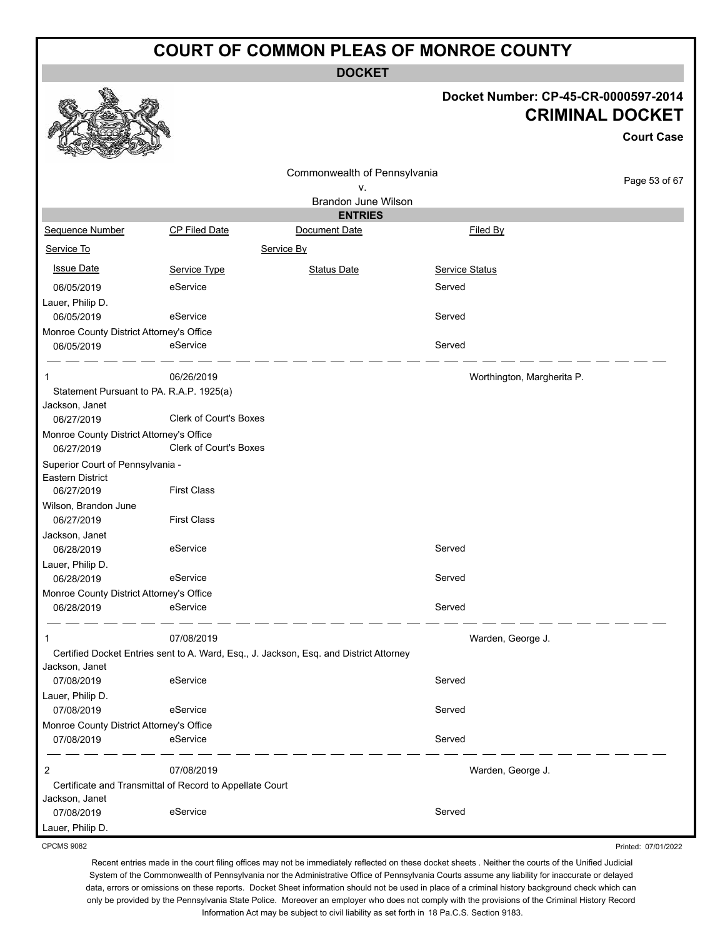**DOCKET**

#### **Docket Number: CP-45-CR-0000597-2014 CRIMINAL DOCKET**

**Court Case**

Printed: 07/01/2022

|                                                        |                                                          |                                                                                        |                            | GUULL GASA    |
|--------------------------------------------------------|----------------------------------------------------------|----------------------------------------------------------------------------------------|----------------------------|---------------|
|                                                        |                                                          | Commonwealth of Pennsylvania                                                           |                            |               |
|                                                        |                                                          | ۷.                                                                                     |                            | Page 53 of 67 |
|                                                        |                                                          | Brandon June Wilson                                                                    |                            |               |
|                                                        |                                                          | <b>ENTRIES</b>                                                                         |                            |               |
| Sequence Number                                        | CP Filed Date                                            | Document Date                                                                          | Filed By                   |               |
| Service To                                             |                                                          | Service By                                                                             |                            |               |
| <b>Issue Date</b>                                      | Service Type                                             | <b>Status Date</b>                                                                     | Service Status             |               |
| 06/05/2019                                             | eService                                                 |                                                                                        | Served                     |               |
| Lauer, Philip D.                                       |                                                          |                                                                                        |                            |               |
| 06/05/2019                                             | eService                                                 |                                                                                        | Served                     |               |
| Monroe County District Attorney's Office               |                                                          |                                                                                        |                            |               |
| 06/05/2019                                             | eService                                                 |                                                                                        | Served                     |               |
|                                                        | 06/26/2019                                               |                                                                                        | Worthington, Margherita P. |               |
| Statement Pursuant to PA. R.A.P. 1925(a)               |                                                          |                                                                                        |                            |               |
| Jackson, Janet                                         |                                                          |                                                                                        |                            |               |
| 06/27/2019                                             | Clerk of Court's Boxes                                   |                                                                                        |                            |               |
| Monroe County District Attorney's Office               |                                                          |                                                                                        |                            |               |
| 06/27/2019                                             | Clerk of Court's Boxes                                   |                                                                                        |                            |               |
| Superior Court of Pennsylvania -                       |                                                          |                                                                                        |                            |               |
| Eastern District                                       |                                                          |                                                                                        |                            |               |
| 06/27/2019                                             | <b>First Class</b>                                       |                                                                                        |                            |               |
| Wilson, Brandon June                                   |                                                          |                                                                                        |                            |               |
| 06/27/2019                                             | <b>First Class</b>                                       |                                                                                        |                            |               |
| Jackson, Janet                                         |                                                          |                                                                                        |                            |               |
| 06/28/2019                                             | eService                                                 |                                                                                        | Served                     |               |
| Lauer, Philip D.                                       | eService                                                 |                                                                                        | Served                     |               |
| 06/28/2019                                             |                                                          |                                                                                        |                            |               |
| Monroe County District Attorney's Office<br>06/28/2019 | eService                                                 |                                                                                        | Served                     |               |
|                                                        |                                                          |                                                                                        |                            |               |
|                                                        | 07/08/2019                                               |                                                                                        | Warden, George J.          |               |
|                                                        |                                                          | Certified Docket Entries sent to A. Ward, Esq., J. Jackson, Esq. and District Attorney |                            |               |
| Jackson, Janet                                         |                                                          |                                                                                        |                            |               |
| 07/08/2019                                             | eService                                                 |                                                                                        | Served                     |               |
| Lauer, Philip D.                                       |                                                          |                                                                                        |                            |               |
| 07/08/2019                                             | eService                                                 |                                                                                        | Served                     |               |
| Monroe County District Attorney's Office               |                                                          |                                                                                        |                            |               |
| 07/08/2019                                             | eService                                                 |                                                                                        | Served                     |               |
| 2                                                      | 07/08/2019                                               |                                                                                        | Warden, George J.          |               |
|                                                        | Certificate and Transmittal of Record to Appellate Court |                                                                                        |                            |               |
| Jackson, Janet                                         |                                                          |                                                                                        |                            |               |
| 07/08/2019                                             | eService                                                 |                                                                                        | Served                     |               |
| Lauer, Philip D.                                       |                                                          |                                                                                        |                            |               |

CPCMS 9082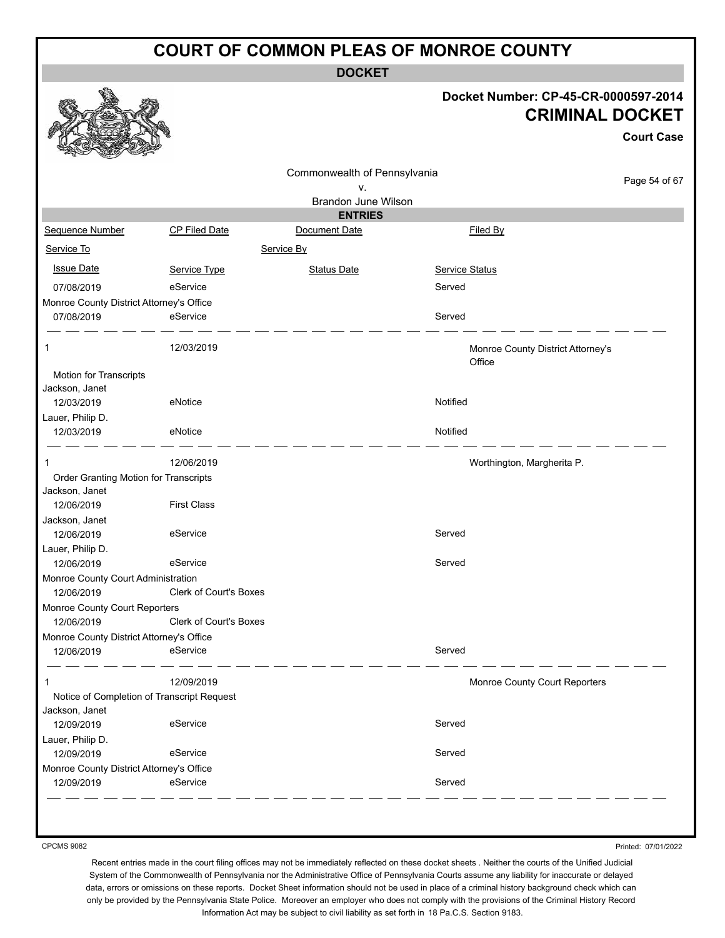**DOCKET**

#### **Docket Number: CP-45-CR-0000597-2014 CRIMINAL DOCKET**

**Court Case**

|                                                  |                                            | Commonwealth of Pennsylvania |                                             |               |
|--------------------------------------------------|--------------------------------------------|------------------------------|---------------------------------------------|---------------|
|                                                  |                                            | ٧.                           |                                             | Page 54 of 67 |
|                                                  |                                            | Brandon June Wilson          |                                             |               |
|                                                  |                                            | <b>ENTRIES</b>               |                                             |               |
| Sequence Number                                  | <b>CP Filed Date</b>                       | Document Date                | <b>Filed By</b>                             |               |
| Service To                                       |                                            | Service By                   |                                             |               |
| <b>Issue Date</b>                                | Service Type                               | <b>Status Date</b>           | Service Status                              |               |
| 07/08/2019                                       | eService                                   |                              | Served                                      |               |
| Monroe County District Attorney's Office         |                                            |                              |                                             |               |
| 07/08/2019                                       | eService                                   |                              | Served                                      |               |
| 1                                                | 12/03/2019                                 |                              | Monroe County District Attorney's<br>Office |               |
| Motion for Transcripts<br>Jackson, Janet         |                                            |                              |                                             |               |
| 12/03/2019                                       | eNotice                                    |                              | Notified                                    |               |
| Lauer, Philip D.                                 |                                            |                              |                                             |               |
| 12/03/2019                                       | eNotice                                    |                              | Notified                                    |               |
| 1                                                | 12/06/2019                                 |                              | Worthington, Margherita P.                  |               |
| Order Granting Motion for Transcripts            |                                            |                              |                                             |               |
| Jackson, Janet<br>12/06/2019                     | <b>First Class</b>                         |                              |                                             |               |
| Jackson, Janet                                   |                                            |                              |                                             |               |
| 12/06/2019                                       | eService                                   |                              | Served                                      |               |
| Lauer, Philip D.                                 |                                            |                              |                                             |               |
| 12/06/2019                                       | eService                                   |                              | Served                                      |               |
| Monroe County Court Administration<br>12/06/2019 | Clerk of Court's Boxes                     |                              |                                             |               |
| Monroe County Court Reporters                    |                                            |                              |                                             |               |
| 12/06/2019                                       | Clerk of Court's Boxes                     |                              |                                             |               |
| Monroe County District Attorney's Office         |                                            |                              |                                             |               |
| 12/06/2019                                       | eService                                   |                              | Served                                      |               |
|                                                  | 12/09/2019                                 |                              | Monroe County Court Reporters               |               |
|                                                  | Notice of Completion of Transcript Request |                              |                                             |               |
| Jackson, Janet                                   |                                            |                              |                                             |               |
| 12/09/2019                                       | eService                                   |                              | Served                                      |               |
| Lauer, Philip D.<br>12/09/2019                   | eService                                   |                              | Served                                      |               |
| Monroe County District Attorney's Office         |                                            |                              |                                             |               |
| 12/09/2019                                       | eService                                   |                              | Served                                      |               |
|                                                  |                                            |                              |                                             |               |

CPCMS 9082

Printed: 07/01/2022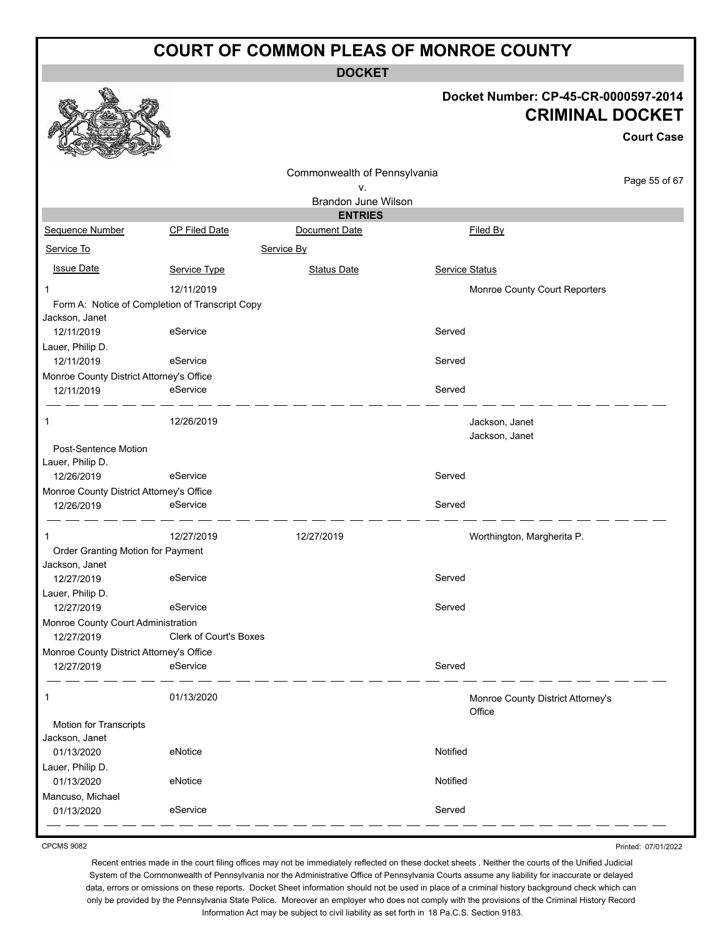**DOCKET**

#### **Docket Number: CP-45-CR-0000597-2014 CRIMINAL DOCKET**

**Court Case**

|                                                                   |                               |                              |                |                                             | urt vast      |
|-------------------------------------------------------------------|-------------------------------|------------------------------|----------------|---------------------------------------------|---------------|
|                                                                   |                               | Commonwealth of Pennsylvania |                |                                             |               |
|                                                                   |                               | ٧.                           |                |                                             | Page 55 of 67 |
|                                                                   |                               | <b>Brandon June Wilson</b>   |                |                                             |               |
|                                                                   |                               | <b>ENTRIES</b>               |                |                                             |               |
| Sequence Number                                                   | CP Filed Date                 | Document Date                |                | Filed By                                    |               |
| Service To                                                        |                               | Service By                   |                |                                             |               |
| <b>Issue Date</b>                                                 | Service Type                  | <b>Status Date</b>           | Service Status |                                             |               |
| 1                                                                 | 12/11/2019                    |                              |                | Monroe County Court Reporters               |               |
| Form A: Notice of Completion of Transcript Copy<br>Jackson, Janet |                               |                              |                |                                             |               |
| 12/11/2019                                                        | eService                      |                              | Served         |                                             |               |
| Lauer, Philip D.                                                  |                               |                              |                |                                             |               |
| 12/11/2019                                                        | eService                      |                              | Served         |                                             |               |
| Monroe County District Attorney's Office                          |                               |                              |                |                                             |               |
| 12/11/2019                                                        | eService                      |                              | Served         |                                             |               |
| 1                                                                 | 12/26/2019                    |                              |                | Jackson, Janet                              |               |
|                                                                   |                               |                              |                | Jackson, Janet                              |               |
| Post-Sentence Motion                                              |                               |                              |                |                                             |               |
| Lauer, Philip D.                                                  |                               |                              |                |                                             |               |
| 12/26/2019                                                        | eService                      |                              | Served         |                                             |               |
| Monroe County District Attorney's Office<br>12/26/2019            | eService                      |                              | Served         |                                             |               |
|                                                                   |                               |                              |                |                                             |               |
| 1                                                                 | 12/27/2019                    | 12/27/2019                   |                | Worthington, Margherita P.                  |               |
| Order Granting Motion for Payment                                 |                               |                              |                |                                             |               |
| Jackson, Janet                                                    |                               |                              |                |                                             |               |
| 12/27/2019                                                        | eService                      |                              | Served         |                                             |               |
| Lauer, Philip D.<br>12/27/2019                                    | eService                      |                              | Served         |                                             |               |
| Monroe County Court Administration                                |                               |                              |                |                                             |               |
| 12/27/2019                                                        | <b>Clerk of Court's Boxes</b> |                              |                |                                             |               |
| Monroe County District Attorney's Office                          |                               |                              |                |                                             |               |
| 12/27/2019                                                        | eService                      |                              | Served         |                                             |               |
|                                                                   |                               |                              |                |                                             |               |
| 1                                                                 | 01/13/2020                    |                              |                | Monroe County District Attorney's<br>Office |               |
| Motion for Transcripts                                            |                               |                              |                |                                             |               |
| Jackson, Janet                                                    |                               |                              |                |                                             |               |
| 01/13/2020                                                        | eNotice                       |                              | Notified       |                                             |               |
| Lauer, Philip D.                                                  |                               |                              |                |                                             |               |
| 01/13/2020                                                        | eNotice                       |                              | Notified       |                                             |               |
| Mancuso, Michael                                                  |                               |                              |                |                                             |               |
| 01/13/2020                                                        | eService                      |                              | Served         |                                             |               |

CPCMS 9082

Recent entries made in the court filing offices may not be immediately reflected on these docket sheets . Neither the courts of the Unified Judicial System of the Commonwealth of Pennsylvania nor the Administrative Office of Pennsylvania Courts assume any liability for inaccurate or delayed data, errors or omissions on these reports. Docket Sheet information should not be used in place of a criminal history background check which can only be provided by the Pennsylvania State Police. Moreover an employer who does not comply with the provisions of the Criminal History Record Information Act may be subject to civil liability as set forth in 18 Pa.C.S. Section 9183.

Printed: 07/01/2022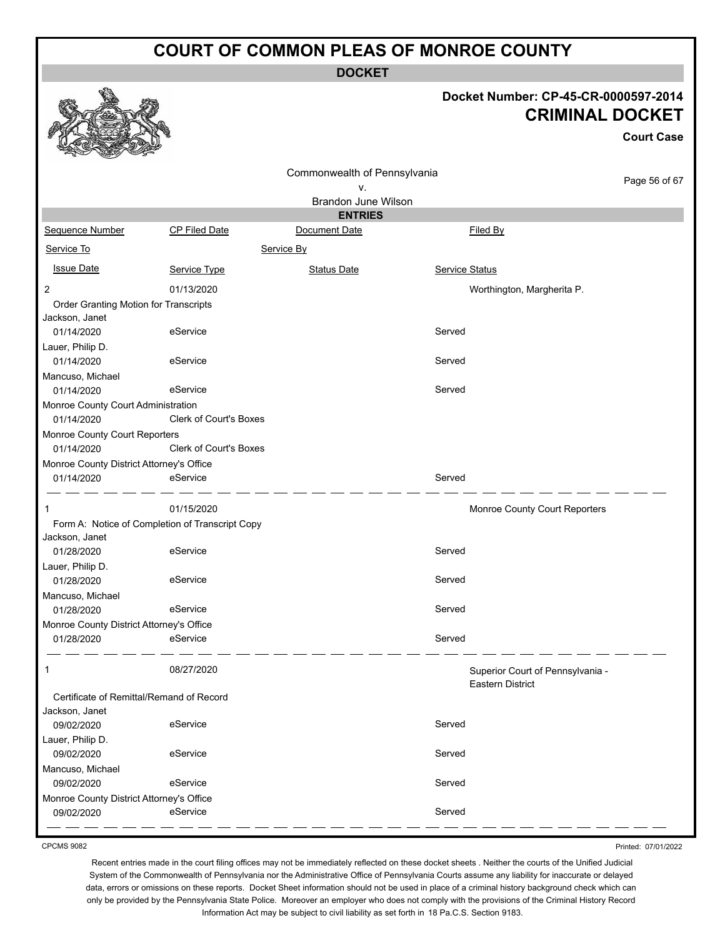**DOCKET**

#### **Docket Number: CP-45-CR-0000597-2014 CRIMINAL DOCKET**

**Court Case**

|                                                                   |                               | Commonwealth of Pennsylvania |                |                                  |
|-------------------------------------------------------------------|-------------------------------|------------------------------|----------------|----------------------------------|
|                                                                   |                               | ٧.                           |                | Page 56 of 67                    |
|                                                                   |                               | Brandon June Wilson          |                |                                  |
|                                                                   |                               | <b>ENTRIES</b>               |                |                                  |
| Sequence Number                                                   | CP Filed Date                 | Document Date                | Filed By       |                                  |
| Service To                                                        |                               | Service By                   |                |                                  |
| <b>Issue Date</b>                                                 | Service Type                  | <b>Status Date</b>           | Service Status |                                  |
| 2                                                                 | 01/13/2020                    |                              |                | Worthington, Margherita P.       |
| Order Granting Motion for Transcripts                             |                               |                              |                |                                  |
| Jackson, Janet                                                    |                               |                              |                |                                  |
| 01/14/2020                                                        | eService                      |                              | Served         |                                  |
| Lauer, Philip D.                                                  |                               |                              |                |                                  |
| 01/14/2020                                                        | eService                      |                              | Served         |                                  |
| Mancuso, Michael<br>01/14/2020                                    | eService                      |                              | Served         |                                  |
| Monroe County Court Administration                                |                               |                              |                |                                  |
| 01/14/2020                                                        | Clerk of Court's Boxes        |                              |                |                                  |
| Monroe County Court Reporters                                     |                               |                              |                |                                  |
| 01/14/2020                                                        | <b>Clerk of Court's Boxes</b> |                              |                |                                  |
| Monroe County District Attorney's Office                          |                               |                              |                |                                  |
| 01/14/2020                                                        | eService                      |                              | Served         |                                  |
|                                                                   |                               |                              |                |                                  |
| $\mathbf{1}$                                                      | 01/15/2020                    |                              |                | Monroe County Court Reporters    |
| Form A: Notice of Completion of Transcript Copy<br>Jackson, Janet |                               |                              |                |                                  |
| 01/28/2020                                                        | eService                      |                              | Served         |                                  |
| Lauer, Philip D.                                                  |                               |                              |                |                                  |
| 01/28/2020                                                        | eService                      |                              | Served         |                                  |
| Mancuso, Michael                                                  |                               |                              |                |                                  |
| 01/28/2020                                                        | eService                      |                              | Served         |                                  |
| Monroe County District Attorney's Office                          |                               |                              |                |                                  |
| 01/28/2020                                                        | eService                      |                              | Served         |                                  |
|                                                                   |                               |                              |                |                                  |
| 1                                                                 | 08/27/2020                    |                              |                | Superior Court of Pennsylvania - |
| Certificate of Remittal/Remand of Record                          |                               |                              |                | <b>Eastern District</b>          |
| Jackson, Janet                                                    |                               |                              |                |                                  |
| 09/02/2020                                                        | eService                      |                              | Served         |                                  |
| Lauer, Philip D.                                                  |                               |                              |                |                                  |
| 09/02/2020                                                        | eService                      |                              | Served         |                                  |
| Mancuso, Michael                                                  |                               |                              |                |                                  |
| 09/02/2020                                                        | eService                      |                              | Served         |                                  |
| Monroe County District Attorney's Office                          |                               |                              |                |                                  |
| 09/02/2020                                                        | eService                      |                              | Served         |                                  |

CPCMS 9082

Printed: 07/01/2022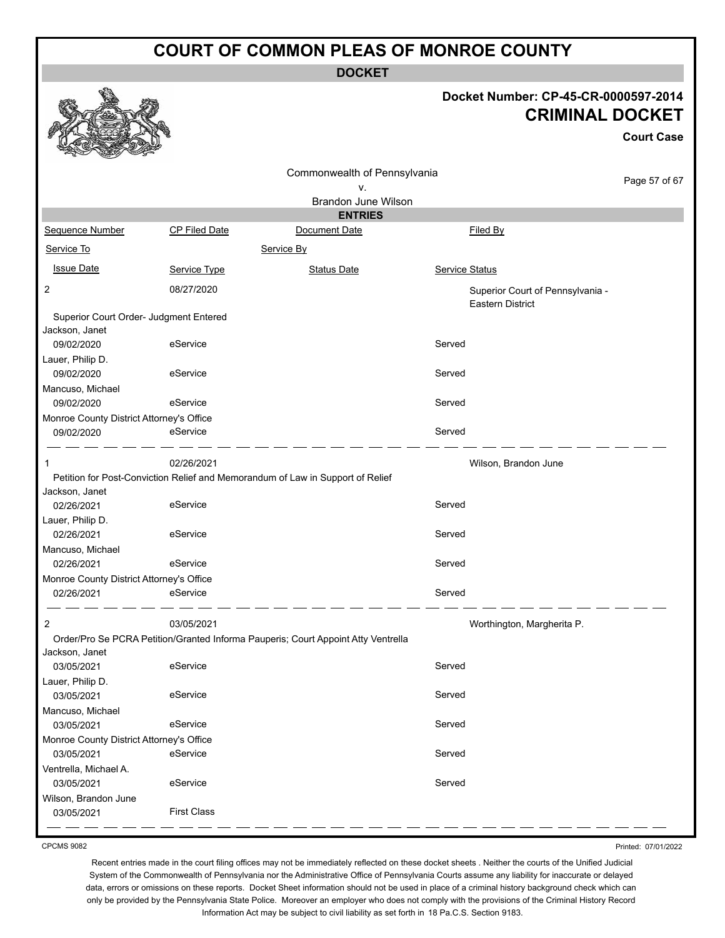**DOCKET**

#### **Docket Number: CP-45-CR-0000597-2014 CRIMINAL DOCKET**

**Court Case**

|                                                          |                      | Commonwealth of Pennsylvania                                                      |                |                                                             |               |
|----------------------------------------------------------|----------------------|-----------------------------------------------------------------------------------|----------------|-------------------------------------------------------------|---------------|
|                                                          |                      | ٧.                                                                                |                |                                                             | Page 57 of 67 |
|                                                          |                      | Brandon June Wilson                                                               |                |                                                             |               |
|                                                          |                      | <b>ENTRIES</b>                                                                    |                |                                                             |               |
| Sequence Number                                          | <b>CP Filed Date</b> | Document Date                                                                     |                | Filed By                                                    |               |
| Service To                                               |                      | Service By                                                                        |                |                                                             |               |
| <b>Issue Date</b>                                        | Service Type         | <b>Status Date</b>                                                                | Service Status |                                                             |               |
| 2                                                        | 08/27/2020           |                                                                                   |                | Superior Court of Pennsylvania -<br><b>Eastern District</b> |               |
| Superior Court Order- Judgment Entered<br>Jackson, Janet |                      |                                                                                   |                |                                                             |               |
| 09/02/2020                                               | eService             |                                                                                   | Served         |                                                             |               |
| Lauer, Philip D.<br>09/02/2020                           | eService             |                                                                                   | Served         |                                                             |               |
| Mancuso, Michael<br>09/02/2020                           | eService             |                                                                                   | Served         |                                                             |               |
| Monroe County District Attorney's Office                 |                      |                                                                                   |                |                                                             |               |
| 09/02/2020                                               | eService             |                                                                                   | Served         |                                                             |               |
| 1                                                        | 02/26/2021           |                                                                                   |                | Wilson, Brandon June                                        |               |
|                                                          |                      | Petition for Post-Conviction Relief and Memorandum of Law in Support of Relief    |                |                                                             |               |
| Jackson, Janet<br>02/26/2021                             | eService             |                                                                                   | Served         |                                                             |               |
| Lauer, Philip D.                                         |                      |                                                                                   |                |                                                             |               |
| 02/26/2021                                               | eService             |                                                                                   | Served         |                                                             |               |
| Mancuso, Michael                                         |                      |                                                                                   |                |                                                             |               |
| 02/26/2021                                               | eService             |                                                                                   | Served         |                                                             |               |
| Monroe County District Attorney's Office                 |                      |                                                                                   |                |                                                             |               |
| 02/26/2021                                               | eService             |                                                                                   | Served         |                                                             |               |
| $\overline{c}$                                           | 03/05/2021           |                                                                                   |                | Worthington, Margherita P.                                  |               |
|                                                          |                      | Order/Pro Se PCRA Petition/Granted Informa Pauperis; Court Appoint Atty Ventrella |                |                                                             |               |
| Jackson, Janet                                           |                      |                                                                                   |                |                                                             |               |
| 03/05/2021                                               | eService             |                                                                                   | Served         |                                                             |               |
| Lauer, Philip D.                                         |                      |                                                                                   |                |                                                             |               |
| 03/05/2021                                               | eService             |                                                                                   | Served         |                                                             |               |
| Mancuso, Michael                                         |                      |                                                                                   |                |                                                             |               |
| 03/05/2021                                               | eService             |                                                                                   | Served         |                                                             |               |
| Monroe County District Attorney's Office                 |                      |                                                                                   |                |                                                             |               |
| 03/05/2021                                               | eService             |                                                                                   | Served         |                                                             |               |
| Ventrella, Michael A.                                    |                      |                                                                                   |                |                                                             |               |
| 03/05/2021                                               | eService             |                                                                                   | Served         |                                                             |               |
| Wilson, Brandon June                                     |                      |                                                                                   |                |                                                             |               |
| 03/05/2021                                               | <b>First Class</b>   |                                                                                   |                |                                                             |               |

CPCMS 9082

Printed: 07/01/2022

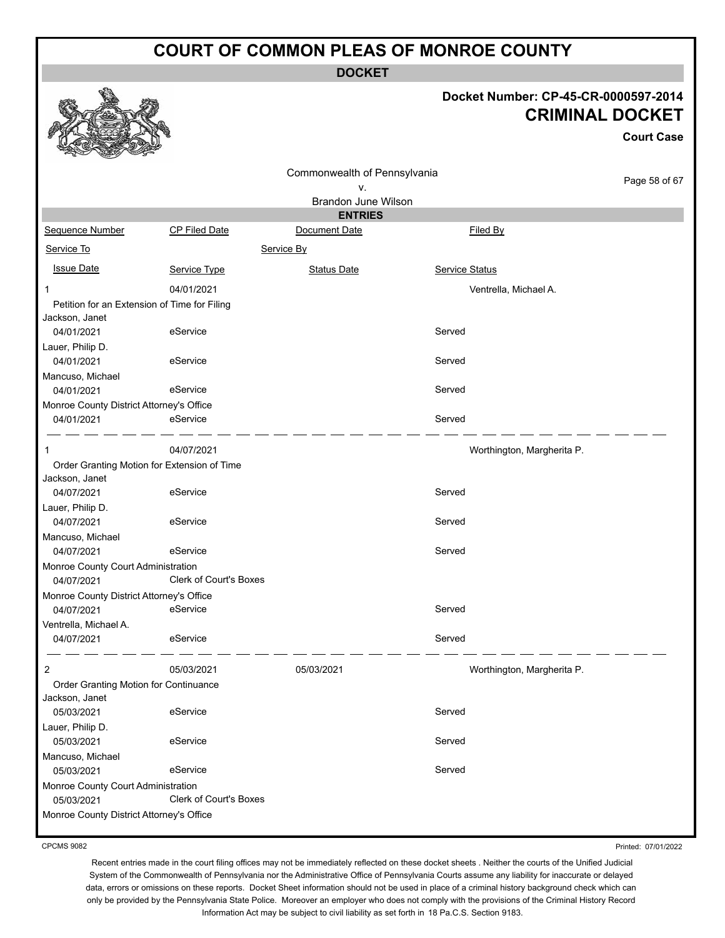**DOCKET**

#### **Docket Number: CP-45-CR-0000597-2014 CRIMINAL DOCKET**

**Court Case**

|                                              |                                             | Commonwealth of Pennsylvania |                            |               |
|----------------------------------------------|---------------------------------------------|------------------------------|----------------------------|---------------|
|                                              |                                             | ٧.                           |                            | Page 58 of 67 |
|                                              |                                             | Brandon June Wilson          |                            |               |
|                                              |                                             | <b>ENTRIES</b>               |                            |               |
| Sequence Number                              | CP Filed Date                               | Document Date                | Filed By                   |               |
| Service To                                   |                                             | Service By                   |                            |               |
| <b>Issue Date</b>                            | Service Type                                | <b>Status Date</b>           | Service Status             |               |
| 1                                            | 04/01/2021                                  |                              | Ventrella, Michael A.      |               |
| Petition for an Extension of Time for Filing |                                             |                              |                            |               |
| Jackson, Janet                               |                                             |                              |                            |               |
| 04/01/2021                                   | eService                                    |                              | Served                     |               |
| Lauer, Philip D.                             |                                             |                              |                            |               |
| 04/01/2021                                   | eService                                    |                              | Served                     |               |
| Mancuso, Michael                             |                                             |                              |                            |               |
| 04/01/2021                                   | eService                                    |                              | Served                     |               |
| Monroe County District Attorney's Office     |                                             |                              |                            |               |
| 04/01/2021                                   | eService                                    |                              | Served                     |               |
|                                              |                                             |                              |                            |               |
| 1                                            | 04/07/2021                                  |                              | Worthington, Margherita P. |               |
|                                              | Order Granting Motion for Extension of Time |                              |                            |               |
| Jackson, Janet                               |                                             |                              |                            |               |
| 04/07/2021                                   | eService                                    |                              | Served                     |               |
| Lauer, Philip D.                             |                                             |                              |                            |               |
| 04/07/2021                                   | eService                                    |                              | Served                     |               |
| Mancuso, Michael                             |                                             |                              |                            |               |
| 04/07/2021                                   | eService                                    |                              | Served                     |               |
| Monroe County Court Administration           |                                             |                              |                            |               |
| 04/07/2021                                   | <b>Clerk of Court's Boxes</b>               |                              |                            |               |
| Monroe County District Attorney's Office     |                                             |                              |                            |               |
| 04/07/2021                                   | eService                                    |                              | Served                     |               |
| Ventrella, Michael A.                        |                                             |                              |                            |               |
| 04/07/2021                                   | eService                                    |                              | Served                     |               |
| 2                                            | 05/03/2021                                  | 05/03/2021                   | Worthington, Margherita P. |               |
| Order Granting Motion for Continuance        |                                             |                              |                            |               |
| Jackson, Janet                               |                                             |                              |                            |               |
| 05/03/2021                                   | eService                                    |                              | Served                     |               |
| Lauer, Philip D.                             |                                             |                              |                            |               |
| 05/03/2021                                   | eService                                    |                              | Served                     |               |
| Mancuso, Michael                             |                                             |                              |                            |               |
| 05/03/2021                                   | eService                                    |                              | Served                     |               |
| Monroe County Court Administration           |                                             |                              |                            |               |
| 05/03/2021                                   | <b>Clerk of Court's Boxes</b>               |                              |                            |               |
| Monroe County District Attorney's Office     |                                             |                              |                            |               |
|                                              |                                             |                              |                            |               |

CPCMS 9082

Printed: 07/01/2022

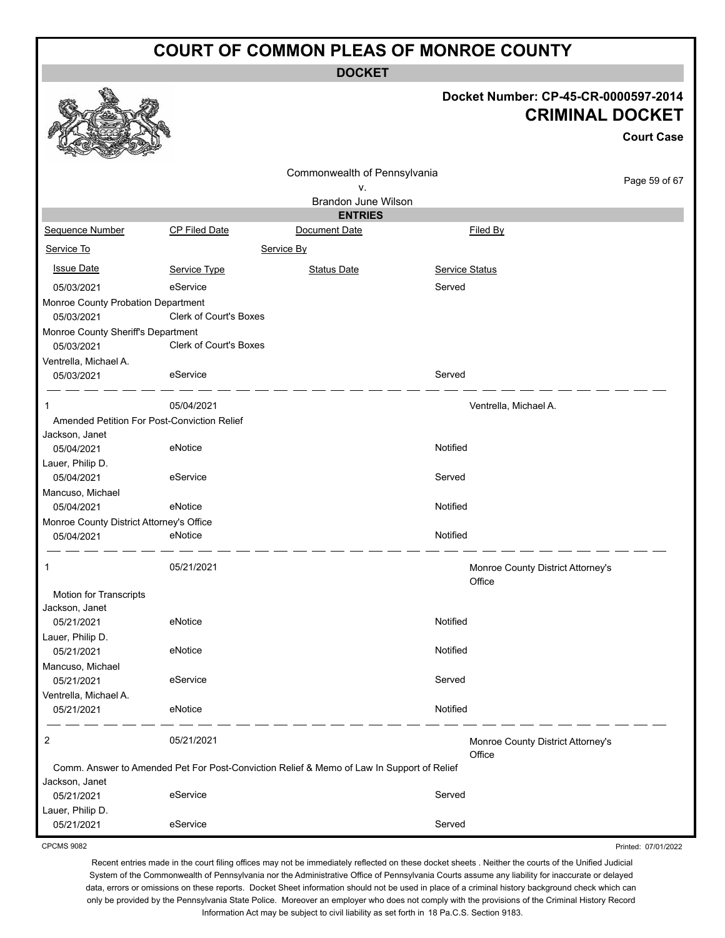**DOCKET**

|                                             |                        | <b>DOGKEI</b>                                                                             |                       |                                                                                     |
|---------------------------------------------|------------------------|-------------------------------------------------------------------------------------------|-----------------------|-------------------------------------------------------------------------------------|
|                                             |                        |                                                                                           |                       | Docket Number: CP-45-CR-0000597-2014<br><b>CRIMINAL DOCKET</b><br><b>Court Case</b> |
|                                             |                        | Commonwealth of Pennsylvania                                                              |                       |                                                                                     |
|                                             |                        | ٧.                                                                                        |                       | Page 59 of 67                                                                       |
|                                             |                        | <b>Brandon June Wilson</b>                                                                |                       |                                                                                     |
|                                             |                        | <b>ENTRIES</b>                                                                            |                       |                                                                                     |
| Sequence Number                             | CP Filed Date          | Document Date                                                                             |                       | Filed By                                                                            |
| Service To                                  |                        | Service By                                                                                |                       |                                                                                     |
| <b>Issue Date</b>                           | Service Type           | <b>Status Date</b>                                                                        | <b>Service Status</b> |                                                                                     |
| 05/03/2021                                  | eService               |                                                                                           | Served                |                                                                                     |
| Monroe County Probation Department          |                        |                                                                                           |                       |                                                                                     |
| 05/03/2021                                  | Clerk of Court's Boxes |                                                                                           |                       |                                                                                     |
| Monroe County Sheriff's Department          |                        |                                                                                           |                       |                                                                                     |
| 05/03/2021                                  | Clerk of Court's Boxes |                                                                                           |                       |                                                                                     |
| Ventrella, Michael A.                       |                        |                                                                                           |                       |                                                                                     |
| 05/03/2021                                  | eService               |                                                                                           | Served                |                                                                                     |
|                                             |                        |                                                                                           |                       |                                                                                     |
|                                             | 05/04/2021             |                                                                                           |                       | Ventrella, Michael A.                                                               |
| Amended Petition For Post-Conviction Relief |                        |                                                                                           |                       |                                                                                     |
| Jackson, Janet                              |                        |                                                                                           |                       |                                                                                     |
| 05/04/2021                                  | eNotice                |                                                                                           | Notified              |                                                                                     |
| Lauer, Philip D.<br>05/04/2021              | eService               |                                                                                           | Served                |                                                                                     |
| Mancuso, Michael                            |                        |                                                                                           |                       |                                                                                     |
| 05/04/2021                                  | eNotice                |                                                                                           | Notified              |                                                                                     |
| Monroe County District Attorney's Office    |                        |                                                                                           |                       |                                                                                     |
| 05/04/2021                                  | eNotice                |                                                                                           | Notified              |                                                                                     |
|                                             |                        |                                                                                           |                       |                                                                                     |
|                                             | 05/21/2021             |                                                                                           |                       | Monroe County District Attorney's<br>Office                                         |
| Motion for Transcripts                      |                        |                                                                                           |                       |                                                                                     |
| Jackson, Janet                              |                        |                                                                                           |                       |                                                                                     |
| 05/21/2021                                  | eNotice                |                                                                                           | Notified              |                                                                                     |
| Lauer, Philip D.                            |                        |                                                                                           |                       |                                                                                     |
| 05/21/2021                                  | eNotice                |                                                                                           | Notified              |                                                                                     |
| Mancuso, Michael                            |                        |                                                                                           |                       |                                                                                     |
| 05/21/2021                                  | eService               |                                                                                           | Served                |                                                                                     |
| Ventrella, Michael A.                       | eNotice                |                                                                                           |                       |                                                                                     |
| 05/21/2021                                  |                        |                                                                                           | Notified              |                                                                                     |
| 2                                           | 05/21/2021             |                                                                                           |                       | Monroe County District Attorney's<br>Office                                         |
|                                             |                        | Comm. Answer to Amended Pet For Post-Conviction Relief & Memo of Law In Support of Relief |                       |                                                                                     |
| Jackson, Janet                              |                        |                                                                                           |                       |                                                                                     |
| 05/21/2021                                  | eService               |                                                                                           | Served                |                                                                                     |
| Lauer, Philip D.<br>05/21/2021              | eService               |                                                                                           | Served                |                                                                                     |
|                                             |                        |                                                                                           |                       |                                                                                     |

CPCMS 9082

Recent entries made in the court filing offices may not be immediately reflected on these docket sheets . Neither the courts of the Unified Judicial System of the Commonwealth of Pennsylvania nor the Administrative Office of Pennsylvania Courts assume any liability for inaccurate or delayed data, errors or omissions on these reports. Docket Sheet information should not be used in place of a criminal history background check which can only be provided by the Pennsylvania State Police. Moreover an employer who does not comply with the provisions of the Criminal History Record

Printed: 07/01/2022

Information Act may be subject to civil liability as set forth in 18 Pa.C.S. Section 9183.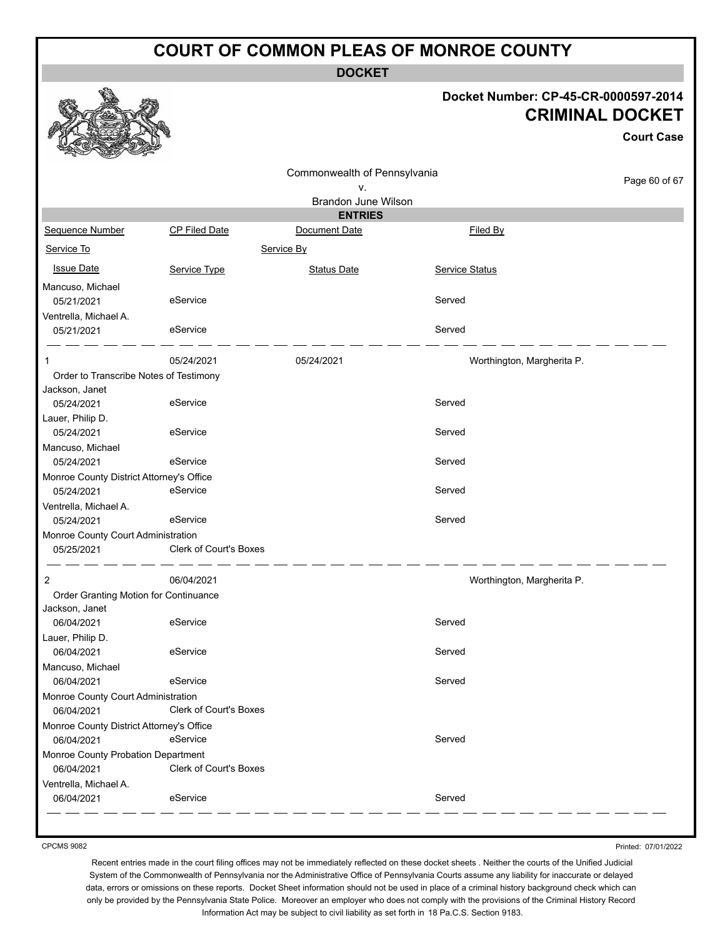**DOCKET**

#### **Docket Number: CP-45-CR-0000597-2014 CRIMINAL DOCKET**

**Court Case**

|                                          |                               | Commonwealth of Pennsylvania |                            |               |
|------------------------------------------|-------------------------------|------------------------------|----------------------------|---------------|
|                                          |                               | ٧.                           |                            | Page 60 of 67 |
|                                          |                               | Brandon June Wilson          |                            |               |
|                                          |                               | <b>ENTRIES</b>               |                            |               |
| Sequence Number                          | <b>CP Filed Date</b>          | Document Date                | Filed By                   |               |
| Service To                               |                               | Service By                   |                            |               |
| <b>Issue Date</b>                        | Service Type                  | <b>Status Date</b>           | Service Status             |               |
| Mancuso, Michael                         |                               |                              |                            |               |
| 05/21/2021                               | eService                      |                              | Served                     |               |
| Ventrella, Michael A.                    |                               |                              |                            |               |
| 05/21/2021                               | eService                      |                              | Served                     |               |
| 1                                        | 05/24/2021                    | 05/24/2021                   | Worthington, Margherita P. |               |
| Order to Transcribe Notes of Testimony   |                               |                              |                            |               |
| Jackson, Janet                           |                               |                              |                            |               |
| 05/24/2021                               | eService                      |                              | Served                     |               |
| Lauer, Philip D.                         |                               |                              |                            |               |
| 05/24/2021                               | eService                      |                              | Served                     |               |
| Mancuso, Michael                         |                               |                              |                            |               |
| 05/24/2021                               | eService                      |                              | Served                     |               |
| Monroe County District Attorney's Office |                               |                              |                            |               |
| 05/24/2021                               | eService                      |                              | Served                     |               |
| Ventrella, Michael A.                    |                               |                              |                            |               |
| 05/24/2021                               | eService                      |                              | Served                     |               |
| Monroe County Court Administration       |                               |                              |                            |               |
| 05/25/2021                               | <b>Clerk of Court's Boxes</b> |                              |                            |               |
| 2                                        | 06/04/2021                    |                              | Worthington, Margherita P. |               |
| Order Granting Motion for Continuance    |                               |                              |                            |               |
| Jackson, Janet                           |                               |                              |                            |               |
| 06/04/2021                               | eService                      |                              | Served                     |               |
| Lauer, Philip D.                         |                               |                              |                            |               |
| 06/04/2021                               | eService                      |                              | Served                     |               |
| Mancuso, Michael                         |                               |                              |                            |               |
| 06/04/2021                               | eService                      |                              | Served                     |               |
| Monroe County Court Administration       |                               |                              |                            |               |
| 06/04/2021                               | <b>Clerk of Court's Boxes</b> |                              |                            |               |
| Monroe County District Attorney's Office |                               |                              |                            |               |
| 06/04/2021                               | eService                      |                              | Served                     |               |
| Monroe County Probation Department       |                               |                              |                            |               |
| 06/04/2021                               | Clerk of Court's Boxes        |                              |                            |               |
| Ventrella, Michael A.                    |                               |                              |                            |               |
| 06/04/2021                               | eService                      |                              | Served                     |               |
|                                          |                               |                              |                            |               |

CPCMS 9082

Printed: 07/01/2022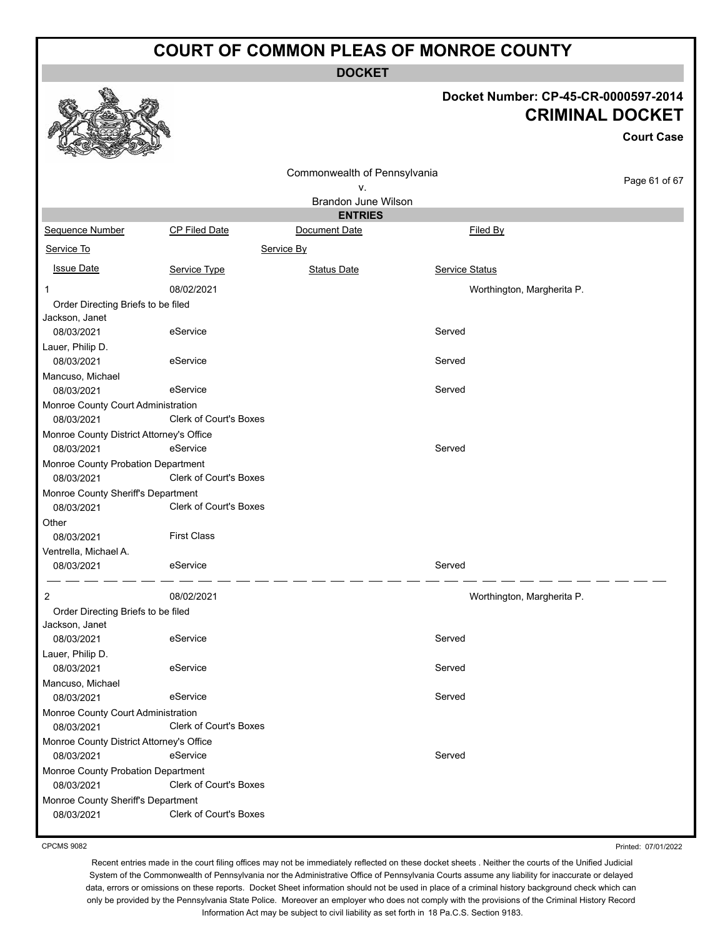**DOCKET**

## **Docket Number: CP-45-CR-0000597-2014 CRIMINAL DOCKET**

|                                                  |                               |                                       |                            | <b>Court Case</b> |
|--------------------------------------------------|-------------------------------|---------------------------------------|----------------------------|-------------------|
|                                                  |                               | Commonwealth of Pennsylvania<br>ν.    |                            | Page 61 of 67     |
|                                                  |                               | Brandon June Wilson<br><b>ENTRIES</b> |                            |                   |
| Sequence Number                                  | <b>CP Filed Date</b>          | Document Date                         | Filed By                   |                   |
| Service To                                       |                               |                                       |                            |                   |
|                                                  |                               | Service By                            |                            |                   |
| <b>Issue Date</b>                                | Service Type                  | <b>Status Date</b>                    | <b>Service Status</b>      |                   |
| 1                                                | 08/02/2021                    |                                       | Worthington, Margherita P. |                   |
| Order Directing Briefs to be filed               |                               |                                       |                            |                   |
| Jackson, Janet                                   |                               |                                       |                            |                   |
| 08/03/2021                                       | eService                      |                                       | Served                     |                   |
| Lauer, Philip D.                                 | eService                      |                                       | Served                     |                   |
| 08/03/2021                                       |                               |                                       |                            |                   |
| Mancuso, Michael<br>08/03/2021                   | eService                      |                                       | Served                     |                   |
| Monroe County Court Administration               |                               |                                       |                            |                   |
| 08/03/2021                                       | Clerk of Court's Boxes        |                                       |                            |                   |
| Monroe County District Attorney's Office         |                               |                                       |                            |                   |
| 08/03/2021                                       | eService                      |                                       | Served                     |                   |
| Monroe County Probation Department<br>08/03/2021 | Clerk of Court's Boxes        |                                       |                            |                   |
| Monroe County Sheriff's Department               |                               |                                       |                            |                   |
| 08/03/2021                                       | Clerk of Court's Boxes        |                                       |                            |                   |
| Other                                            |                               |                                       |                            |                   |
| 08/03/2021                                       | <b>First Class</b>            |                                       |                            |                   |
| Ventrella, Michael A.                            |                               |                                       |                            |                   |
| 08/03/2021                                       | eService                      |                                       | Served                     |                   |
| 2                                                | 08/02/2021                    |                                       | Worthington, Margherita P. |                   |
| Order Directing Briefs to be filed               |                               |                                       |                            |                   |
| Jackson, Janet<br>08/03/2021                     | eService                      |                                       | Served                     |                   |
| Lauer, Philip D.                                 |                               |                                       |                            |                   |
| 08/03/2021                                       | eService                      |                                       | Served                     |                   |
| Mancuso, Michael                                 |                               |                                       |                            |                   |
| 08/03/2021                                       | eService                      |                                       | Served                     |                   |
| Monroe County Court Administration               |                               |                                       |                            |                   |
| 08/03/2021                                       | <b>Clerk of Court's Boxes</b> |                                       |                            |                   |
| Monroe County District Attorney's Office         |                               |                                       |                            |                   |
| 08/03/2021                                       | eService                      |                                       | Served                     |                   |
| Monroe County Probation Department               |                               |                                       |                            |                   |
| 08/03/2021                                       | Clerk of Court's Boxes        |                                       |                            |                   |
| Monroe County Sheriff's Department<br>08/03/2021 | Clerk of Court's Boxes        |                                       |                            |                   |
|                                                  |                               |                                       |                            |                   |

CPCMS 9082

Printed: 07/01/2022

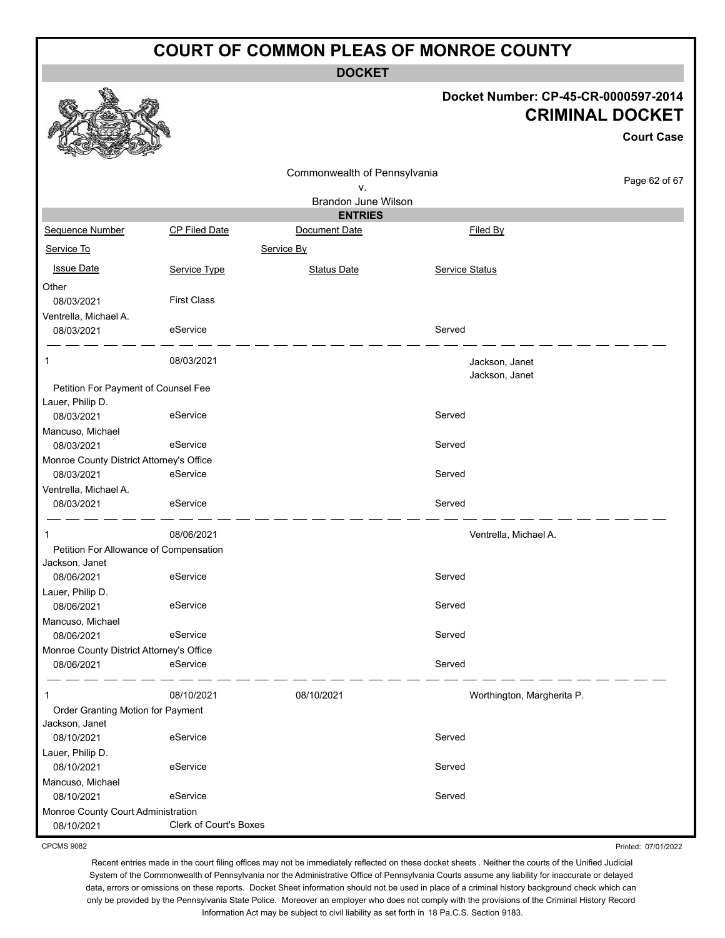**DOCKET**

#### **Docket Number: CP-45-CR-0000597-2014 CRIMINAL DOCKET**

**Court Case**

Printed: 07/01/2022

|                                          |                        |                              |                | <b>Court Case</b>          |
|------------------------------------------|------------------------|------------------------------|----------------|----------------------------|
|                                          |                        | Commonwealth of Pennsylvania |                |                            |
|                                          |                        | ۷.                           |                | Page 62 of 67              |
|                                          |                        | Brandon June Wilson          |                |                            |
|                                          |                        | <b>ENTRIES</b>               |                |                            |
| Sequence Number                          | <b>CP Filed Date</b>   | Document Date                | Filed By       |                            |
| Service To                               |                        | Service By                   |                |                            |
| <b>Issue Date</b>                        | Service Type           | <b>Status Date</b>           | Service Status |                            |
| Other                                    |                        |                              |                |                            |
| 08/03/2021                               | <b>First Class</b>     |                              |                |                            |
| Ventrella, Michael A.                    |                        |                              |                |                            |
| 08/03/2021                               | eService               |                              | Served         |                            |
| 1                                        | 08/03/2021             |                              |                | Jackson, Janet             |
|                                          |                        |                              |                | Jackson, Janet             |
| Petition For Payment of Counsel Fee      |                        |                              |                |                            |
| Lauer, Philip D.                         |                        |                              |                |                            |
| 08/03/2021                               | eService               |                              | Served         |                            |
| Mancuso, Michael<br>08/03/2021           | eService               |                              | Served         |                            |
| Monroe County District Attorney's Office |                        |                              |                |                            |
| 08/03/2021                               | eService               |                              | Served         |                            |
| Ventrella, Michael A.                    |                        |                              |                |                            |
| 08/03/2021                               | eService               |                              | Served         |                            |
| $\mathbf{1}$                             | 08/06/2021             |                              |                | Ventrella, Michael A.      |
| Petition For Allowance of Compensation   |                        |                              |                |                            |
| Jackson, Janet                           |                        |                              |                |                            |
| 08/06/2021                               | eService               |                              | Served         |                            |
| Lauer, Philip D.                         |                        |                              |                |                            |
| 08/06/2021                               | eService               |                              | Served         |                            |
| Mancuso, Michael                         |                        |                              |                |                            |
| 08/06/2021                               | eService               |                              | Served         |                            |
| Monroe County District Attorney's Office | eService               |                              | Served         |                            |
| 08/06/2021                               |                        |                              |                |                            |
| 1                                        | 08/10/2021             | 08/10/2021                   |                | Worthington, Margherita P. |
| Order Granting Motion for Payment        |                        |                              |                |                            |
| Jackson, Janet                           |                        |                              |                |                            |
| 08/10/2021                               | eService               |                              | Served         |                            |
| Lauer, Philip D.                         |                        |                              |                |                            |
| 08/10/2021                               | eService               |                              | Served         |                            |
| Mancuso, Michael<br>08/10/2021           | eService               |                              | Served         |                            |
| Monroe County Court Administration       |                        |                              |                |                            |
| 08/10/2021                               | Clerk of Court's Boxes |                              |                |                            |
|                                          |                        |                              |                |                            |

CPCMS 9082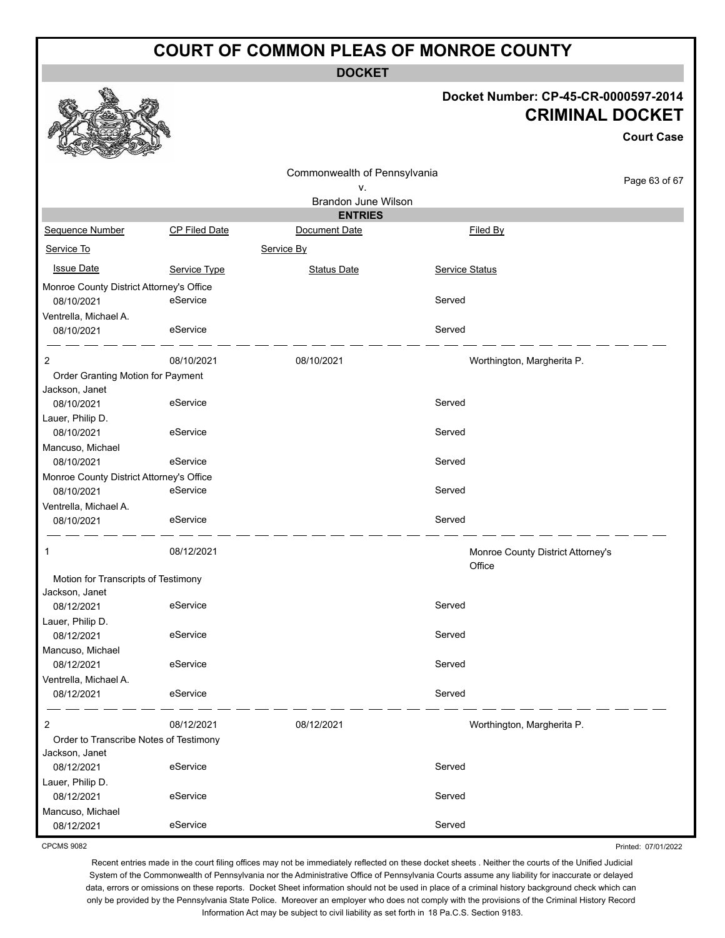**DOCKET**

#### **Docket Number: CP-45-CR-0000597-2014 CRIMINAL DOCKET**

Printed: 07/01/2022

|                                          |                      |                              |                | <b>Court Case</b>                 |
|------------------------------------------|----------------------|------------------------------|----------------|-----------------------------------|
|                                          |                      | Commonwealth of Pennsylvania |                |                                   |
|                                          |                      | ν.                           |                | Page 63 of 67                     |
|                                          |                      | Brandon June Wilson          |                |                                   |
|                                          |                      | <b>ENTRIES</b>               |                |                                   |
| Sequence Number                          | <b>CP Filed Date</b> | Document Date                | Filed By       |                                   |
| Service To                               |                      | Service By                   |                |                                   |
| <b>Issue Date</b>                        | <b>Service Type</b>  | Status Date                  | Service Status |                                   |
| Monroe County District Attorney's Office |                      |                              |                |                                   |
| 08/10/2021                               | eService             |                              | Served         |                                   |
| Ventrella, Michael A.                    |                      |                              |                |                                   |
| 08/10/2021                               | eService             |                              | Served         |                                   |
| $\overline{2}$                           | 08/10/2021           | 08/10/2021                   |                | Worthington, Margherita P.        |
| Order Granting Motion for Payment        |                      |                              |                |                                   |
| Jackson, Janet                           |                      |                              |                |                                   |
| 08/10/2021                               | eService             |                              | Served         |                                   |
| Lauer, Philip D.                         |                      |                              |                |                                   |
| 08/10/2021                               | eService             |                              | Served         |                                   |
| Mancuso, Michael                         |                      |                              |                |                                   |
| 08/10/2021                               | eService             |                              | Served         |                                   |
| Monroe County District Attorney's Office |                      |                              |                |                                   |
| 08/10/2021                               | eService             |                              | Served         |                                   |
| Ventrella, Michael A.                    |                      |                              |                |                                   |
| 08/10/2021                               | eService             |                              | Served         |                                   |
| 1                                        | 08/12/2021           |                              | Office         | Monroe County District Attorney's |
| Motion for Transcripts of Testimony      |                      |                              |                |                                   |
| Jackson, Janet                           |                      |                              |                |                                   |
| 08/12/2021                               | eService             |                              | Served         |                                   |
| Lauer, Philip D.                         |                      |                              |                |                                   |
| 08/12/2021                               | eService             |                              | Served         |                                   |
| Mancuso, Michael                         |                      |                              |                |                                   |
| 08/12/2021                               | eService             |                              | Served         |                                   |
| Ventrella, Michael A.                    |                      |                              |                |                                   |
| 08/12/2021                               | eService             |                              | Served         |                                   |
| 2                                        | 08/12/2021           | 08/12/2021                   |                | Worthington, Margherita P.        |
| Order to Transcribe Notes of Testimony   |                      |                              |                |                                   |
| Jackson, Janet                           |                      |                              |                |                                   |
| 08/12/2021                               | eService             |                              | Served         |                                   |
| Lauer, Philip D.                         |                      |                              |                |                                   |
| 08/12/2021                               | eService             |                              | Served         |                                   |
| Mancuso, Michael                         |                      |                              |                |                                   |
| 08/12/2021                               | eService             |                              | Served         |                                   |

CPCMS 9082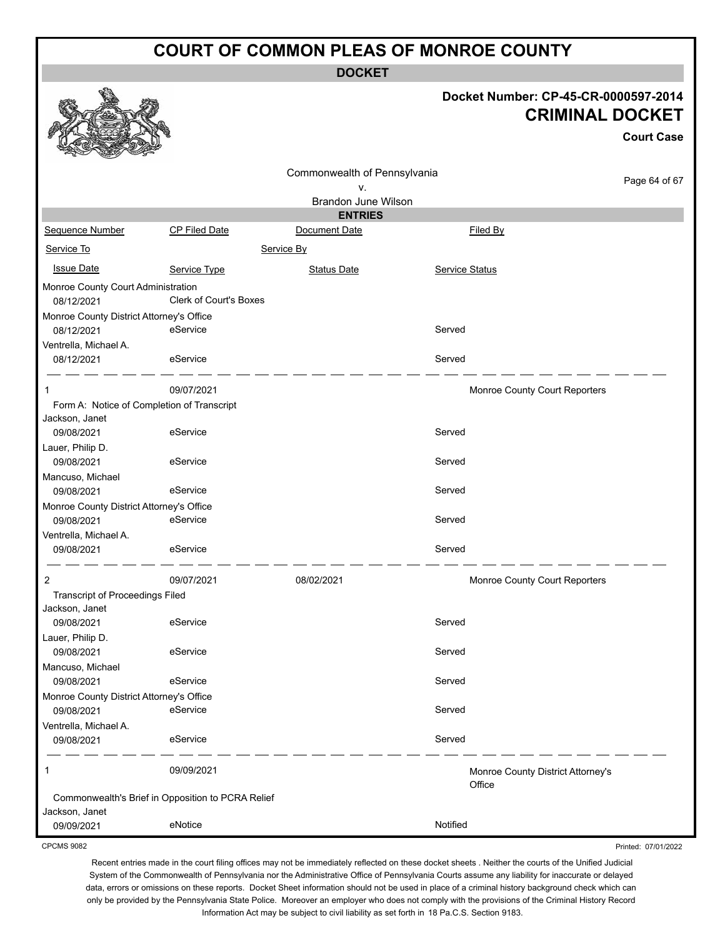**DOCKET**

#### **Docket Number: CP-45-CR-0000597-2014 CRIMINAL DOCKET**

**Court Case**

Printed: 07/01/2022

|                                                        |                               | Commonwealth of Pennsylvania |                |                                   |               |
|--------------------------------------------------------|-------------------------------|------------------------------|----------------|-----------------------------------|---------------|
|                                                        |                               | ٧.                           |                |                                   | Page 64 of 67 |
|                                                        |                               | Brandon June Wilson          |                |                                   |               |
|                                                        |                               | <b>ENTRIES</b>               |                |                                   |               |
| Sequence Number                                        | CP Filed Date                 | Document Date                |                | Filed By                          |               |
| Service To                                             |                               | Service By                   |                |                                   |               |
| <b>Issue Date</b>                                      | Service Type                  | <b>Status Date</b>           | Service Status |                                   |               |
| Monroe County Court Administration<br>08/12/2021       | <b>Clerk of Court's Boxes</b> |                              |                |                                   |               |
| Monroe County District Attorney's Office               |                               |                              |                |                                   |               |
| 08/12/2021                                             | eService                      |                              | Served         |                                   |               |
| Ventrella, Michael A.                                  |                               |                              |                |                                   |               |
| 08/12/2021                                             | eService                      |                              | Served         |                                   |               |
| 1                                                      | 09/07/2021                    |                              |                | Monroe County Court Reporters     |               |
| Form A: Notice of Completion of Transcript             |                               |                              |                |                                   |               |
| Jackson, Janet                                         |                               |                              |                |                                   |               |
| 09/08/2021                                             | eService                      |                              | Served         |                                   |               |
| Lauer, Philip D.                                       |                               |                              |                |                                   |               |
| 09/08/2021                                             | eService                      |                              | Served         |                                   |               |
| Mancuso, Michael                                       |                               |                              |                |                                   |               |
| 09/08/2021                                             | eService                      |                              | Served         |                                   |               |
| Monroe County District Attorney's Office               |                               |                              |                |                                   |               |
| 09/08/2021                                             | eService                      |                              | Served         |                                   |               |
| Ventrella, Michael A.                                  |                               |                              |                |                                   |               |
| 09/08/2021                                             | eService                      |                              | Served         |                                   |               |
|                                                        |                               |                              |                |                                   |               |
| $\overline{2}$                                         | 09/07/2021                    | 08/02/2021                   |                | Monroe County Court Reporters     |               |
| <b>Transcript of Proceedings Filed</b>                 |                               |                              |                |                                   |               |
| Jackson, Janet                                         |                               |                              | Served         |                                   |               |
| 09/08/2021                                             | eService                      |                              |                |                                   |               |
| Lauer, Philip D.                                       |                               |                              |                |                                   |               |
| 09/08/2021                                             | eService                      |                              | Served         |                                   |               |
| Mancuso, Michael                                       | eService                      |                              | Served         |                                   |               |
| 09/08/2021                                             |                               |                              |                |                                   |               |
| Monroe County District Attorney's Office<br>09/08/2021 | eService                      |                              | Served         |                                   |               |
| Ventrella, Michael A.                                  |                               |                              |                |                                   |               |
| 09/08/2021                                             | eService                      |                              | Served         |                                   |               |
| 1                                                      | 09/09/2021                    |                              |                | Monroe County District Attorney's |               |
|                                                        |                               |                              |                | Office                            |               |
| Commonwealth's Brief in Opposition to PCRA Relief      |                               |                              |                |                                   |               |
| Jackson, Janet                                         |                               |                              |                |                                   |               |
| 09/09/2021                                             | eNotice                       |                              | Notified       |                                   |               |

CPCMS 9082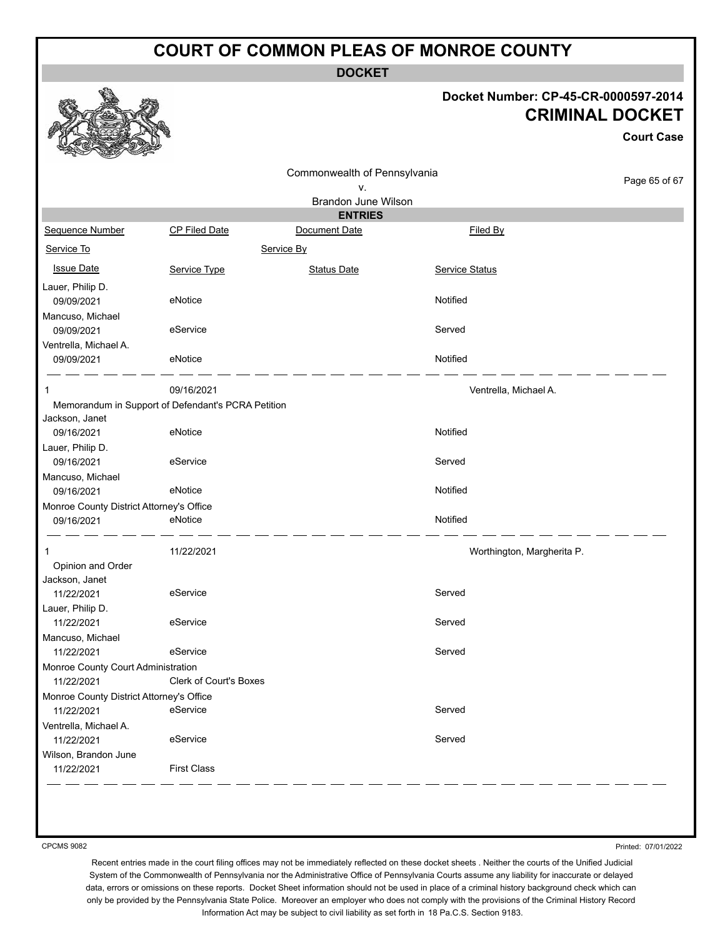**DOCKET**

#### **Docket Number: CP-45-CR-0000597-2014 CRIMINAL DOCKET**

**Court Case**

|                                                        |                                                    | Commonwealth of Pennsylvania<br>ν. |                            | Page 65 of 67 |
|--------------------------------------------------------|----------------------------------------------------|------------------------------------|----------------------------|---------------|
|                                                        |                                                    | Brandon June Wilson                |                            |               |
|                                                        |                                                    | <b>ENTRIES</b>                     |                            |               |
| Sequence Number                                        | CP Filed Date                                      | Document Date                      | Filed By                   |               |
| Service To                                             |                                                    | Service By                         |                            |               |
| <b>Issue Date</b>                                      | Service Type                                       | <b>Status Date</b>                 | Service Status             |               |
| Lauer, Philip D.                                       |                                                    |                                    |                            |               |
| 09/09/2021                                             | eNotice                                            |                                    | Notified                   |               |
| Mancuso, Michael                                       |                                                    |                                    |                            |               |
| 09/09/2021                                             | eService                                           |                                    | Served                     |               |
| Ventrella, Michael A.                                  |                                                    |                                    |                            |               |
| 09/09/2021                                             | eNotice                                            |                                    | Notified                   |               |
|                                                        | 09/16/2021                                         |                                    | Ventrella, Michael A.      |               |
|                                                        | Memorandum in Support of Defendant's PCRA Petition |                                    |                            |               |
| Jackson, Janet                                         |                                                    |                                    |                            |               |
| 09/16/2021                                             | eNotice                                            |                                    | Notified                   |               |
| Lauer, Philip D.                                       |                                                    |                                    |                            |               |
| 09/16/2021                                             | eService                                           |                                    | Served                     |               |
| Mancuso, Michael                                       |                                                    |                                    |                            |               |
| 09/16/2021                                             | eNotice                                            |                                    | Notified                   |               |
| Monroe County District Attorney's Office               |                                                    |                                    |                            |               |
| 09/16/2021                                             | eNotice                                            |                                    | Notified                   |               |
| 1                                                      | 11/22/2021                                         |                                    | Worthington, Margherita P. |               |
| Opinion and Order                                      |                                                    |                                    |                            |               |
| Jackson, Janet                                         |                                                    |                                    |                            |               |
| 11/22/2021                                             | eService                                           |                                    | Served                     |               |
| Lauer, Philip D.                                       |                                                    |                                    |                            |               |
| 11/22/2021                                             | eService                                           |                                    | Served                     |               |
| Mancuso, Michael                                       |                                                    |                                    |                            |               |
| 11/22/2021                                             | eService                                           |                                    | Served                     |               |
| Monroe County Court Administration                     | Clerk of Court's Boxes                             |                                    |                            |               |
| 11/22/2021                                             |                                                    |                                    |                            |               |
| Monroe County District Attorney's Office<br>11/22/2021 | eService                                           |                                    | Served                     |               |
| Ventrella, Michael A.                                  |                                                    |                                    |                            |               |
| 11/22/2021                                             | eService                                           |                                    | Served                     |               |
| Wilson, Brandon June                                   |                                                    |                                    |                            |               |
| 11/22/2021                                             | <b>First Class</b>                                 |                                    |                            |               |
|                                                        |                                                    |                                    |                            |               |

CPCMS 9082

Printed: 07/01/2022

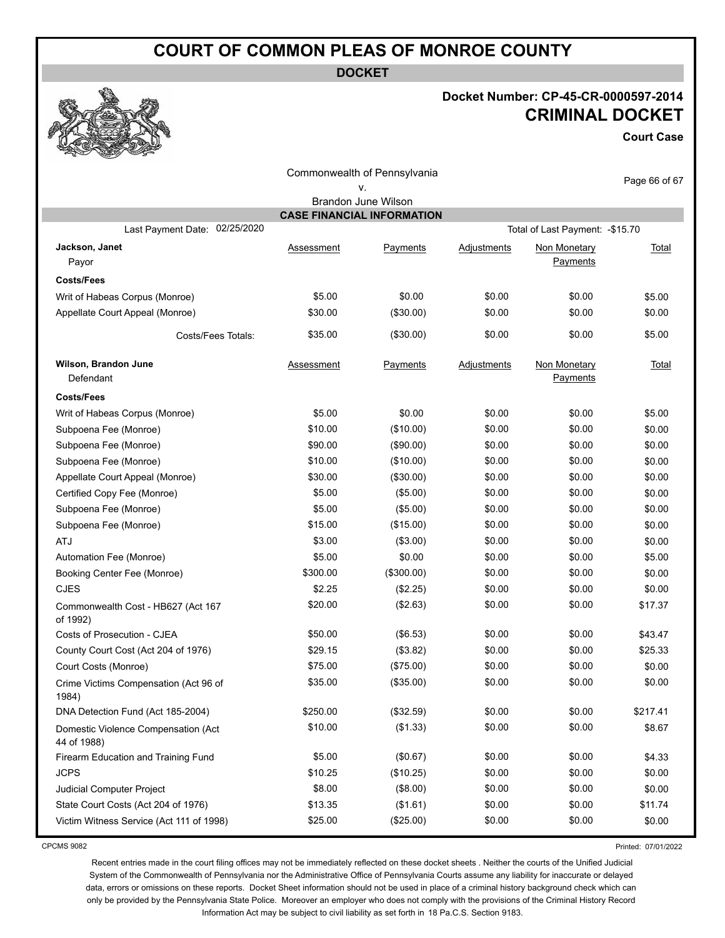**DOCKET**

#### **Docket Number: CP-45-CR-0000597-2014 CRIMINAL DOCKET**

**Court Case**

| Page 66 of 67<br><b>Total</b> |
|-------------------------------|
|                               |
|                               |
|                               |
|                               |
|                               |
|                               |
| \$5.00                        |
| \$0.00                        |
| \$5.00                        |
| <b>Total</b>                  |
|                               |
| \$5.00                        |
| \$0.00                        |
| \$0.00                        |
| \$0.00                        |
| \$0.00                        |
| \$0.00                        |
| \$0.00                        |
| \$0.00                        |
| \$0.00                        |
| \$5.00                        |
| \$0.00                        |
| \$0.00                        |
| \$17.37                       |
| \$43.47                       |
| \$25.33                       |
| \$0.00                        |
| \$0.00                        |
| \$217.41                      |
| \$8.67                        |
| \$4.33                        |
| \$0.00                        |
| \$0.00                        |
| \$11.74                       |
| \$0.00                        |
|                               |

CPCMS 9082

Printed: 07/01/2022